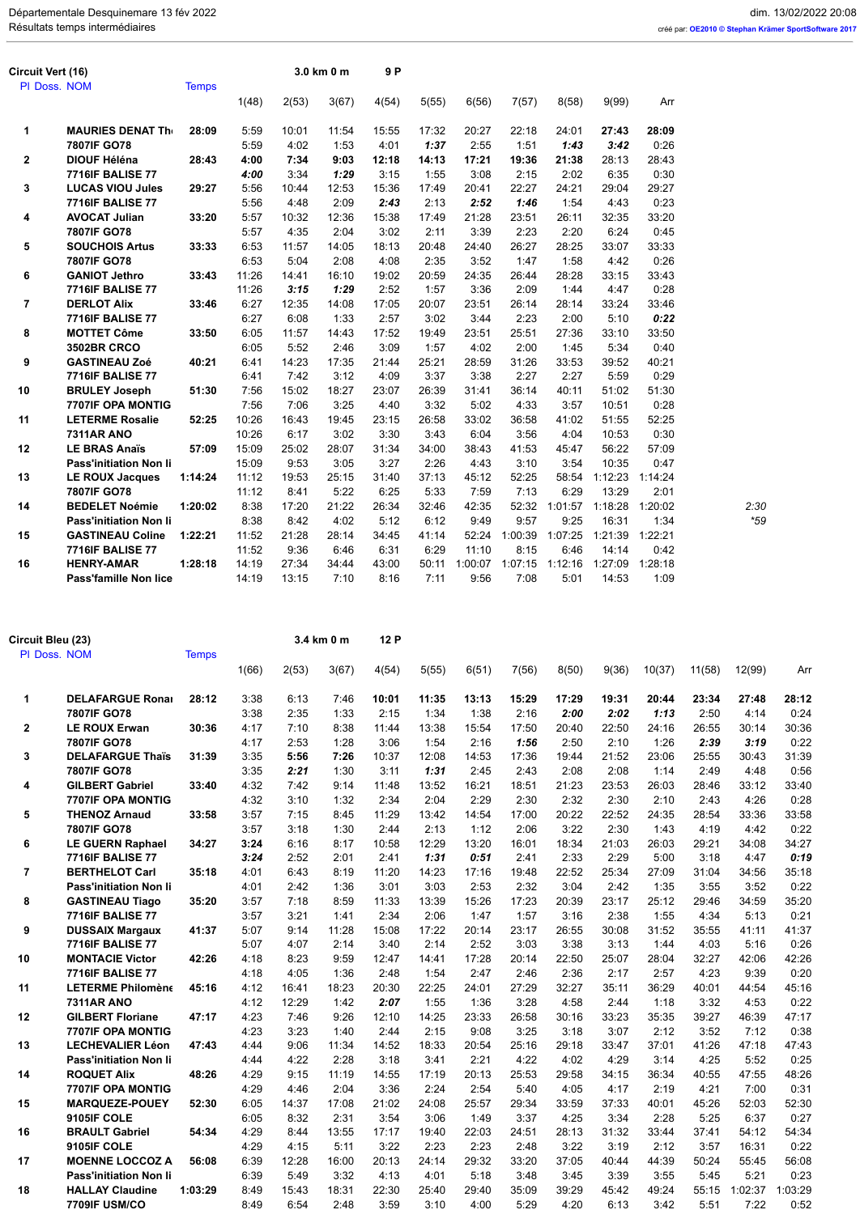| Circuit Vert (16)<br>PI Doss. NOM |                               | <b>Temps</b> |       |       | 3.0 km 0 m | 9P    |       |         |         |         |         |         |       |
|-----------------------------------|-------------------------------|--------------|-------|-------|------------|-------|-------|---------|---------|---------|---------|---------|-------|
|                                   |                               |              | 1(48) | 2(53) | 3(67)      | 4(54) | 5(55) | 6(56)   | 7(57)   | 8(58)   | 9(99)   | Arr     |       |
| 1                                 | <b>MAURIES DENAT The</b>      | 28:09        | 5:59  | 10:01 | 11:54      | 15:55 | 17:32 | 20:27   | 22:18   | 24:01   | 27:43   | 28:09   |       |
|                                   | 7807IF GO78                   |              | 5:59  | 4:02  | 1:53       | 4:01  | 1:37  | 2:55    | 1:51    | 1:43    | 3:42    | 0:26    |       |
| 2                                 | <b>DIOUF Héléna</b>           | 28:43        | 4:00  | 7:34  | 9:03       | 12:18 | 14:13 | 17:21   | 19:36   | 21:38   | 28:13   | 28:43   |       |
|                                   | <b>7716IF BALISE 77</b>       |              | 4:00  | 3:34  | 1:29       | 3:15  | 1:55  | 3:08    | 2:15    | 2:02    | 6:35    | 0:30    |       |
| 3                                 | <b>LUCAS VIOU Jules</b>       | 29:27        | 5:56  | 10:44 | 12:53      | 15:36 | 17:49 | 20:41   | 22:27   | 24:21   | 29:04   | 29:27   |       |
|                                   | <b>7716IF BALISE 77</b>       |              | 5:56  | 4:48  | 2:09       | 2:43  | 2:13  | 2:52    | 1:46    | 1:54    | 4:43    | 0:23    |       |
| 4                                 | <b>AVOCAT Julian</b>          | 33:20        | 5:57  | 10:32 | 12:36      | 15:38 | 17:49 | 21:28   | 23:51   | 26:11   | 32:35   | 33:20   |       |
|                                   | 7807IF GO78                   |              | 5:57  | 4:35  | 2:04       | 3:02  | 2:11  | 3:39    | 2:23    | 2:20    | 6:24    | 0:45    |       |
| 5                                 | <b>SOUCHOIS Artus</b>         | 33:33        | 6:53  | 11:57 | 14:05      | 18:13 | 20:48 | 24:40   | 26:27   | 28:25   | 33:07   | 33:33   |       |
|                                   | 7807IF GO78                   |              | 6:53  | 5:04  | 2:08       | 4:08  | 2:35  | 3:52    | 1:47    | 1:58    | 4:42    | 0:26    |       |
| 6                                 | <b>GANIOT Jethro</b>          | 33:43        | 11:26 | 14:41 | 16:10      | 19:02 | 20:59 | 24:35   | 26:44   | 28:28   | 33:15   | 33:43   |       |
|                                   | <b>7716IF BALISE 77</b>       |              | 11:26 | 3:15  | 1:29       | 2:52  | 1:57  | 3:36    | 2:09    | 1:44    | 4:47    | 0:28    |       |
| 7                                 | <b>DERLOT Alix</b>            | 33:46        | 6:27  | 12:35 | 14:08      | 17:05 | 20:07 | 23:51   | 26:14   | 28:14   | 33:24   | 33:46   |       |
|                                   | <b>7716IF BALISE 77</b>       |              | 6:27  | 6:08  | 1:33       | 2:57  | 3:02  | 3:44    | 2:23    | 2:00    | 5:10    | 0:22    |       |
| 8                                 | <b>MOTTET Côme</b>            | 33:50        | 6:05  | 11:57 | 14:43      | 17:52 | 19:49 | 23:51   | 25:51   | 27:36   | 33:10   | 33:50   |       |
|                                   | <b>3502BR CRCO</b>            |              | 6:05  | 5:52  | 2:46       | 3:09  | 1:57  | 4:02    | 2:00    | 1:45    | 5:34    | 0:40    |       |
| 9                                 | <b>GASTINEAU Zoé</b>          | 40:21        | 6:41  | 14:23 | 17:35      | 21:44 | 25:21 | 28:59   | 31:26   | 33:53   | 39:52   | 40:21   |       |
|                                   | <b>7716IF BALISE 77</b>       |              | 6:41  | 7:42  | 3:12       | 4:09  | 3:37  | 3:38    | 2:27    | 2:27    | 5:59    | 0:29    |       |
| 10                                | <b>BRULEY Joseph</b>          | 51:30        | 7:56  | 15:02 | 18:27      | 23:07 | 26:39 | 31:41   | 36:14   | 40:11   | 51:02   | 51:30   |       |
|                                   | 7707IF OPA MONTIG             |              | 7:56  | 7:06  | 3:25       | 4:40  | 3:32  | 5:02    | 4:33    | 3:57    | 10:51   | 0:28    |       |
| 11                                | <b>LETERME Rosalie</b>        | 52:25        | 10:26 | 16:43 | 19:45      | 23:15 | 26:58 | 33:02   | 36:58   | 41:02   | 51:55   | 52:25   |       |
|                                   | <b>7311AR ANO</b>             |              | 10:26 | 6:17  | 3:02       | 3:30  | 3:43  | 6:04    | 3:56    | 4:04    | 10:53   | 0:30    |       |
| 12                                | <b>LE BRAS Anaïs</b>          | 57:09        | 15:09 | 25:02 | 28:07      | 31:34 | 34:00 | 38:43   | 41:53   | 45:47   | 56:22   | 57:09   |       |
|                                   | <b>Pass'initiation Non li</b> |              | 15:09 | 9:53  | 3:05       | 3:27  | 2:26  | 4:43    | 3:10    | 3:54    | 10:35   | 0:47    |       |
| 13                                | <b>LE ROUX Jacques</b>        | 1:14:24      | 11:12 | 19:53 | 25:15      | 31:40 | 37:13 | 45:12   | 52:25   | 58:54   | 1:12:23 | 1:14:24 |       |
|                                   | 7807IF GO78                   |              | 11:12 | 8:41  | 5:22       | 6:25  | 5:33  | 7:59    | 7:13    | 6:29    | 13:29   | 2:01    |       |
| 14                                | <b>BEDELET Noémie</b>         | 1:20:02      | 8:38  | 17:20 | 21:22      | 26:34 | 32:46 | 42:35   | 52:32   | 1:01:57 | 1:18:28 | 1:20:02 | 2:30  |
|                                   | <b>Pass'initiation Non li</b> |              | 8:38  | 8:42  | 4:02       | 5:12  | 6:12  | 9:49    | 9:57    | 9:25    | 16:31   | 1:34    | $*59$ |
| 15                                | <b>GASTINEAU Coline</b>       | 1:22:21      | 11:52 | 21:28 | 28:14      | 34:45 | 41:14 | 52:24   | 1:00:39 | 1:07:25 | 1:21:39 | 1:22:21 |       |
|                                   | <b>7716IF BALISE 77</b>       |              | 11:52 | 9:36  | 6:46       | 6:31  | 6:29  | 11:10   | 8:15    | 6:46    | 14:14   | 0:42    |       |
| 16                                | <b>HENRY-AMAR</b>             | 1:28:18      | 14:19 | 27:34 | 34:44      | 43:00 | 50:11 | 1:00:07 | 1:07:15 | 1:12:16 | 1:27:09 | 1:28:18 |       |
|                                   | <b>Pass'famille Non lice</b>  |              | 14:19 | 13:15 | 7:10       | 8:16  | 7:11  | 9:56    | 7:08    | 5:01    | 14:53   | 1:09    |       |

| Circuit Bleu (23) |                                                         |              |              |               | 3.4 km 0 m    | 12 P          |               |               |               |               |               |               |               |               |               |
|-------------------|---------------------------------------------------------|--------------|--------------|---------------|---------------|---------------|---------------|---------------|---------------|---------------|---------------|---------------|---------------|---------------|---------------|
| PI Doss, NOM      |                                                         | <b>Temps</b> | 1(66)        | 2(53)         | 3(67)         | 4(54)         | 5(55)         | 6(51)         | 7(56)         | 8(50)         | 9(36)         | 10(37)        | 11(58)        | 12(99)        | Arr           |
| 1                 | <b>DELAFARGUE Ronal</b>                                 | 28:12        | 3:38         | 6:13          | 7:46          | 10:01         | 11:35         | 13:13         | 15:29         | 17:29         | 19:31         | 20:44         | 23:34         | 27:48         | 28:12         |
|                   | 7807IF GO78                                             |              | 3:38         | 2:35          | 1:33          | 2:15          | 1:34          | 1:38          | 2:16          | 2:00          | 2:02          | 1:13          | 2:50          | 4:14          | 0:24          |
| $\mathbf{2}$      | <b>LE ROUX Erwan</b>                                    | 30:36        | 4:17         | 7:10          | 8:38          | 11:44         | 13:38         | 15:54         | 17:50         | 20:40         | 22:50         | 24:16         | 26:55         | 30:14         | 30:36         |
|                   | 7807IF GO78                                             |              | 4:17         | 2:53          | 1:28          | 3:06          | 1:54          | 2:16          | 1:56          | 2:50          | 2:10          | 1:26          | 2:39          | 3:19          | 0:22          |
| 3                 | <b>DELAFARGUE Thaïs</b>                                 | 31:39        | 3:35         | 5:56          | 7:26          | 10:37         | 12:08         | 14:53         | 17:36         | 19:44         | 21:52         | 23:06         | 25:55         | 30:43         | 31:39         |
|                   | 7807IF GO78                                             |              | 3:35         | 2:21          | 1:30          | 3:11          | 1:31          | 2:45          | 2:43          | 2:08          | 2:08          | 1:14          | 2:49          | 4:48          | 0:56          |
| 4                 | <b>GILBERT Gabriel</b>                                  | 33:40        | 4:32         | 7:42          | 9:14          | 11:48         | 13:52         | 16:21         | 18:51         | 21:23         | 23:53         | 26:03         | 28:46         | 33:12         | 33:40         |
|                   | 7707IF OPA MONTIG                                       |              | 4:32         | 3:10          | 1:32          | 2:34          | 2:04          | 2:29          | 2:30          | 2:32          | 2:30          | 2:10          | 2:43          | 4:26          | 0:28          |
| 5                 | <b>THENOZ Arnaud</b>                                    | 33:58        | 3:57         | 7:15          | 8:45          | 11:29         | 13:42         | 14:54         | 17:00         | 20:22         | 22:52         | 24:35         | 28:54         | 33:36         | 33:58         |
|                   | 7807IF GO78                                             |              | 3:57         | 3:18          | 1:30          | 2:44          | 2:13          | 1:12          | 2:06          | 3:22          | 2:30          | 1:43          | 4:19          | 4:42          | 0:22          |
| 6                 | <b>LE GUERN Raphael</b>                                 | 34:27        | 3:24         | 6:16          | 8:17          | 10:58         | 12:29         | 13:20         | 16:01         | 18:34         | 21:03         | 26:03         | 29:21         | 34:08         | 34:27         |
|                   | <b>7716IF BALISE 77</b>                                 |              | 3:24         | 2:52          | 2:01          | 2:41          | 1:31          | 0:51          | 2:41          | 2:33          | 2:29          | 5:00          | 3:18          | 4:47          | 0:19          |
| $\overline{7}$    | <b>BERTHELOT Carl</b>                                   | 35:18        | 4:01         | 6:43          | 8:19          | 11:20         | 14:23         | 17:16         | 19:48         | 22:52         | 25:34         | 27:09         | 31:04         | 34:56         | 35:18         |
|                   | Pass'initiation Non li                                  |              | 4:01         | 2:42          | 1:36          | 3:01          | 3:03          | 2:53          | 2:32          | 3:04          | 2:42          | 1:35          | 3:55          | 3:52          | 0:22          |
| 8                 | <b>GASTINEAU Tiago</b>                                  | 35:20        | 3:57         | 7:18          | 8:59          | 11:33         | 13:39         | 15:26         | 17:23         | 20:39         | 23:17         | 25:12         | 29:46         | 34:59         | 35:20         |
|                   | 7716IF BALISE 77                                        |              | 3:57         | 3:21          | 1:41          | 2:34          | 2:06          | 1:47          | 1:57          | 3:16          | 2:38          | 1:55          | 4:34          | 5:13          | 0:21          |
| 9                 | <b>DUSSAIX Margaux</b>                                  | 41:37        | 5:07         | 9:14          | 11:28         | 15:08         | 17:22         | 20:14         | 23:17         | 26:55         | 30:08         | 31:52         | 35:55         | 41:11         | 41:37         |
|                   | <b>7716IF BALISE 77</b>                                 |              | 5:07         | 4:07          | 2:14          | 3:40          | 2:14          | 2:52          | 3:03          | 3:38          | 3:13          | 1:44          | 4:03          | 5:16          | 0:26          |
| 10                | <b>MONTACIE Victor</b>                                  | 42:26        | 4:18         | 8:23          | 9:59          | 12:47         | 14:41         | 17:28         | 20:14         | 22:50         | 25:07         | 28:04         | 32:27         | 42:06         | 42:26         |
|                   | <b>7716IF BALISE 77</b>                                 |              | 4:18         | 4:05          | 1:36          | 2:48          | 1:54          | 2:47          | 2:46          | 2:36          | 2:17          | 2:57          | 4:23          | 9:39          | 0:20          |
| 11                | <b>LETERME Philomène</b>                                | 45:16        | 4:12         | 16:41         | 18:23         | 20:30         | 22:25         | 24:01         | 27:29         | 32:27         | 35:11         | 36:29         | 40:01         | 44:54         | 45:16         |
|                   | <b>7311AR ANO</b>                                       |              | 4:12         | 12:29         | 1:42          | 2:07          | 1:55          | 1:36          | 3:28          | 4:58          | 2:44          | 1:18          | 3:32          | 4:53          | 0:22          |
| 12                | <b>GILBERT Floriane</b>                                 | 47:17        | 4:23         | 7:46          | 9:26          | 12:10         | 14:25         | 23:33         | 26:58         | 30:16         | 33:23         | 35:35         | 39:27         | 46:39         | 47:17         |
|                   | 7707IF OPA MONTIG                                       |              | 4:23         | 3:23          | 1:40          | 2:44          | 2:15          | 9:08          | 3:25          | 3:18          | 3:07          | 2:12          | 3:52          | 7:12          | 0:38          |
| 13                | <b>LECHEVALIER Léon</b>                                 | 47:43        | 4:44         | 9:06          | 11:34         | 14:52         | 18:33         | 20:54         | 25:16         | 29:18         | 33:47         | 37:01         | 41:26         | 47:18         | 47:43         |
|                   | <b>Pass'initiation Non li</b>                           |              | 4:44         | 4:22          | 2:28          | 3:18          | 3:41          | 2:21          | 4:22          | 4:02          | 4:29          | 3:14          | 4:25          | 5:52          | 0:25          |
| 14                | <b>ROQUET Alix</b>                                      | 48:26        | 4:29         | 9:15          | 11:19         | 14:55         | 17:19         | 20:13         | 25:53         | 29:58         | 34:15         | 36:34         | 40:55         | 47:55         | 48:26         |
|                   | 7707IF OPA MONTIG                                       |              | 4:29         | 4:46          | 2:04          | 3:36          | 2:24          | 2:54          | 5:40          | 4:05          | 4:17          | 2:19          | 4:21          | 7:00          | 0:31          |
| 15                | <b>MARQUEZE-POUEY</b>                                   | 52:30        | 6:05         | 14:37         | 17:08         | 21:02         | 24:08         | 25:57         | 29:34         | 33:59         | 37:33         | 40:01         | 45:26         | 52:03         | 52:30         |
|                   | 9105IF COLE<br><b>BRAULT Gabriel</b>                    | 54:34        | 6:05<br>4:29 | 8:32<br>8:44  | 2:31<br>13:55 | 3:54<br>17:17 | 3:06<br>19:40 | 1:49<br>22:03 | 3:37<br>24:51 | 4:25<br>28:13 | 3:34<br>31:32 | 2:28<br>33:44 | 5:25<br>37:41 | 6:37<br>54:12 | 0:27<br>54:34 |
| 16                |                                                         |              |              |               |               |               |               |               |               |               |               |               |               |               |               |
|                   | 9105IF COLE                                             |              | 4:29         | 4:15          | 5:11          | 3:22          | 2:23          | 2:23          | 2:48          | 3:22          | 3:19          | 2:12          | 3:57          | 16:31         | 0:22          |
| 17                | <b>MOENNE LOCCOZ A</b><br><b>Pass'initiation Non li</b> | 56:08        | 6:39<br>6:39 | 12:28<br>5:49 | 16:00<br>3:32 | 20:13<br>4:13 | 24:14<br>4:01 | 29:32<br>5:18 | 33:20<br>3:48 | 37:05<br>3:45 | 40:44<br>3:39 | 44:39<br>3:55 | 50:24<br>5:45 | 55:45<br>5:21 | 56:08<br>0:23 |
| 18                | <b>HALLAY Claudine</b>                                  | 1:03:29      | 8:49         | 15:43         | 18:31         | 22:30         | 25:40         | 29:40         | 35:09         | 39:29         | 45:42         | 49:24         | 55:15         | 1:02:37       | 1:03:29       |
|                   | 7709IF USM/CO                                           |              | 8:49         | 6:54          | 2:48          | 3:59          | 3:10          | 4:00          | 5:29          | 4:20          | 6:13          | 3:42          | 5:51          | 7:22          | 0:52          |
|                   |                                                         |              |              |               |               |               |               |               |               |               |               |               |               |               |               |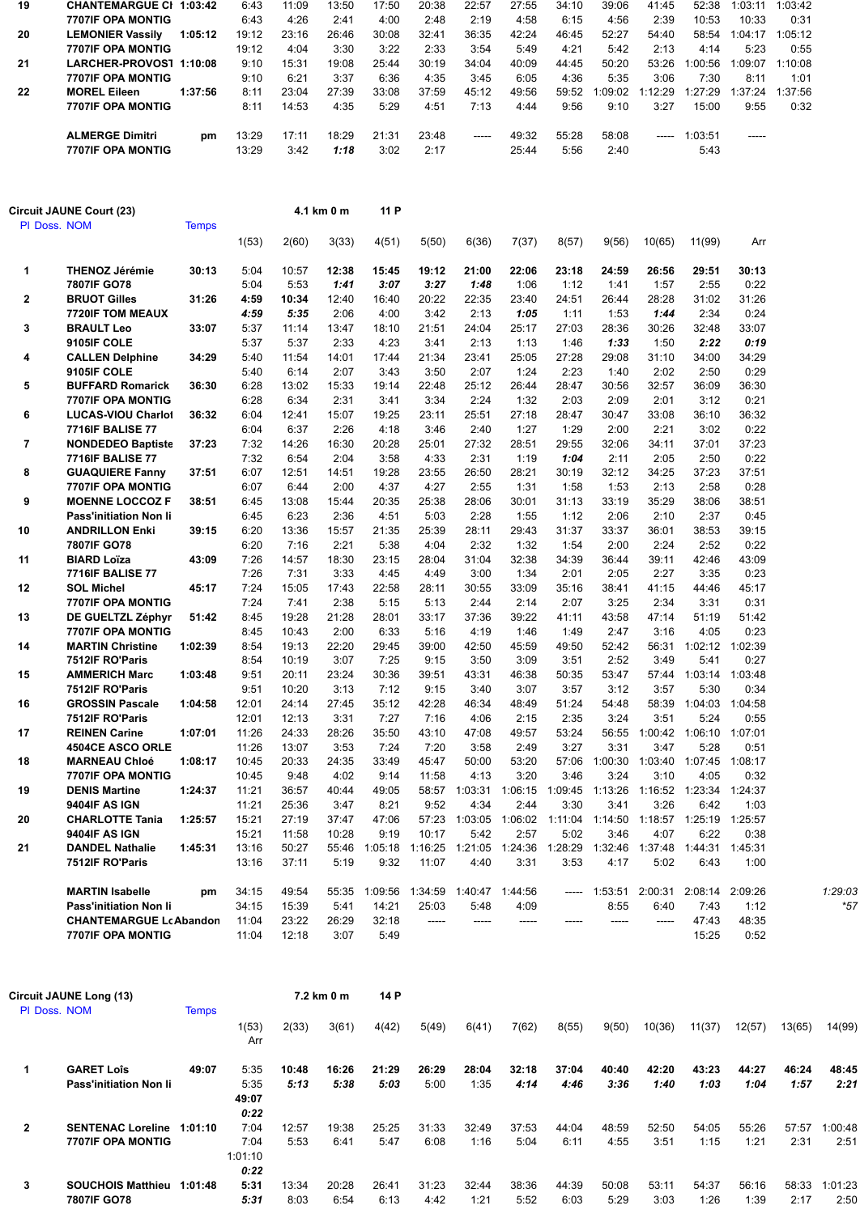| 19 | <b>CHANTEMARGUE CI 1:03:42</b> |         | 6:43  | 11:09 | 13:50 | 17:50 | 20:38 | 22:57 | 27:55 | 34:10 | 39:06   | 41:45    | 52:38   | 1:03:11 | 1:03:42 |
|----|--------------------------------|---------|-------|-------|-------|-------|-------|-------|-------|-------|---------|----------|---------|---------|---------|
|    | <b>7707IF OPA MONTIG</b>       |         | 6:43  | 4:26  | 2:41  | 4:00  | 2:48  | 2:19  | 4:58  | 6:15  | 4:56    | 2:39     | 10:53   | 10:33   | 0:31    |
| 20 | <b>LEMONIER Vassily</b>        | 1:05:12 | 19:12 | 23:16 | 26:46 | 30:08 | 32:41 | 36:35 | 42:24 | 46:45 | 52:27   | 54:40    | 58:54   | 1:04:17 | 1:05:12 |
|    | <b>7707IF OPA MONTIG</b>       |         | 19:12 | 4:04  | 3:30  | 3:22  | 2:33  | 3:54  | 5:49  | 4:21  | 5:42    | 2:13     | 4:14    | 5:23    | 0:55    |
| 21 | LARCHER-PROVOST 1:10:08        |         | 9:10  | 15:31 | 19:08 | 25:44 | 30:19 | 34:04 | 40:09 | 44:45 | 50:20   | 53:26    | 1:00:56 | 1:09:07 | 1:10:08 |
|    | <b>7707IF OPA MONTIG</b>       |         | 9:10  | 6:21  | 3:37  | 6:36  | 4:35  | 3:45  | 6:05  | 4:36  | 5:35    | 3:06     | 7:30    | 8:11    | 1:01    |
| 22 | <b>MOREL Eileen</b>            | 1:37:56 | 8:11  | 23:04 | 27:39 | 33:08 | 37:59 | 45:12 | 49:56 | 59:52 | 1:09:02 | 1:12:29  | 1:27:29 | 1:37:24 | 1:37:56 |
|    | <b>7707IF OPA MONTIG</b>       |         | 8:11  | 14:53 | 4:35  | 5:29  | 4:51  | 7:13  | 4:44  | 9:56  | 9:10    | 3:27     | 15:00   | 9:55    | 0:32    |
|    | <b>ALMERGE Dimitri</b>         | pm      | 13:29 | 17:11 | 18:29 | 21:31 | 23:48 | ----- | 49:32 | 55:28 | 58:08   | $\cdots$ | 1:03:51 | -----   |         |
|    | <b>7707IF OPA MONTIG</b>       |         | 13:29 | 3:42  | 1:18  | 3:02  | 2:17  |       | 25:44 | 5:56  | 2:40    |          | 5:43    |         |         |

|                | Circuit JAUNE Court (23)      |              |       |       | 4.1 km 0 m | 11 P    |         |         |         |         |         |         |         |         |         |
|----------------|-------------------------------|--------------|-------|-------|------------|---------|---------|---------|---------|---------|---------|---------|---------|---------|---------|
| PI Doss. NOM   |                               | <b>Temps</b> |       |       |            |         |         |         |         |         |         |         |         |         |         |
|                |                               |              | 1(53) | 2(60) | 3(33)      | 4(51)   | 5(50)   | 6(36)   | 7(37)   | 8(57)   | 9(56)   | 10(65)  | 11(99)  | Arr     |         |
| 1              | <b>THENOZ Jérémie</b>         | 30:13        | 5:04  | 10:57 | 12:38      | 15:45   | 19:12   | 21:00   | 22:06   | 23:18   | 24:59   | 26:56   | 29:51   | 30:13   |         |
|                | 7807IF GO78                   |              | 5:04  | 5:53  | 1:41       | 3:07    | 3:27    | 1:48    | 1:06    | 1:12    | 1:41    | 1:57    | 2:55    | 0:22    |         |
| $\mathbf{2}$   | <b>BRUOT Gilles</b>           | 31:26        | 4:59  | 10:34 | 12:40      | 16:40   | 20:22   | 22:35   | 23:40   | 24:51   | 26:44   | 28:28   | 31:02   | 31:26   |         |
|                | <b>7720IF TOM MEAUX</b>       |              | 4:59  | 5:35  | 2:06       | 4:00    | 3:42    | 2:13    | 1:05    | 1:11    | 1:53    | 1:44    | 2:34    | 0:24    |         |
| 3              | <b>BRAULT Leo</b>             | 33:07        | 5:37  | 11:14 | 13:47      | 18:10   | 21:51   | 24:04   | 25:17   | 27:03   | 28:36   | 30:26   | 32:48   | 33:07   |         |
|                | 9105IF COLE                   |              | 5:37  | 5:37  | 2:33       | 4:23    | 3:41    | 2:13    | 1:13    | 1:46    | 1:33    | 1:50    | 2:22    | 0:19    |         |
| 4              | <b>CALLEN Delphine</b>        | 34:29        | 5:40  | 11:54 | 14:01      | 17:44   | 21:34   | 23:41   | 25:05   | 27:28   | 29:08   | 31:10   | 34:00   | 34:29   |         |
|                | 9105IF COLE                   |              | 5:40  | 6:14  | 2:07       | 3:43    | 3:50    | 2:07    | 1:24    | 2:23    | 1:40    | 2:02    | 2:50    | 0:29    |         |
| 5              | <b>BUFFARD Romarick</b>       | 36:30        | 6:28  | 13:02 | 15:33      | 19:14   | 22:48   | 25:12   | 26:44   | 28:47   | 30:56   | 32:57   | 36:09   | 36:30   |         |
|                | <b>7707IF OPA MONTIG</b>      |              | 6:28  | 6:34  | 2:31       | 3:41    | 3:34    | 2:24    | 1:32    | 2:03    | 2:09    | 2:01    | 3:12    | 0:21    |         |
| 6              | <b>LUCAS-VIOU Charlot</b>     | 36:32        | 6:04  | 12:41 | 15:07      | 19:25   | 23:11   | 25:51   | 27:18   | 28:47   | 30:47   | 33:08   | 36:10   | 36:32   |         |
|                | <b>7716IF BALISE 77</b>       |              | 6:04  | 6:37  | 2:26       | 4:18    | 3:46    | 2:40    | 1:27    | 1:29    | 2:00    | 2:21    | 3:02    | 0:22    |         |
| $\overline{7}$ | <b>NONDEDEO Baptiste</b>      | 37:23        | 7:32  | 14:26 | 16:30      | 20:28   | 25:01   | 27:32   | 28:51   | 29:55   | 32:06   | 34:11   | 37:01   | 37:23   |         |
|                | <b>7716IF BALISE 77</b>       |              | 7:32  | 6:54  | 2:04       | 3:58    | 4:33    | 2:31    | 1:19    | 1:04    | 2:11    | 2:05    | 2:50    | 0:22    |         |
| 8              | <b>GUAQUIERE Fanny</b>        | 37:51        | 6:07  | 12:51 | 14:51      | 19:28   | 23:55   | 26:50   | 28:21   | 30:19   | 32:12   | 34:25   | 37:23   | 37:51   |         |
|                | 7707IF OPA MONTIG             |              | 6:07  | 6:44  | 2:00       | 4:37    | 4:27    | 2:55    | 1:31    | 1:58    | 1:53    | 2:13    | 2:58    | 0:28    |         |
| 9              | <b>MOENNE LOCCOZ F</b>        | 38:51        | 6:45  | 13:08 | 15:44      | 20:35   | 25:38   | 28:06   | 30:01   | 31:13   | 33:19   | 35:29   | 38:06   | 38:51   |         |
|                | Pass'initiation Non li        |              | 6:45  | 6:23  | 2:36       | 4:51    | 5:03    | 2:28    | 1:55    | 1:12    | 2:06    | 2:10    | 2:37    | 0:45    |         |
| 10             | <b>ANDRILLON Enki</b>         | 39:15        | 6:20  | 13:36 | 15:57      | 21:35   | 25:39   | 28:11   | 29:43   | 31:37   | 33:37   | 36:01   | 38:53   | 39:15   |         |
|                | 7807IF GO78                   |              | 6:20  | 7:16  | 2:21       | 5:38    | 4:04    | 2:32    | 1:32    | 1:54    | 2:00    | 2:24    | 2:52    | 0:22    |         |
| 11             | <b>BIARD Loïza</b>            | 43:09        | 7:26  | 14:57 | 18:30      | 23:15   | 28:04   | 31:04   | 32:38   | 34:39   | 36:44   | 39:11   | 42:46   | 43:09   |         |
|                | <b>7716IF BALISE 77</b>       |              | 7:26  | 7:31  | 3:33       | 4:45    | 4:49    | 3:00    | 1:34    | 2:01    | 2:05    | 2:27    | 3:35    | 0:23    |         |
| $12 \,$        | <b>SOL Michel</b>             | 45:17        | 7:24  | 15:05 | 17:43      | 22:58   | 28:11   | 30:55   | 33:09   | 35:16   | 38:41   | 41:15   | 44:46   | 45:17   |         |
|                | <b>7707IF OPA MONTIG</b>      |              | 7:24  | 7:41  | 2:38       | 5:15    | 5:13    | 2:44    | 2:14    | 2:07    | 3:25    | 2:34    | 3:31    | 0:31    |         |
| 13             | DE GUELTZL Zéphyr             | 51:42        | 8:45  | 19:28 | 21:28      | 28:01   | 33:17   | 37:36   | 39:22   | 41:11   | 43:58   | 47:14   | 51:19   | 51:42   |         |
|                | 7707IF OPA MONTIG             |              | 8:45  | 10:43 | 2:00       | 6:33    | 5:16    | 4:19    | 1:46    | 1:49    | 2:47    | 3:16    | 4:05    | 0:23    |         |
| 14             | <b>MARTIN Christine</b>       | 1:02:39      | 8:54  | 19:13 | 22:20      | 29:45   | 39:00   | 42:50   | 45:59   | 49:50   | 52:42   | 56:31   | 1:02:12 | 1:02:39 |         |
|                | 7512IF RO'Paris               |              | 8:54  | 10:19 | 3:07       | 7:25    | 9:15    | 3:50    | 3:09    | 3:51    | 2:52    | 3:49    | 5:41    | 0:27    |         |
| 15             | <b>AMMERICH Marc</b>          | 1:03:48      | 9:51  | 20:11 | 23:24      | 30:36   | 39:51   | 43:31   | 46:38   | 50:35   | 53:47   | 57:44   | 1:03:14 | 1:03:48 |         |
|                | 7512IF RO'Paris               |              | 9:51  | 10:20 | 3:13       | 7:12    | 9:15    | 3:40    | 3:07    | 3:57    | 3:12    | 3:57    | 5:30    | 0:34    |         |
| 16             | <b>GROSSIN Pascale</b>        | 1:04:58      | 12:01 | 24:14 | 27:45      | 35:12   | 42:28   | 46:34   | 48:49   | 51:24   | 54:48   | 58:39   | 1:04:03 | 1:04:58 |         |
|                | 7512IF RO'Paris               |              | 12:01 | 12:13 | 3:31       | 7:27    | 7:16    | 4:06    | 2:15    | 2:35    | 3:24    | 3:51    | 5:24    | 0:55    |         |
| 17             | <b>REINEN Carine</b>          | 1:07:01      | 11:26 | 24:33 | 28:26      | 35:50   | 43:10   | 47:08   | 49:57   | 53:24   | 56:55   | 1:00:42 | 1:06:10 | 1:07:01 |         |
|                | <b>4504CE ASCO ORLE</b>       |              | 11:26 | 13:07 | 3:53       | 7:24    | 7:20    | 3:58    | 2:49    | 3:27    | 3:31    | 3:47    | 5:28    | 0:51    |         |
| 18             | <b>MARNEAU Chloé</b>          | 1:08:17      | 10:45 | 20:33 | 24:35      | 33:49   | 45:47   | 50:00   | 53:20   | 57:06   | 1:00:30 | 1:03:40 | 1:07:45 | 1:08:17 |         |
|                | <b>7707IF OPA MONTIG</b>      |              | 10:45 | 9:48  | 4:02       | 9:14    | 11:58   | 4:13    | 3:20    | 3:46    | 3:24    | 3:10    | 4:05    | 0:32    |         |
| 19             | <b>DENIS Martine</b>          | 1:24:37      | 11:21 | 36:57 | 40:44      | 49:05   | 58:57   | 1:03:31 | 1:06:15 | 1:09:45 | 1:13:26 | 1:16:52 | 1:23:34 | 1:24:37 |         |
|                | <b>9404IF AS IGN</b>          |              | 11:21 | 25:36 | 3:47       | 8:21    | 9:52    | 4:34    | 2:44    | 3:30    | 3:41    | 3:26    | 6:42    | 1:03    |         |
| 20             | <b>CHARLOTTE Tania</b>        | 1:25:57      | 15:21 | 27:19 | 37:47      | 47:06   | 57:23   | 1:03:05 | 1:06:02 | 1:11:04 | 1:14:50 | 1:18:57 | 1:25:19 | 1:25:57 |         |
|                | <b>9404IF AS IGN</b>          |              | 15:21 | 11:58 | 10:28      | 9:19    | 10:17   | 5:42    | 2:57    | 5:02    | 3:46    | 4:07    | 6:22    | 0:38    |         |
| 21             | <b>DANDEL Nathalie</b>        | 1:45:31      | 13:16 | 50:27 | 55:46      | 1:05:18 | 1:16:25 | 1:21:05 | 1:24:36 | 1:28:29 | 1:32:46 | 1:37:48 | 1:44:31 | 1:45:31 |         |
|                | 7512IF RO'Paris               |              | 13:16 | 37:11 | 5:19       | 9:32    | 11:07   | 4:40    | 3:31    | 3:53    | 4:17    | 5:02    | 6:43    | 1:00    |         |
|                | <b>MARTIN Isabelle</b>        | pm           | 34:15 | 49:54 | 55:35      | 1:09:56 | 1:34:59 | 1:40:47 | 1:44:56 | -----   | 1:53:51 | 2:00:31 | 2:08:14 | 2:09:26 | 1:29:03 |
|                | <b>Pass'initiation Non li</b> |              | 34:15 | 15:39 | 5:41       | 14:21   | 25:03   | 5:48    | 4:09    |         | 8:55    | 6:40    | 7:43    | 1:12    | $*57$   |
|                | <b>CHANTEMARGUE LcAbandon</b> |              | 11:04 | 23:22 | 26:29      | 32:18   | -----   | -----   | -----   |         | -----   | -----   | 47:43   | 48:35   |         |
|                | 7707IF OPA MONTIG             |              | 11:04 | 12:18 | 3:07       | 5:49    |         |         |         |         |         |         | 15:25   | 0:52    |         |

|              | Circuit JAUNE Long (13)                              |              |                                 |               | 7.2 km 0 m    | 14 P          |               |               |               |               |               |               |               |               |               |                  |
|--------------|------------------------------------------------------|--------------|---------------------------------|---------------|---------------|---------------|---------------|---------------|---------------|---------------|---------------|---------------|---------------|---------------|---------------|------------------|
| PI Doss, NOM |                                                      | <b>Temps</b> | 1(53)<br>Arr                    | 2(33)         | 3(61)         | 4(42)         | 5(49)         | 6(41)         | 7(62)         | 8(55)         | 9(50)         | 10(36)        | 11(37)        | 12(57)        | 13(65)        | 14(99)           |
|              | <b>GARET Lois</b><br><b>Pass'initiation Non li</b>   | 49:07        | 5:35<br>5:35<br>49:07<br>0:22   | 10:48<br>5:13 | 16:26<br>5:38 | 21:29<br>5:03 | 26:29<br>5:00 | 28:04<br>1:35 | 32:18<br>4:14 | 37:04<br>4:46 | 40:40<br>3:36 | 42:20<br>1:40 | 43:23<br>1:03 | 44:27<br>1:04 | 46:24<br>1:57 | 48:45<br>2:21    |
| $\mathbf{2}$ | <b>SENTENAC Loreline</b><br><b>7707IF OPA MONTIG</b> | 1:01:10      | 7:04<br>7:04<br>1:01:10<br>0:22 | 12:57<br>5:53 | 19:38<br>6:41 | 25:25<br>5:47 | 31:33<br>6:08 | 32:49<br>1:16 | 37:53<br>5:04 | 44:04<br>6:11 | 48:59<br>4:55 | 52:50<br>3:51 | 54:05<br>1:15 | 55:26<br>1:21 | 57:57<br>2:31 | 1:00:481<br>2:51 |
| 3            | SOUCHOIS Matthieu 1:01:48<br>7807IF GO78             |              | 5:31<br>5:31                    | 13:34<br>8:03 | 20:28<br>6:54 | 26:41<br>6:13 | 31:23<br>4:42 | 32:44<br>1:21 | 38:36<br>5:52 | 44:39<br>6:03 | 50:08<br>5:29 | 53:11<br>3:03 | 54:37<br>1:26 | 56:16<br>1:39 | 58:33<br>2:17 | 1:01:23<br>2:50  |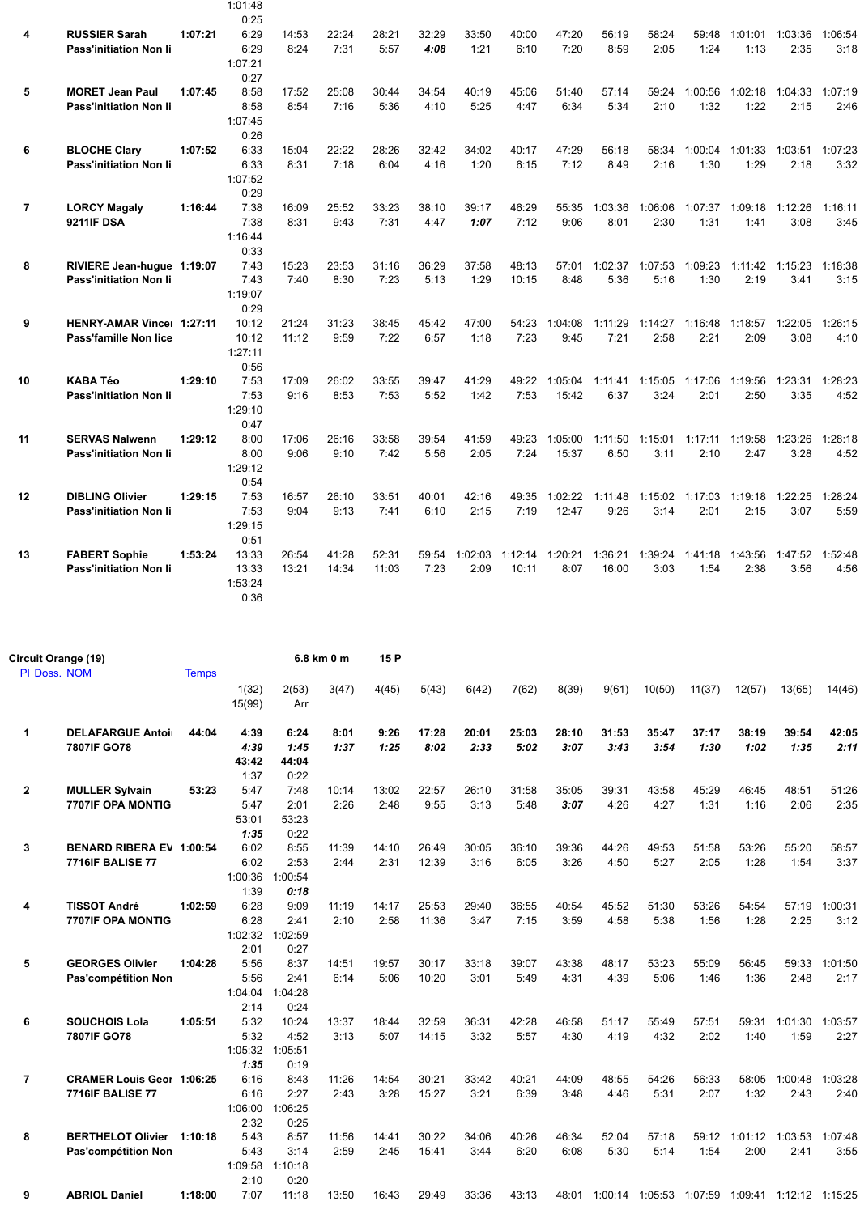|                |                               |         | 1:01:48         |       |       |       |       |         |         |         |         |         |                         |         |                 |         |
|----------------|-------------------------------|---------|-----------------|-------|-------|-------|-------|---------|---------|---------|---------|---------|-------------------------|---------|-----------------|---------|
|                |                               |         | 0:25            |       |       |       |       |         |         |         |         |         |                         |         |                 |         |
| 4              | <b>RUSSIER Sarah</b>          | 1:07:21 | 6:29            | 14:53 | 22:24 | 28:21 | 32:29 | 33:50   | 40:00   | 47:20   | 56:19   | 58:24   | 59:48                   |         | 1:01:01 1:03:36 | 1:06:54 |
|                | <b>Pass'initiation Non li</b> |         | 6:29            | 8:24  | 7:31  | 5:57  | 4:08  | 1:21    | 6:10    | 7:20    | 8:59    | 2:05    | 1:24                    | 1:13    | 2:35            | 3:18    |
|                |                               |         | 1:07:21<br>0:27 |       |       |       |       |         |         |         |         |         |                         |         |                 |         |
| 5              | <b>MORET Jean Paul</b>        | 1:07:45 | 8:58            | 17:52 | 25:08 | 30:44 | 34:54 | 40:19   | 45:06   | 51:40   | 57:14   | 59:24   | 1:00:56                 |         | 1:02:18 1:04:33 | 1:07:19 |
|                | <b>Pass'initiation Non li</b> |         | 8:58            | 8:54  | 7:16  | 5:36  | 4:10  | 5:25    | 4:47    | 6:34    | 5:34    | 2:10    | 1:32                    | 1:22    | 2:15            | 2:46    |
|                |                               |         | 1:07:45         |       |       |       |       |         |         |         |         |         |                         |         |                 |         |
|                |                               |         | 0:26            |       |       |       |       |         |         |         |         |         |                         |         |                 |         |
| 6              | <b>BLOCHE Clary</b>           | 1:07:52 | 6:33            | 15:04 | 22:22 | 28:26 | 32:42 | 34:02   | 40:17   | 47:29   | 56:18   | 58:34   | 1:00:04                 | 1:01:33 | 1:03:51         | 1:07:23 |
|                | <b>Pass'initiation Non li</b> |         | 6:33            | 8:31  | 7:18  | 6:04  | 4:16  | 1:20    | 6:15    | 7:12    | 8:49    | 2:16    | 1:30                    | 1:29    | 2:18            | 3:32    |
|                |                               |         | 1:07:52         |       |       |       |       |         |         |         |         |         |                         |         |                 |         |
|                |                               |         | 0:29            |       |       |       |       |         |         |         |         |         |                         |         |                 |         |
| $\overline{7}$ | <b>LORCY Magaly</b>           | 1:16:44 | 7:38            | 16:09 | 25:52 | 33:23 | 38:10 | 39:17   | 46:29   | 55:35   | 1:03:36 | 1:06:06 | 1:07:37                 | 1:09:18 | 1:12:26         | 1:16:11 |
|                | <b>9211IF DSA</b>             |         | 7:38            | 8:31  | 9:43  | 7:31  | 4:47  | 1:07    | 7:12    | 9:06    | 8:01    | 2:30    | 1:31                    | 1:41    | 3:08            | 3:45    |
|                |                               |         | 1:16:44         |       |       |       |       |         |         |         |         |         |                         |         |                 |         |
|                |                               |         | 0:33            |       |       |       |       |         |         |         |         |         |                         |         |                 |         |
| 8              | RIVIERE Jean-hugue 1:19:07    |         | 7:43            | 15:23 | 23:53 | 31:16 | 36:29 | 37:58   | 48:13   | 57:01   | 1:02:37 | 1:07:53 | 1:09:23                 |         | 1:11:42 1:15:23 | 1:18:38 |
|                | <b>Pass'initiation Non Ii</b> |         | 7:43            | 7:40  | 8:30  | 7:23  | 5:13  | 1:29    | 10:15   | 8:48    | 5:36    | 5:16    | 1:30                    | 2:19    | 3:41            | 3:15    |
|                |                               |         | 1:19:07         |       |       |       |       |         |         |         |         |         |                         |         |                 |         |
|                |                               |         | 0:29            |       |       |       |       |         |         |         |         |         |                         |         |                 |         |
| 9              | HENRY-AMAR Vince: 1:27:11     |         | 10:12           | 21:24 | 31:23 | 38:45 | 45:42 | 47:00   | 54:23   | 1:04:08 | 1:11:29 | 1:14:27 | 1:16:48                 | 1:18:57 | 1:22:05         | 1:26:15 |
|                | <b>Pass'famille Non lice</b>  |         | 10:12           | 11:12 | 9:59  | 7:22  | 6:57  | 1:18    | 7:23    | 9:45    | 7:21    | 2:58    | 2:21                    | 2:09    | 3:08            | 4:10    |
|                |                               |         | 1:27:11<br>0:56 |       |       |       |       |         |         |         |         |         |                         |         |                 |         |
| 10             | <b>KABA Téo</b>               | 1:29:10 | 7:53            | 17:09 | 26:02 | 33:55 | 39:47 | 41:29   | 49:22   | 1:05:04 | 1:11:41 | 1:15:05 | 1:17:06                 | 1:19:56 | 1:23:31         | 1:28:23 |
|                | <b>Pass'initiation Non Ii</b> |         | 7:53            | 9:16  | 8:53  | 7:53  | 5:52  | 1:42    | 7:53    | 15:42   | 6:37    | 3:24    | 2:01                    | 2:50    | 3:35            | 4:52    |
|                |                               |         | 1:29:10         |       |       |       |       |         |         |         |         |         |                         |         |                 |         |
|                |                               |         | 0:47            |       |       |       |       |         |         |         |         |         |                         |         |                 |         |
| 11             | <b>SERVAS Nalwenn</b>         | 1:29:12 | 8:00            | 17:06 | 26:16 | 33:58 | 39:54 | 41:59   | 49:23   | 1:05:00 | 1:11:50 | 1:15:01 | 1:17:11                 | 1:19:58 | 1:23:26         | 1:28:18 |
|                | <b>Pass'initiation Non li</b> |         | 8:00            | 9:06  | 9:10  | 7:42  | 5:56  | 2:05    | 7:24    | 15:37   | 6:50    | 3:11    | 2:10                    | 2:47    | 3:28            | 4:52    |
|                |                               |         | 1:29:12         |       |       |       |       |         |         |         |         |         |                         |         |                 |         |
|                |                               |         | 0:54            |       |       |       |       |         |         |         |         |         |                         |         |                 |         |
| 12             | <b>DIBLING Olivier</b>        | 1:29:15 | 7:53            | 16:57 | 26:10 | 33:51 | 40:01 | 42:16   | 49:35   | 1:02:22 | 1:11:48 |         | 1:15:02 1:17:03 1:19:18 |         | 1:22:25         | 1:28:24 |
|                | <b>Pass'initiation Non Ii</b> |         | 7:53            | 9:04  | 9:13  | 7:41  | 6:10  | 2:15    | 7:19    | 12:47   | 9:26    | 3:14    | 2:01                    | 2:15    | 3:07            | 5:59    |
|                |                               |         | 1:29:15         |       |       |       |       |         |         |         |         |         |                         |         |                 |         |
|                |                               |         | 0:51            |       |       |       |       |         |         |         |         |         |                         |         |                 |         |
| 13             | <b>FABERT Sophie</b>          | 1:53:24 | 13:33           | 26:54 | 41:28 | 52:31 | 59:54 | 1:02:03 | 1:12:14 | 1:20:21 | 1:36:21 | 1:39:24 | 1:41:18                 |         | 1:43:56 1:47:52 | 1:52:48 |
|                | <b>Pass'initiation Non li</b> |         | 13:33           | 13:21 | 14:34 | 11:03 | 7:23  | 2:09    | 10:11   | 8:07    | 16:00   | 3:03    | 1:54                    | 2:38    | 3:56            | 4:56    |
|                |                               |         | 1:53:24         |       |       |       |       |         |         |         |         |         |                         |         |                 |         |
|                |                               |         | 0:36            |       |       |       |       |         |         |         |         |         |                         |         |                 |         |

| Circuit Orange (19) |                                  |              |                 |              | 6.8 km 0 m | 15 P  |       |       |       |       |         |                 |        |         |                         |         |
|---------------------|----------------------------------|--------------|-----------------|--------------|------------|-------|-------|-------|-------|-------|---------|-----------------|--------|---------|-------------------------|---------|
| PI Doss. NOM        |                                  | <b>Temps</b> |                 |              |            |       |       |       |       |       |         |                 |        |         |                         |         |
|                     |                                  |              | 1(32)<br>15(99) | 2(53)<br>Arr | 3(47)      | 4(45) | 5(43) | 6(42) | 7(62) | 8(39) | 9(61)   | 10(50)          | 11(37) | 12(57)  | 13(65)                  | 14(46)  |
| 1                   | <b>DELAFARGUE Antoir</b>         | 44:04        | 4:39            | 6:24         | 8:01       | 9:26  | 17:28 | 20:01 | 25:03 | 28:10 | 31:53   | 35:47           | 37:17  | 38:19   | 39:54                   | 42:05   |
|                     | 7807IF GO78                      |              | 4:39            | 1:45         | 1:37       | 1:25  | 8:02  | 2:33  | 5:02  | 3:07  | 3:43    | 3:54            | 1:30   | 1:02    | 1:35                    | 2:11    |
|                     |                                  |              | 43:42           | 44:04        |            |       |       |       |       |       |         |                 |        |         |                         |         |
|                     |                                  |              | 1:37            | 0:22         |            |       |       |       |       |       |         |                 |        |         |                         |         |
| $\mathbf{2}$        | <b>MULLER Sylvain</b>            | 53:23        | 5:47            | 7:48         | 10:14      | 13:02 | 22:57 | 26:10 | 31:58 | 35:05 | 39:31   | 43:58           | 45:29  | 46:45   | 48:51                   | 51:26   |
|                     | <b>7707IF OPA MONTIG</b>         |              | 5:47            | 2:01         | 2:26       | 2:48  | 9:55  | 3:13  | 5:48  | 3:07  | 4:26    | 4:27            | 1:31   | 1:16    | 2:06                    | 2:35    |
|                     |                                  |              | 53:01           | 53:23        |            |       |       |       |       |       |         |                 |        |         |                         |         |
|                     |                                  |              | 1:35            | 0:22         |            |       |       |       |       |       |         |                 |        |         |                         |         |
| 3                   | <b>BENARD RIBERA EV 1:00:54</b>  |              | 6:02            | 8:55         | 11:39      | 14:10 | 26:49 | 30:05 | 36:10 | 39:36 | 44:26   | 49:53           | 51:58  | 53:26   | 55:20                   | 58:57   |
|                     | <b>7716IF BALISE 77</b>          |              | 6:02            | 2:53         | 2:44       | 2:31  | 12:39 | 3:16  | 6:05  | 3:26  | 4:50    | 5:27            | 2:05   | 1:28    | 1:54                    | 3:37    |
|                     |                                  |              | 1:00:36         | 1:00:54      |            |       |       |       |       |       |         |                 |        |         |                         |         |
|                     |                                  |              | 1:39            | 0:18         |            |       |       |       |       |       |         |                 |        |         |                         |         |
| 4                   | <b>TISSOT André</b>              | 1:02:59      | 6:28            | 9:09         | 11:19      | 14:17 | 25:53 | 29:40 | 36:55 | 40:54 | 45:52   | 51:30           | 53:26  | 54:54   | 57:19                   | 1:00:31 |
|                     | 7707IF OPA MONTIG                |              | 6:28            | 2:41         | 2:10       | 2:58  | 11:36 | 3:47  | 7:15  | 3:59  | 4:58    | 5:38            | 1:56   | 1:28    | 2:25                    | 3:12    |
|                     |                                  |              | 1:02:32         | 1:02:59      |            |       |       |       |       |       |         |                 |        |         |                         |         |
|                     |                                  |              | 2:01            | 0:27         |            |       |       |       |       |       |         |                 |        |         |                         |         |
| 5                   | <b>GEORGES Olivier</b>           | 1:04:28      | 5:56            | 8:37         | 14:51      | 19:57 | 30:17 | 33:18 | 39:07 | 43:38 | 48:17   | 53:23           | 55:09  | 56:45   | 59:33                   | 1:01:50 |
|                     | Pas'compétition Non              |              | 5:56            | 2:41         | 6:14       | 5:06  | 10:20 | 3:01  | 5:49  | 4:31  | 4:39    | 5:06            | 1:46   | 1:36    | 2:48                    | 2:17    |
|                     |                                  |              | 1:04:04         | 1:04:28      |            |       |       |       |       |       |         |                 |        |         |                         |         |
|                     |                                  |              | 2:14            | 0:24         |            |       |       |       |       |       |         |                 |        |         |                         |         |
| 6                   | <b>SOUCHOIS Lola</b>             | 1:05:51      | 5:32            | 10:24        | 13:37      | 18:44 | 32:59 | 36:31 | 42:28 | 46:58 | 51:17   | 55:49           | 57:51  | 59:31   | 1:01:30                 | 1:03:57 |
|                     | 7807IF GO78                      |              | 5:32            | 4:52         | 3:13       | 5:07  | 14:15 | 3:32  | 5:57  | 4:30  | 4:19    | 4:32            | 2:02   | 1:40    | 1:59                    | 2:27    |
|                     |                                  |              | 1:05:32         | 1:05:51      |            |       |       |       |       |       |         |                 |        |         |                         |         |
|                     |                                  |              | 1:35            | 0:19         |            |       |       |       |       |       |         |                 |        |         |                         |         |
| 7                   | <b>CRAMER Louis Geor 1:06:25</b> |              | 6:16            | 8:43         | 11:26      | 14:54 | 30:21 | 33:42 | 40:21 | 44:09 | 48:55   | 54:26           | 56:33  | 58:05   | 1:00:48                 | 1:03:28 |
|                     | <b>7716IF BALISE 77</b>          |              | 6:16            | 2:27         | 2:43       | 3:28  | 15:27 | 3:21  | 6:39  | 3:48  | 4:46    | 5:31            | 2:07   | 1:32    | 2:43                    | 2:40    |
|                     |                                  |              | 1:06:00         | 1:06:25      |            |       |       |       |       |       |         |                 |        |         |                         |         |
|                     |                                  |              | 2:32            | 0:25         |            |       |       |       |       |       |         |                 |        |         |                         |         |
| 8                   | BERTHELOT Olivier 1:10:18        |              | 5:43            | 8:57         | 11:56      | 14:41 | 30:22 | 34:06 | 40:26 | 46:34 | 52:04   | 57:18           | 59:12  | 1:01:12 | 1:03:53                 | 1:07:48 |
|                     | Pas'compétition Non              |              | 5:43            | 3:14         | 2:59       | 2:45  | 15:41 | 3:44  | 6:20  | 6:08  | 5:30    | 5:14            | 1:54   | 2:00    | 2:41                    | 3:55    |
|                     |                                  |              | 1:09:58         | 1:10:18      |            |       |       |       |       |       |         |                 |        |         |                         |         |
|                     |                                  |              | 2:10            | 0:20         |            |       |       |       |       |       |         |                 |        |         |                         |         |
| 9                   | <b>ABRIOL Daniel</b>             | 1:18:00      | 7:07            | 11:18        | 13:50      | 16:43 | 29:49 | 33:36 | 43:13 | 48:01 | 1:00:14 | 1:05:53 1:07:59 |        |         | 1:09:41 1:12:12 1:15:25 |         |
|                     |                                  |              |                 |              |            |       |       |       |       |       |         |                 |        |         |                         |         |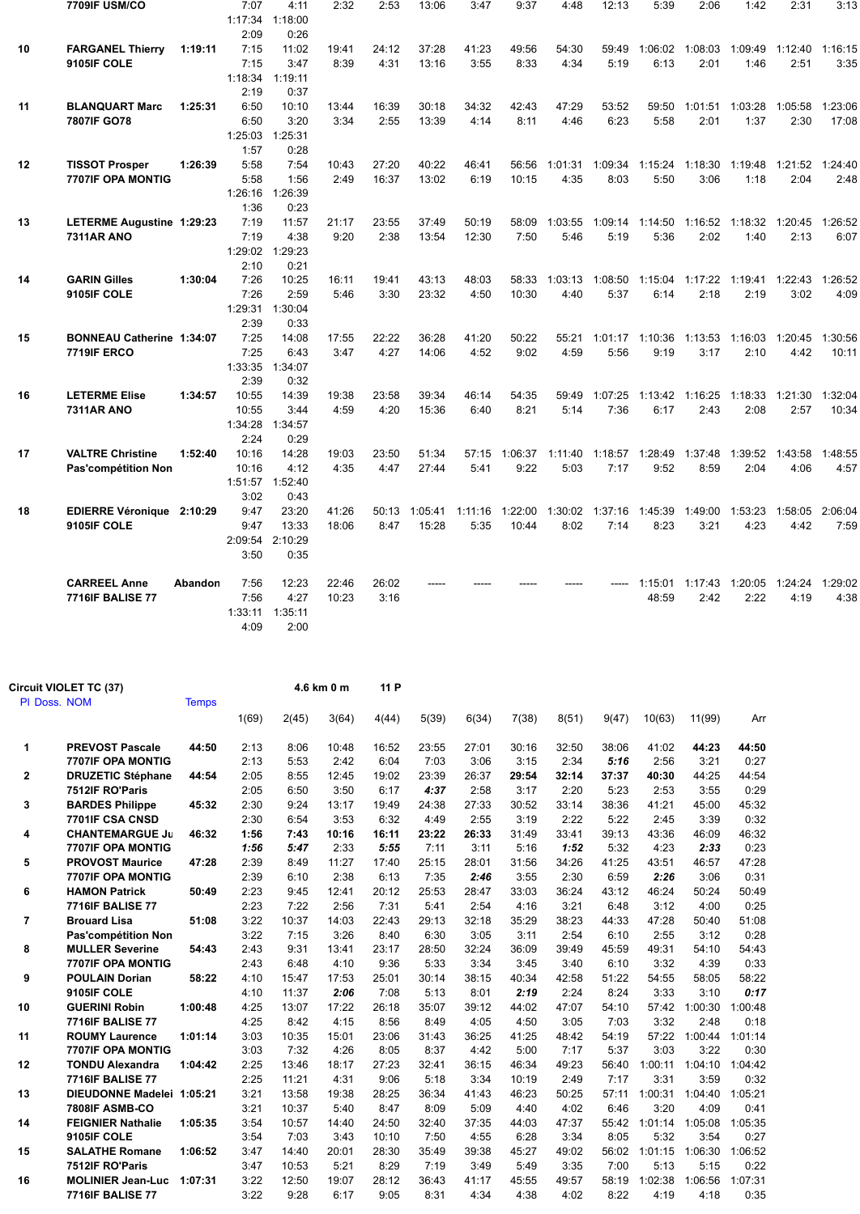|    | 7709IF USM/CO                    |         | 7:07    | 4:11    | 2:32  | 2:53  | 13:06   | 3:47    | 9:37    | 4:48    | 12:13   | 5:39  | 2:06                            | 1:42                                                          | 2:31    | 3:13    |
|----|----------------------------------|---------|---------|---------|-------|-------|---------|---------|---------|---------|---------|-------|---------------------------------|---------------------------------------------------------------|---------|---------|
|    |                                  |         | 1:17:34 | 1:18:00 |       |       |         |         |         |         |         |       |                                 |                                                               |         |         |
|    |                                  |         | 2:09    | 0:26    |       |       |         |         |         |         |         |       |                                 |                                                               |         |         |
| 10 | <b>FARGANEL Thierry</b>          | 1:19:11 | 7:15    | 11:02   | 19:41 | 24:12 | 37:28   | 41:23   | 49:56   | 54:30   |         |       |                                 | 59:49 1:06:02 1:08:03 1:09:49 1:12:40                         |         | 1:16:15 |
|    | 9105IF COLE                      |         | 7:15    | 3:47    | 8:39  | 4:31  | 13:16   | 3:55    | 8:33    | 4:34    | 5:19    | 6:13  | 2:01                            | 1:46                                                          | 2:51    | 3:35    |
|    |                                  |         | 1:18:34 | 1:19:11 |       |       |         |         |         |         |         |       |                                 |                                                               |         |         |
|    |                                  |         | 2:19    | 0:37    |       |       |         |         |         |         |         |       |                                 |                                                               |         |         |
| 11 | <b>BLANQUART Marc</b>            | 1:25:31 | 6:50    | 10:10   | 13:44 | 16:39 | 30:18   | 34:32   | 42:43   | 47:29   | 53:52   | 59:50 | 1:01:51                         | 1:03:28                                                       | 1:05:58 | 1:23:06 |
|    | 7807IF GO78                      |         | 6:50    | 3:20    | 3:34  | 2:55  | 13:39   | 4:14    | 8:11    | 4:46    | 6:23    | 5:58  | 2:01                            | 1:37                                                          | 2:30    | 17:08   |
|    |                                  |         | 1:25:03 | 1:25:31 |       |       |         |         |         |         |         |       |                                 |                                                               |         |         |
|    |                                  |         | 1:57    | 0:28    |       |       |         |         |         |         |         |       |                                 |                                                               |         |         |
| 12 | <b>TISSOT Prosper</b>            | 1:26:39 | 5:58    | 7:54    | 10:43 | 27:20 | 40:22   | 46:41   | 56:56   |         |         |       |                                 | 1:01:31  1:09:34  1:15:24  1:18:30  1:19:48  1:21:52  1:24:40 |         |         |
|    | 7707IF OPA MONTIG                |         | 5:58    | 1:56    | 2:49  | 16:37 | 13:02   | 6:19    | 10:15   | 4:35    | 8:03    | 5:50  | 3:06                            | 1:18                                                          | 2:04    | 2:48    |
|    |                                  |         | 1:26:16 | 1:26:39 |       |       |         |         |         |         |         |       |                                 |                                                               |         |         |
|    |                                  |         | 1:36    | 0:23    |       |       |         |         |         |         |         |       |                                 |                                                               |         |         |
| 13 | LETERME Augustine 1:29:23        |         | 7:19    | 11:57   | 21:17 | 23:55 | 37:49   | 50:19   | 58:09   | 1:03:55 |         |       | 1:09:14 1:14:50 1:16:52 1:18:32 |                                                               | 1:20:45 | 1:26:52 |
|    | <b>7311AR ANO</b>                |         | 7:19    | 4:38    | 9:20  | 2:38  | 13:54   | 12:30   | 7:50    | 5:46    | 5:19    | 5:36  | 2:02                            | 1:40                                                          | 2:13    | 6:07    |
|    |                                  |         | 1:29:02 | 1:29:23 |       |       |         |         |         |         |         |       |                                 |                                                               |         |         |
|    |                                  |         | 2:10    | 0:21    |       |       |         |         |         |         |         |       |                                 |                                                               |         |         |
| 14 | <b>GARIN Gilles</b>              | 1:30:04 | 7:26    | 10:25   | 16:11 | 19:41 | 43:13   | 48:03   | 58:33   | 1:03:13 |         |       |                                 | 1:08:50  1:15:04  1:17:22  1:19:41  1:22:43                   |         | 1:26:52 |
|    | 9105IF COLE                      |         | 7:26    | 2:59    | 5:46  | 3:30  | 23:32   | 4:50    | 10:30   | 4:40    | 5:37    | 6:14  | 2:18                            | 2:19                                                          | 3:02    | 4:09    |
|    |                                  |         | 1:29:31 | 1:30:04 |       |       |         |         |         |         |         |       |                                 |                                                               |         |         |
|    |                                  |         | 2:39    | 0:33    |       |       |         |         |         |         |         |       |                                 |                                                               |         |         |
| 15 | <b>BONNEAU Catherine 1:34:07</b> |         | 7:25    | 14:08   | 17:55 | 22:22 | 36:28   | 41:20   | 50:22   | 55:21   |         |       | 1:01:17 1:10:36 1:13:53 1:16:03 |                                                               | 1:20:45 | 1:30:56 |
|    | <b>7719IF ERCO</b>               |         | 7:25    | 6:43    | 3:47  | 4:27  | 14:06   | 4:52    | 9:02    | 4:59    | 5:56    | 9:19  | 3:17                            | 2:10                                                          | 4:42    | 10:11   |
|    |                                  |         | 1:33:35 | 1:34:07 |       |       |         |         |         |         |         |       |                                 |                                                               |         |         |
|    |                                  |         | 2:39    | 0:32    |       |       |         |         |         |         |         |       |                                 |                                                               |         |         |
| 16 | <b>LETERME Elise</b>             | 1:34:57 | 10:55   | 14:39   | 19:38 | 23:58 | 39:34   | 46:14   | 54:35   | 59:49   | 1:07:25 |       | 1:13:42 1:16:25 1:18:33         |                                                               | 1:21:30 | 1:32:04 |
|    | <b>7311AR ANO</b>                |         | 10:55   | 3:44    | 4:59  | 4:20  | 15:36   | 6:40    | 8:21    | 5:14    | 7:36    | 6:17  | 2:43                            | 2:08                                                          | 2:57    | 10:34   |
|    |                                  |         | 1:34:28 | 1:34:57 |       |       |         |         |         |         |         |       |                                 |                                                               |         |         |
|    |                                  |         | 2:24    | 0:29    |       |       |         |         |         |         |         |       |                                 |                                                               |         |         |
| 17 | <b>VALTRE Christine</b>          | 1:52:40 | 10:16   | 14:28   | 19:03 | 23:50 | 51:34   | 57:15   |         |         |         |       |                                 | 1:06:37 1:11:40 1:18:57 1:28:49 1:37:48 1:39:52 1:43:58       |         | 1:48:55 |
|    | Pas'compétition Non              |         | 10:16   | 4:12    | 4:35  | 4:47  | 27:44   | 5:41    | 9:22    | 5:03    | 7:17    | 9:52  | 8:59                            | 2:04                                                          | 4:06    | 4:57    |
|    |                                  |         | 1:51:57 | 1:52:40 |       |       |         |         |         |         |         |       |                                 |                                                               |         |         |
|    |                                  |         | 3:02    | 0:43    |       |       |         |         |         |         |         |       |                                 |                                                               |         |         |
| 18 | EDIERRE Véronique 2:10:29        |         | 9:47    | 23:20   | 41:26 | 50:13 | 1:05:41 | 1:11:16 | 1:22:00 |         |         |       | 1:30:02 1:37:16 1:45:39 1:49:00 | 1:53:23                                                       | 1:58:05 | 2:06:04 |
|    | 9105IF COLE                      |         | 9:47    | 13:33   | 18:06 | 8:47  | 15:28   | 5:35    | 10:44   | 8:02    | 7:14    | 8:23  | 3:21                            | 4:23                                                          | 4:42    | 7:59    |
|    |                                  |         | 2:09:54 | 2:10:29 |       |       |         |         |         |         |         |       |                                 |                                                               |         |         |
|    |                                  |         | 3:50    | 0:35    |       |       |         |         |         |         |         |       |                                 |                                                               |         |         |
|    |                                  |         |         |         |       |       |         |         |         |         |         |       |                                 |                                                               |         |         |
|    | <b>CARREEL Anne</b>              | Abandon | 7:56    | 12:23   | 22:46 | 26:02 |         |         |         |         |         |       |                                 | 1:15:01  1:17:43  1:20:05  1:24:24  1:29:02                   |         |         |
|    | <b>7716IF BALISE 77</b>          |         | 7:56    | 4:27    | 10:23 | 3:16  |         |         |         |         |         | 48:59 | 2:42                            | 2:22                                                          | 4:19    | 4:38    |
|    |                                  |         | 1:33:11 | 1:35:11 |       |       |         |         |         |         |         |       |                                 |                                                               |         |         |
|    |                                  |         | 4:09    | 2:00    |       |       |         |         |         |         |         |       |                                 |                                                               |         |         |

| Circuit VIOLET TC (37)   |                                                                                                                                                                                                                                                                                                                                                                                                                                                                                                                                                                                                                                                                       |                                                                                                                                                   |                                                                                                                                                                                                                      |                                                                                                                                                                                                                                                   | 11 P                                                                                                                                                                                                                                                    |                                                                                                                                                                                                                                            |                                                                                                                                                                                                                                   |                                                                                                                                                                                                                                   |                                                                                                                                                                                                                                    |                                                                                                                                                                                                                                   |                                                                                                                                                                                                                                           |                                                                                                                                                                                                                                             |                                                                                                                                                                                                                                                 |
|--------------------------|-----------------------------------------------------------------------------------------------------------------------------------------------------------------------------------------------------------------------------------------------------------------------------------------------------------------------------------------------------------------------------------------------------------------------------------------------------------------------------------------------------------------------------------------------------------------------------------------------------------------------------------------------------------------------|---------------------------------------------------------------------------------------------------------------------------------------------------|----------------------------------------------------------------------------------------------------------------------------------------------------------------------------------------------------------------------|---------------------------------------------------------------------------------------------------------------------------------------------------------------------------------------------------------------------------------------------------|---------------------------------------------------------------------------------------------------------------------------------------------------------------------------------------------------------------------------------------------------------|--------------------------------------------------------------------------------------------------------------------------------------------------------------------------------------------------------------------------------------------|-----------------------------------------------------------------------------------------------------------------------------------------------------------------------------------------------------------------------------------|-----------------------------------------------------------------------------------------------------------------------------------------------------------------------------------------------------------------------------------|------------------------------------------------------------------------------------------------------------------------------------------------------------------------------------------------------------------------------------|-----------------------------------------------------------------------------------------------------------------------------------------------------------------------------------------------------------------------------------|-------------------------------------------------------------------------------------------------------------------------------------------------------------------------------------------------------------------------------------------|---------------------------------------------------------------------------------------------------------------------------------------------------------------------------------------------------------------------------------------------|-------------------------------------------------------------------------------------------------------------------------------------------------------------------------------------------------------------------------------------------------|
| PI Doss. NOM             | <b>Temps</b>                                                                                                                                                                                                                                                                                                                                                                                                                                                                                                                                                                                                                                                          |                                                                                                                                                   |                                                                                                                                                                                                                      |                                                                                                                                                                                                                                                   |                                                                                                                                                                                                                                                         |                                                                                                                                                                                                                                            |                                                                                                                                                                                                                                   |                                                                                                                                                                                                                                   |                                                                                                                                                                                                                                    |                                                                                                                                                                                                                                   |                                                                                                                                                                                                                                           |                                                                                                                                                                                                                                             |                                                                                                                                                                                                                                                 |
|                          |                                                                                                                                                                                                                                                                                                                                                                                                                                                                                                                                                                                                                                                                       | 1(69)                                                                                                                                             | 2(45)                                                                                                                                                                                                                | 3(64)                                                                                                                                                                                                                                             | 4(44)                                                                                                                                                                                                                                                   | 5(39)                                                                                                                                                                                                                                      | 6(34)                                                                                                                                                                                                                             | 7(38)                                                                                                                                                                                                                             | 8(51)                                                                                                                                                                                                                              | 9(47)                                                                                                                                                                                                                             | 10(63)                                                                                                                                                                                                                                    | 11(99)                                                                                                                                                                                                                                      | Arr                                                                                                                                                                                                                                             |
| <b>PREVOST Pascale</b>   | 44:50                                                                                                                                                                                                                                                                                                                                                                                                                                                                                                                                                                                                                                                                 | 2:13                                                                                                                                              | 8:06                                                                                                                                                                                                                 | 10:48                                                                                                                                                                                                                                             | 16:52                                                                                                                                                                                                                                                   | 23:55                                                                                                                                                                                                                                      | 27:01                                                                                                                                                                                                                             | 30:16                                                                                                                                                                                                                             | 32:50                                                                                                                                                                                                                              | 38:06                                                                                                                                                                                                                             | 41:02                                                                                                                                                                                                                                     | 44:23                                                                                                                                                                                                                                       | 44:50                                                                                                                                                                                                                                           |
| <b>7707IF OPA MONTIG</b> |                                                                                                                                                                                                                                                                                                                                                                                                                                                                                                                                                                                                                                                                       | 2:13                                                                                                                                              | 5:53                                                                                                                                                                                                                 | 2:42                                                                                                                                                                                                                                              | 6:04                                                                                                                                                                                                                                                    | 7:03                                                                                                                                                                                                                                       | 3:06                                                                                                                                                                                                                              | 3:15                                                                                                                                                                                                                              | 2:34                                                                                                                                                                                                                               | 5:16                                                                                                                                                                                                                              | 2:56                                                                                                                                                                                                                                      | 3:21                                                                                                                                                                                                                                        | 0:27                                                                                                                                                                                                                                            |
|                          | 44:54                                                                                                                                                                                                                                                                                                                                                                                                                                                                                                                                                                                                                                                                 | 2:05                                                                                                                                              | 8:55                                                                                                                                                                                                                 | 12:45                                                                                                                                                                                                                                             | 19:02                                                                                                                                                                                                                                                   | 23:39                                                                                                                                                                                                                                      | 26:37                                                                                                                                                                                                                             | 29:54                                                                                                                                                                                                                             | 32:14                                                                                                                                                                                                                              | 37:37                                                                                                                                                                                                                             | 40:30                                                                                                                                                                                                                                     | 44:25                                                                                                                                                                                                                                       | 44:54                                                                                                                                                                                                                                           |
| 7512IF RO'Paris          |                                                                                                                                                                                                                                                                                                                                                                                                                                                                                                                                                                                                                                                                       | 2:05                                                                                                                                              |                                                                                                                                                                                                                      |                                                                                                                                                                                                                                                   |                                                                                                                                                                                                                                                         | 4:37                                                                                                                                                                                                                                       | 2:58                                                                                                                                                                                                                              | 3:17                                                                                                                                                                                                                              | 2:20                                                                                                                                                                                                                               |                                                                                                                                                                                                                                   | 2:53                                                                                                                                                                                                                                      | 3:55                                                                                                                                                                                                                                        | 0:29                                                                                                                                                                                                                                            |
| <b>BARDES Philippe</b>   | 45:32                                                                                                                                                                                                                                                                                                                                                                                                                                                                                                                                                                                                                                                                 | 2:30                                                                                                                                              |                                                                                                                                                                                                                      | 13:17                                                                                                                                                                                                                                             | 19:49                                                                                                                                                                                                                                                   | 24:38                                                                                                                                                                                                                                      | 27:33                                                                                                                                                                                                                             | 30:52                                                                                                                                                                                                                             | 33:14                                                                                                                                                                                                                              | 38:36                                                                                                                                                                                                                             | 41:21                                                                                                                                                                                                                                     | 45:00                                                                                                                                                                                                                                       | 45:32                                                                                                                                                                                                                                           |
|                          |                                                                                                                                                                                                                                                                                                                                                                                                                                                                                                                                                                                                                                                                       |                                                                                                                                                   |                                                                                                                                                                                                                      |                                                                                                                                                                                                                                                   |                                                                                                                                                                                                                                                         |                                                                                                                                                                                                                                            |                                                                                                                                                                                                                                   |                                                                                                                                                                                                                                   |                                                                                                                                                                                                                                    |                                                                                                                                                                                                                                   |                                                                                                                                                                                                                                           |                                                                                                                                                                                                                                             | 0:32                                                                                                                                                                                                                                            |
|                          |                                                                                                                                                                                                                                                                                                                                                                                                                                                                                                                                                                                                                                                                       |                                                                                                                                                   |                                                                                                                                                                                                                      |                                                                                                                                                                                                                                                   |                                                                                                                                                                                                                                                         |                                                                                                                                                                                                                                            |                                                                                                                                                                                                                                   |                                                                                                                                                                                                                                   |                                                                                                                                                                                                                                    |                                                                                                                                                                                                                                   |                                                                                                                                                                                                                                           |                                                                                                                                                                                                                                             | 46:32                                                                                                                                                                                                                                           |
|                          |                                                                                                                                                                                                                                                                                                                                                                                                                                                                                                                                                                                                                                                                       |                                                                                                                                                   |                                                                                                                                                                                                                      |                                                                                                                                                                                                                                                   |                                                                                                                                                                                                                                                         |                                                                                                                                                                                                                                            |                                                                                                                                                                                                                                   |                                                                                                                                                                                                                                   |                                                                                                                                                                                                                                    |                                                                                                                                                                                                                                   |                                                                                                                                                                                                                                           |                                                                                                                                                                                                                                             | 0:23                                                                                                                                                                                                                                            |
|                          |                                                                                                                                                                                                                                                                                                                                                                                                                                                                                                                                                                                                                                                                       |                                                                                                                                                   |                                                                                                                                                                                                                      |                                                                                                                                                                                                                                                   |                                                                                                                                                                                                                                                         |                                                                                                                                                                                                                                            |                                                                                                                                                                                                                                   |                                                                                                                                                                                                                                   |                                                                                                                                                                                                                                    |                                                                                                                                                                                                                                   |                                                                                                                                                                                                                                           |                                                                                                                                                                                                                                             | 47:28                                                                                                                                                                                                                                           |
|                          |                                                                                                                                                                                                                                                                                                                                                                                                                                                                                                                                                                                                                                                                       |                                                                                                                                                   |                                                                                                                                                                                                                      |                                                                                                                                                                                                                                                   |                                                                                                                                                                                                                                                         |                                                                                                                                                                                                                                            |                                                                                                                                                                                                                                   |                                                                                                                                                                                                                                   |                                                                                                                                                                                                                                    |                                                                                                                                                                                                                                   |                                                                                                                                                                                                                                           |                                                                                                                                                                                                                                             | 0:31                                                                                                                                                                                                                                            |
|                          |                                                                                                                                                                                                                                                                                                                                                                                                                                                                                                                                                                                                                                                                       |                                                                                                                                                   |                                                                                                                                                                                                                      |                                                                                                                                                                                                                                                   |                                                                                                                                                                                                                                                         |                                                                                                                                                                                                                                            |                                                                                                                                                                                                                                   |                                                                                                                                                                                                                                   |                                                                                                                                                                                                                                    |                                                                                                                                                                                                                                   |                                                                                                                                                                                                                                           |                                                                                                                                                                                                                                             | 50:49                                                                                                                                                                                                                                           |
|                          |                                                                                                                                                                                                                                                                                                                                                                                                                                                                                                                                                                                                                                                                       |                                                                                                                                                   |                                                                                                                                                                                                                      |                                                                                                                                                                                                                                                   |                                                                                                                                                                                                                                                         |                                                                                                                                                                                                                                            |                                                                                                                                                                                                                                   |                                                                                                                                                                                                                                   |                                                                                                                                                                                                                                    |                                                                                                                                                                                                                                   |                                                                                                                                                                                                                                           |                                                                                                                                                                                                                                             | 0:25                                                                                                                                                                                                                                            |
|                          |                                                                                                                                                                                                                                                                                                                                                                                                                                                                                                                                                                                                                                                                       |                                                                                                                                                   |                                                                                                                                                                                                                      |                                                                                                                                                                                                                                                   |                                                                                                                                                                                                                                                         |                                                                                                                                                                                                                                            |                                                                                                                                                                                                                                   |                                                                                                                                                                                                                                   |                                                                                                                                                                                                                                    |                                                                                                                                                                                                                                   |                                                                                                                                                                                                                                           |                                                                                                                                                                                                                                             | 51:08                                                                                                                                                                                                                                           |
|                          |                                                                                                                                                                                                                                                                                                                                                                                                                                                                                                                                                                                                                                                                       |                                                                                                                                                   |                                                                                                                                                                                                                      |                                                                                                                                                                                                                                                   |                                                                                                                                                                                                                                                         |                                                                                                                                                                                                                                            |                                                                                                                                                                                                                                   |                                                                                                                                                                                                                                   |                                                                                                                                                                                                                                    |                                                                                                                                                                                                                                   |                                                                                                                                                                                                                                           |                                                                                                                                                                                                                                             | 0:28                                                                                                                                                                                                                                            |
|                          |                                                                                                                                                                                                                                                                                                                                                                                                                                                                                                                                                                                                                                                                       |                                                                                                                                                   |                                                                                                                                                                                                                      |                                                                                                                                                                                                                                                   |                                                                                                                                                                                                                                                         |                                                                                                                                                                                                                                            |                                                                                                                                                                                                                                   |                                                                                                                                                                                                                                   |                                                                                                                                                                                                                                    |                                                                                                                                                                                                                                   |                                                                                                                                                                                                                                           |                                                                                                                                                                                                                                             | 54:43                                                                                                                                                                                                                                           |
|                          |                                                                                                                                                                                                                                                                                                                                                                                                                                                                                                                                                                                                                                                                       |                                                                                                                                                   |                                                                                                                                                                                                                      |                                                                                                                                                                                                                                                   |                                                                                                                                                                                                                                                         |                                                                                                                                                                                                                                            |                                                                                                                                                                                                                                   |                                                                                                                                                                                                                                   |                                                                                                                                                                                                                                    |                                                                                                                                                                                                                                   |                                                                                                                                                                                                                                           |                                                                                                                                                                                                                                             | 0:33                                                                                                                                                                                                                                            |
|                          |                                                                                                                                                                                                                                                                                                                                                                                                                                                                                                                                                                                                                                                                       |                                                                                                                                                   |                                                                                                                                                                                                                      |                                                                                                                                                                                                                                                   |                                                                                                                                                                                                                                                         |                                                                                                                                                                                                                                            |                                                                                                                                                                                                                                   |                                                                                                                                                                                                                                   |                                                                                                                                                                                                                                    |                                                                                                                                                                                                                                   |                                                                                                                                                                                                                                           |                                                                                                                                                                                                                                             | 58:22                                                                                                                                                                                                                                           |
|                          |                                                                                                                                                                                                                                                                                                                                                                                                                                                                                                                                                                                                                                                                       |                                                                                                                                                   |                                                                                                                                                                                                                      |                                                                                                                                                                                                                                                   |                                                                                                                                                                                                                                                         |                                                                                                                                                                                                                                            |                                                                                                                                                                                                                                   |                                                                                                                                                                                                                                   |                                                                                                                                                                                                                                    |                                                                                                                                                                                                                                   |                                                                                                                                                                                                                                           |                                                                                                                                                                                                                                             | 0:17                                                                                                                                                                                                                                            |
|                          |                                                                                                                                                                                                                                                                                                                                                                                                                                                                                                                                                                                                                                                                       |                                                                                                                                                   |                                                                                                                                                                                                                      |                                                                                                                                                                                                                                                   |                                                                                                                                                                                                                                                         |                                                                                                                                                                                                                                            |                                                                                                                                                                                                                                   |                                                                                                                                                                                                                                   |                                                                                                                                                                                                                                    |                                                                                                                                                                                                                                   |                                                                                                                                                                                                                                           |                                                                                                                                                                                                                                             | 1:00:48                                                                                                                                                                                                                                         |
|                          |                                                                                                                                                                                                                                                                                                                                                                                                                                                                                                                                                                                                                                                                       |                                                                                                                                                   |                                                                                                                                                                                                                      |                                                                                                                                                                                                                                                   |                                                                                                                                                                                                                                                         |                                                                                                                                                                                                                                            |                                                                                                                                                                                                                                   |                                                                                                                                                                                                                                   |                                                                                                                                                                                                                                    |                                                                                                                                                                                                                                   |                                                                                                                                                                                                                                           |                                                                                                                                                                                                                                             | 0:18                                                                                                                                                                                                                                            |
|                          |                                                                                                                                                                                                                                                                                                                                                                                                                                                                                                                                                                                                                                                                       |                                                                                                                                                   |                                                                                                                                                                                                                      |                                                                                                                                                                                                                                                   |                                                                                                                                                                                                                                                         |                                                                                                                                                                                                                                            |                                                                                                                                                                                                                                   |                                                                                                                                                                                                                                   |                                                                                                                                                                                                                                    |                                                                                                                                                                                                                                   |                                                                                                                                                                                                                                           |                                                                                                                                                                                                                                             | 1:01:14                                                                                                                                                                                                                                         |
|                          |                                                                                                                                                                                                                                                                                                                                                                                                                                                                                                                                                                                                                                                                       |                                                                                                                                                   |                                                                                                                                                                                                                      |                                                                                                                                                                                                                                                   |                                                                                                                                                                                                                                                         |                                                                                                                                                                                                                                            |                                                                                                                                                                                                                                   |                                                                                                                                                                                                                                   |                                                                                                                                                                                                                                    |                                                                                                                                                                                                                                   |                                                                                                                                                                                                                                           |                                                                                                                                                                                                                                             | 0:30                                                                                                                                                                                                                                            |
|                          |                                                                                                                                                                                                                                                                                                                                                                                                                                                                                                                                                                                                                                                                       |                                                                                                                                                   |                                                                                                                                                                                                                      |                                                                                                                                                                                                                                                   |                                                                                                                                                                                                                                                         |                                                                                                                                                                                                                                            |                                                                                                                                                                                                                                   |                                                                                                                                                                                                                                   |                                                                                                                                                                                                                                    |                                                                                                                                                                                                                                   |                                                                                                                                                                                                                                           |                                                                                                                                                                                                                                             | 1:04:42                                                                                                                                                                                                                                         |
|                          |                                                                                                                                                                                                                                                                                                                                                                                                                                                                                                                                                                                                                                                                       |                                                                                                                                                   |                                                                                                                                                                                                                      |                                                                                                                                                                                                                                                   |                                                                                                                                                                                                                                                         |                                                                                                                                                                                                                                            |                                                                                                                                                                                                                                   |                                                                                                                                                                                                                                   |                                                                                                                                                                                                                                    |                                                                                                                                                                                                                                   |                                                                                                                                                                                                                                           |                                                                                                                                                                                                                                             | 0:32                                                                                                                                                                                                                                            |
|                          |                                                                                                                                                                                                                                                                                                                                                                                                                                                                                                                                                                                                                                                                       |                                                                                                                                                   |                                                                                                                                                                                                                      |                                                                                                                                                                                                                                                   |                                                                                                                                                                                                                                                         |                                                                                                                                                                                                                                            |                                                                                                                                                                                                                                   |                                                                                                                                                                                                                                   |                                                                                                                                                                                                                                    |                                                                                                                                                                                                                                   |                                                                                                                                                                                                                                           |                                                                                                                                                                                                                                             | 1:05:21                                                                                                                                                                                                                                         |
|                          |                                                                                                                                                                                                                                                                                                                                                                                                                                                                                                                                                                                                                                                                       |                                                                                                                                                   |                                                                                                                                                                                                                      |                                                                                                                                                                                                                                                   |                                                                                                                                                                                                                                                         |                                                                                                                                                                                                                                            |                                                                                                                                                                                                                                   |                                                                                                                                                                                                                                   |                                                                                                                                                                                                                                    |                                                                                                                                                                                                                                   |                                                                                                                                                                                                                                           |                                                                                                                                                                                                                                             | 0:41                                                                                                                                                                                                                                            |
|                          |                                                                                                                                                                                                                                                                                                                                                                                                                                                                                                                                                                                                                                                                       |                                                                                                                                                   |                                                                                                                                                                                                                      |                                                                                                                                                                                                                                                   |                                                                                                                                                                                                                                                         |                                                                                                                                                                                                                                            |                                                                                                                                                                                                                                   |                                                                                                                                                                                                                                   |                                                                                                                                                                                                                                    |                                                                                                                                                                                                                                   |                                                                                                                                                                                                                                           |                                                                                                                                                                                                                                             | 1:05:35                                                                                                                                                                                                                                         |
|                          |                                                                                                                                                                                                                                                                                                                                                                                                                                                                                                                                                                                                                                                                       |                                                                                                                                                   |                                                                                                                                                                                                                      |                                                                                                                                                                                                                                                   |                                                                                                                                                                                                                                                         |                                                                                                                                                                                                                                            |                                                                                                                                                                                                                                   |                                                                                                                                                                                                                                   |                                                                                                                                                                                                                                    |                                                                                                                                                                                                                                   |                                                                                                                                                                                                                                           |                                                                                                                                                                                                                                             | 0:27                                                                                                                                                                                                                                            |
|                          |                                                                                                                                                                                                                                                                                                                                                                                                                                                                                                                                                                                                                                                                       |                                                                                                                                                   |                                                                                                                                                                                                                      |                                                                                                                                                                                                                                                   |                                                                                                                                                                                                                                                         |                                                                                                                                                                                                                                            |                                                                                                                                                                                                                                   |                                                                                                                                                                                                                                   |                                                                                                                                                                                                                                    |                                                                                                                                                                                                                                   |                                                                                                                                                                                                                                           |                                                                                                                                                                                                                                             | 1:06:52                                                                                                                                                                                                                                         |
|                          |                                                                                                                                                                                                                                                                                                                                                                                                                                                                                                                                                                                                                                                                       |                                                                                                                                                   |                                                                                                                                                                                                                      |                                                                                                                                                                                                                                                   |                                                                                                                                                                                                                                                         |                                                                                                                                                                                                                                            |                                                                                                                                                                                                                                   |                                                                                                                                                                                                                                   |                                                                                                                                                                                                                                    |                                                                                                                                                                                                                                   |                                                                                                                                                                                                                                           |                                                                                                                                                                                                                                             | 0:22                                                                                                                                                                                                                                            |
|                          |                                                                                                                                                                                                                                                                                                                                                                                                                                                                                                                                                                                                                                                                       |                                                                                                                                                   |                                                                                                                                                                                                                      |                                                                                                                                                                                                                                                   |                                                                                                                                                                                                                                                         |                                                                                                                                                                                                                                            |                                                                                                                                                                                                                                   |                                                                                                                                                                                                                                   |                                                                                                                                                                                                                                    |                                                                                                                                                                                                                                   |                                                                                                                                                                                                                                           |                                                                                                                                                                                                                                             | 1:07:31                                                                                                                                                                                                                                         |
|                          |                                                                                                                                                                                                                                                                                                                                                                                                                                                                                                                                                                                                                                                                       |                                                                                                                                                   |                                                                                                                                                                                                                      |                                                                                                                                                                                                                                                   |                                                                                                                                                                                                                                                         |                                                                                                                                                                                                                                            |                                                                                                                                                                                                                                   |                                                                                                                                                                                                                                   |                                                                                                                                                                                                                                    |                                                                                                                                                                                                                                   |                                                                                                                                                                                                                                           |                                                                                                                                                                                                                                             | 0:35                                                                                                                                                                                                                                            |
|                          | <b>DRUZETIC Stéphane</b><br>7701IF CSA CNSD<br><b>CHANTEMARGUE Ju</b><br><b>7707IF OPA MONTIG</b><br><b>PROVOST Maurice</b><br>7707IF OPA MONTIG<br><b>HAMON Patrick</b><br><b>7716IF BALISE 77</b><br><b>Brouard Lisa</b><br>Pas'compétition Non<br><b>MULLER Severine</b><br>7707IF OPA MONTIG<br><b>POULAIN Dorian</b><br>9105IF COLE<br><b>GUERINI Robin</b><br><b>7716IF BALISE 77</b><br><b>ROUMY Laurence</b><br>7707IF OPA MONTIG<br><b>TONDU Alexandra</b><br><b>7716IF BALISE 77</b><br><b>7808IF ASMB-CO</b><br><b>FEIGNIER Nathalie</b><br>9105IF COLE<br><b>SALATHE Romane</b><br>7512IF RO'Paris<br><b>MOLINIER Jean-Luc</b><br><b>7716IF BALISE 77</b> | 46:32<br>47:28<br>50:49<br>51:08<br>54:43<br>58:22<br>1:00:48<br>1:01:14<br>1:04:42<br>DIEUDONNE Madelei 1:05:21<br>1:05:35<br>1:06:52<br>1:07:31 | 2:30<br>1:56<br>1:56<br>2:39<br>2:39<br>2:23<br>2:23<br>3:22<br>3:22<br>2:43<br>2:43<br>4:10<br>4:10<br>4:25<br>4:25<br>3:03<br>3:03<br>2:25<br>2:25<br>3:21<br>3:21<br>3:54<br>3:54<br>3:47<br>3:47<br>3:22<br>3:22 | 6:50<br>9:24<br>6:54<br>7:43<br>5:47<br>8:49<br>6:10<br>9:45<br>7:22<br>10:37<br>7:15<br>9:31<br>6:48<br>15:47<br>11:37<br>13:07<br>8:42<br>10:35<br>7:32<br>13:46<br>11:21<br>13:58<br>10:37<br>10:57<br>7:03<br>14:40<br>10:53<br>12:50<br>9:28 | 4.6 km 0 m<br>3:50<br>3:53<br>10:16<br>2:33<br>11:27<br>2:38<br>12:41<br>2:56<br>14:03<br>3:26<br>13:41<br>4:10<br>17:53<br>2:06<br>17:22<br>4:15<br>15:01<br>4:26<br>18:17<br>4:31<br>19:38<br>5:40<br>14:40<br>3:43<br>20:01<br>5:21<br>19:07<br>6:17 | 6:17<br>6:32<br>16:11<br>5:55<br>17:40<br>6:13<br>20:12<br>7:31<br>22:43<br>8:40<br>23:17<br>9:36<br>25:01<br>7:08<br>26:18<br>8:56<br>23:06<br>8:05<br>27:23<br>9:06<br>28:25<br>8:47<br>24:50<br>10:10<br>28:30<br>8:29<br>28:12<br>9:05 | 4:49<br>23:22<br>7:11<br>25:15<br>7:35<br>25:53<br>5:41<br>29:13<br>6:30<br>28:50<br>5:33<br>30:14<br>5:13<br>35:07<br>8:49<br>31:43<br>8:37<br>32:41<br>5:18<br>36:34<br>8:09<br>32:40<br>7:50<br>35:49<br>7:19<br>36:43<br>8:31 | 2:55<br>26:33<br>3:11<br>28:01<br>2:46<br>28:47<br>2:54<br>32:18<br>3:05<br>32:24<br>3:34<br>38:15<br>8:01<br>39:12<br>4:05<br>36:25<br>4:42<br>36:15<br>3:34<br>41:43<br>5:09<br>37:35<br>4:55<br>39:38<br>3:49<br>41:17<br>4:34 | 3:19<br>31:49<br>5:16<br>31:56<br>3:55<br>33:03<br>4:16<br>35:29<br>3:11<br>36:09<br>3:45<br>40:34<br>2:19<br>44:02<br>4:50<br>41:25<br>5:00<br>46:34<br>10:19<br>46:23<br>4:40<br>44:03<br>6:28<br>45:27<br>5:49<br>45:55<br>4:38 | 2:22<br>33:41<br>1:52<br>34:26<br>2:30<br>36:24<br>3:21<br>38:23<br>2:54<br>39:49<br>3:40<br>42:58<br>2:24<br>47:07<br>3:05<br>48:42<br>7:17<br>49:23<br>2:49<br>50:25<br>4:02<br>47:37<br>3:34<br>49:02<br>3:35<br>49:57<br>4:02 | 5:23<br>5:22<br>39:13<br>5:32<br>41:25<br>6:59<br>43:12<br>6:48<br>44:33<br>6:10<br>45:59<br>6:10<br>51:22<br>8:24<br>54:10<br>7:03<br>54:19<br>5:37<br>56:40<br>7:17<br>57:11<br>6:46<br>55:42<br>8:05<br>56:02<br>7:00<br>58:19<br>8:22 | 2:45<br>43:36<br>4:23<br>43:51<br>2:26<br>46:24<br>3:12<br>47:28<br>2:55<br>49:31<br>3:32<br>54:55<br>3:33<br>57:42<br>3:32<br>57:22<br>3:03<br>1:00:11<br>3:31<br>1:00:31<br>3:20<br>1:01:14<br>5:32<br>1:01:15<br>5:13<br>1:02:38<br>4:19 | 3:39<br>46:09<br>2:33<br>46:57<br>3:06<br>50:24<br>4:00<br>50:40<br>3:12<br>54:10<br>4:39<br>58:05<br>3:10<br>1:00:30<br>2:48<br>1:00:44<br>3:22<br>1:04:10<br>3:59<br>1:04:40<br>4:09<br>1:05:08<br>3:54<br>1:06:30<br>5:15<br>1:06:56<br>4:18 |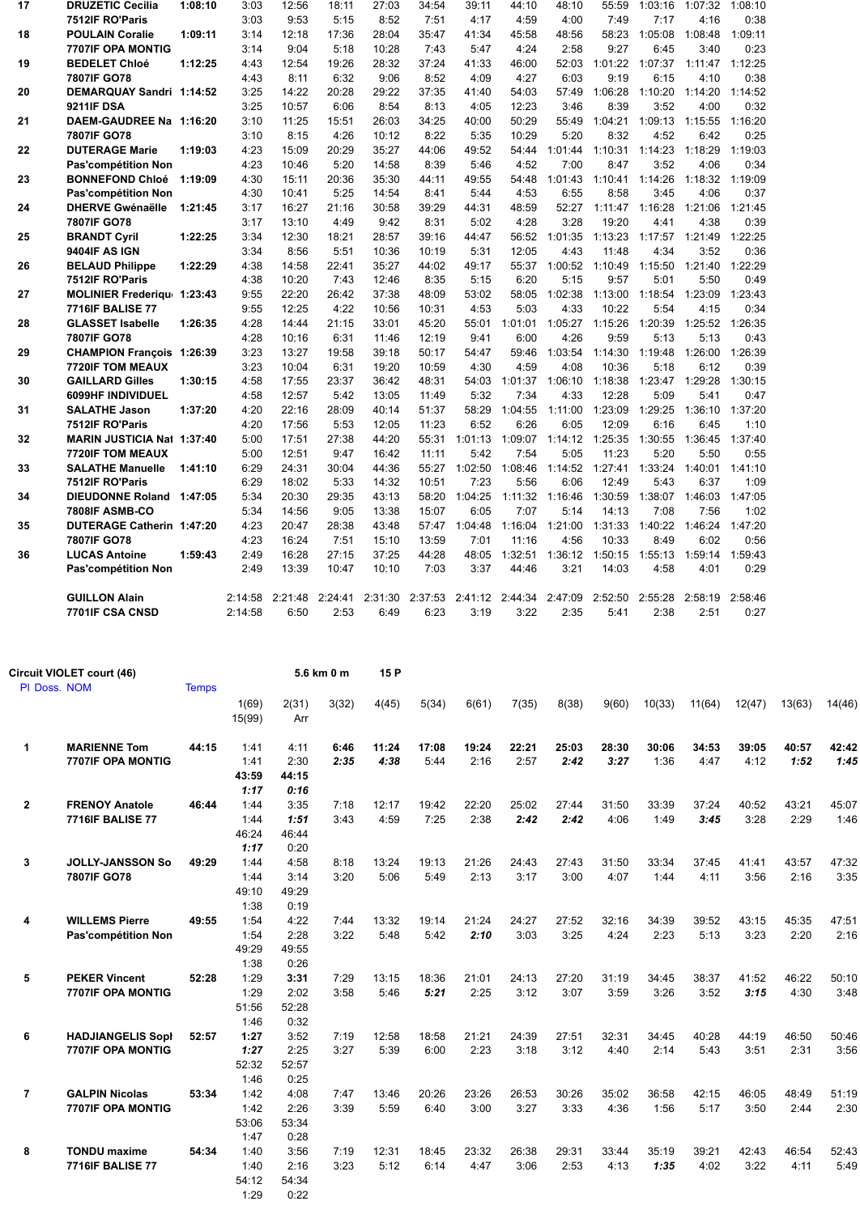| 17 | <b>DRUZETIC Cecilia</b>           | 1:08:10 | 3:03    | 12:56           | 18:11   | 27:03   | 34:54   | 39:11   | 44:10   | 48:10   | 55:59   | 1:03:16         | 1:07:32         | 1:08:10 |  |
|----|-----------------------------------|---------|---------|-----------------|---------|---------|---------|---------|---------|---------|---------|-----------------|-----------------|---------|--|
|    | 7512IF RO'Paris                   |         | 3:03    | 9:53            | 5:15    | 8:52    | 7:51    | 4:17    | 4:59    | 4:00    | 7:49    | 7:17            | 4:16            | 0:38    |  |
| 18 | <b>POULAIN Coralie</b>            | 1:09:11 | 3:14    | 12:18           | 17:36   | 28:04   | 35:47   | 41:34   | 45:58   | 48:56   | 58:23   | 1:05:08         | 1:08:48         | 1:09:11 |  |
|    | <b>7707IF OPA MONTIG</b>          |         | 3:14    | 9:04            | 5:18    | 10:28   | 7:43    | 5:47    | 4:24    | 2:58    | 9:27    | 6:45            | 3:40            | 0:23    |  |
| 19 | <b>BEDELET Chloé</b>              | 1:12:25 | 4:43    | 12:54           | 19:26   | 28:32   | 37:24   | 41:33   | 46:00   | 52:03   | 1:01:22 | 1:07:37         | 1:11:47         | 1:12:25 |  |
|    | 7807IF GO78                       |         | 4:43    | 8:11            | 6:32    | 9:06    | 8:52    | 4:09    | 4:27    | 6:03    | 9:19    | 6:15            | 4:10            | 0:38    |  |
| 20 | DEMARQUAY Sandri 1:14:52          |         | 3:25    | 14:22           | 20:28   | 29:22   | 37:35   | 41:40   | 54:03   | 57:49   | 1:06:28 | 1:10:20         | 1:14:20         | 1:14:52 |  |
|    | <b>9211IF DSA</b>                 |         | 3:25    | 10:57           | 6:06    | 8:54    | 8:13    | 4:05    | 12:23   | 3:46    | 8:39    | 3:52            | 4:00            | 0:32    |  |
| 21 | DAEM-GAUDREE Na 1:16:20           |         | 3:10    | 11:25           | 15:51   | 26:03   | 34:25   | 40:00   | 50:29   | 55:49   | 1:04:21 | 1:09:13 1:15:55 |                 | 1:16:20 |  |
|    | 7807IF GO78                       |         | 3:10    | 8:15            | 4:26    | 10:12   | 8:22    | 5:35    | 10:29   | 5:20    | 8:32    | 4:52            | 6:42            | 0:25    |  |
| 22 | <b>DUTERAGE Marie</b>             | 1:19:03 | 4:23    | 15:09           | 20:29   | 35:27   | 44:06   | 49:52   | 54:44   | 1:01:44 | 1:10:31 | 1:14:23         | 1:18:29         | 1:19:03 |  |
|    | Pas'compétition Non               |         | 4:23    | 10:46           | 5:20    | 14:58   | 8:39    | 5:46    | 4:52    | 7:00    | 8:47    | 3:52            | 4:06            | 0:34    |  |
| 23 | <b>BONNEFOND Chloé</b>            | 1:19:09 | 4:30    | 15:11           | 20:36   | 35:30   | 44:11   | 49:55   | 54:48   | 1:01:43 | 1:10:41 | 1:14:26         | 1:18:32         | 1:19:09 |  |
|    | Pas'compétition Non               |         | 4:30    | 10:41           | 5:25    | 14:54   | 8:41    | 5:44    | 4:53    | 6:55    | 8:58    | 3:45            | 4:06            | 0:37    |  |
| 24 | <b>DHERVE Gwénaëlle</b>           | 1:21:45 | 3:17    | 16:27           | 21:16   | 30:58   | 39:29   | 44:31   | 48:59   | 52:27   | 1:11:47 | 1:16:28         | 1:21:06         | 1:21:45 |  |
|    | 7807IF GO78                       |         | 3:17    | 13:10           | 4:49    | 9:42    | 8:31    | 5:02    | 4:28    | 3:28    | 19:20   | 4:41            | 4:38            | 0:39    |  |
| 25 | <b>BRANDT Cyril</b>               | 1:22:25 | 3:34    | 12:30           | 18:21   | 28:57   | 39:16   | 44:47   | 56:52   | 1:01:35 | 1:13:23 | 1:17:57 1:21:49 |                 | 1:22:25 |  |
|    | 9404IF AS IGN                     |         | 3:34    | 8:56            | 5:51    | 10:36   | 10:19   | 5:31    | 12:05   | 4:43    | 11:48   | 4:34            | 3:52            | 0:36    |  |
| 26 | <b>BELAUD Philippe</b>            | 1:22:29 | 4:38    | 14:58           | 22:41   | 35:27   | 44:02   | 49:17   | 55:37   | 1:00:52 | 1:10:49 | 1:15:50         | 1:21:40         | 1:22:29 |  |
|    | 7512IF RO'Paris                   |         | 4:38    | 10:20           | 7:43    | 12:46   | 8:35    | 5:15    | 6:20    | 5:15    | 9:57    | 5:01            | 5:50            | 0:49    |  |
| 27 | <b>MOLINIER Frederigu 1:23:43</b> |         | 9:55    | 22:20           | 26:42   | 37:38   | 48:09   | 53:02   | 58:05   | 1:02:38 | 1:13:00 | 1:18:54         | 1:23:09         | 1:23:43 |  |
|    | <b>7716IF BALISE 77</b>           |         | 9:55    | 12:25           | 4:22    | 10:56   | 10:31   | 4:53    | 5:03    | 4:33    | 10:22   | 5:54            | 4:15            | 0:34    |  |
| 28 | <b>GLASSET Isabelle</b>           | 1:26:35 | 4:28    | 14:44           | 21:15   | 33:01   | 45:20   | 55:01   | 1:01:01 | 1:05:27 | 1:15:26 | 1:20:39         | 1:25:52         | 1:26:35 |  |
|    | 7807IF GO78                       |         | 4:28    | 10:16           | 6:31    | 11:46   | 12:19   | 9:41    | 6:00    | 4:26    | 9:59    | 5:13            | 5:13            | 0:43    |  |
| 29 | <b>CHAMPION Francois 1:26:39</b>  |         | 3:23    | 13:27           | 19:58   | 39:18   | 50:17   | 54:47   | 59:46   | 1:03:54 | 1:14:30 | 1:19:48         | 1:26:00         | 1:26:39 |  |
|    | <b>7720IF TOM MEAUX</b>           |         | 3:23    | 10:04           | 6:31    | 19:20   | 10:59   | 4:30    | 4:59    | 4:08    | 10:36   | 5:18            | 6:12            | 0:39    |  |
| 30 | <b>GAILLARD Gilles</b>            | 1:30:15 | 4:58    | 17:55           | 23:37   | 36:42   | 48:31   | 54:03   | 1:01:37 | 1:06:10 | 1:18:38 | 1:23:47 1:29:28 |                 | 1:30:15 |  |
|    | 6099HF INDIVIDUEL                 |         | 4:58    | 12:57           | 5:42    | 13:05   | 11:49   | 5:32    | 7:34    | 4:33    | 12:28   | 5:09            | 5:41            | 0:47    |  |
| 31 | <b>SALATHE Jason</b>              | 1:37:20 | 4:20    | 22:16           | 28:09   | 40:14   | 51:37   | 58:29   | 1:04:55 | 1:11:00 | 1:23:09 | 1:29:25         | 1:36:10         | 1:37:20 |  |
|    | 7512IF RO'Paris                   |         | 4:20    | 17:56           | 5:53    | 12:05   | 11:23   | 6:52    | 6:26    | 6:05    | 12:09   | 6:16            | 6:45            | 1:10    |  |
| 32 | <b>MARIN JUSTICIA Nat 1:37:40</b> |         | 5:00    | 17:51           | 27:38   | 44:20   | 55:31   | 1:01:13 | 1:09:07 | 1:14:12 | 1:25:35 | 1:30:55         | 1:36:45         | 1:37:40 |  |
|    | <b>7720IF TOM MEAUX</b>           |         | 5:00    | 12:51           | 9:47    | 16:42   | 11:11   | 5:42    | 7:54    | 5:05    | 11:23   | 5:20            | 5:50            | 0:55    |  |
| 33 | <b>SALATHE Manuelle</b>           | 1:41:10 | 6:29    | 24:31           | 30:04   | 44:36   | 55:27   | 1:02:50 | 1:08:46 | 1:14:52 | 1:27:41 | 1:33:24         | 1:40:01         | 1:41:10 |  |
|    | 7512IF RO'Paris                   |         | 6:29    | 18:02           | 5:33    | 14:32   | 10:51   | 7:23    | 5:56    | 6:06    | 12:49   | 5:43            | 6:37            | 1:09    |  |
| 34 | DIEUDONNE Roland 1:47:05          |         | 5:34    | 20:30           | 29:35   | 43:13   | 58:20   | 1:04:25 | 1:11:32 | 1:16:46 | 1:30:59 |                 | 1:38:07 1:46:03 | 1:47:05 |  |
|    | 7808IF ASMB-CO                    |         | 5:34    | 14:56           | 9:05    | 13:38   | 15:07   | 6:05    | 7:07    | 5:14    | 14:13   | 7:08            | 7:56            | 1:02    |  |
| 35 | DUTERAGE Catherin 1:47:20         |         | 4:23    | 20:47           | 28:38   | 43:48   | 57:47   | 1:04:48 | 1:16:04 | 1:21:00 | 1:31:33 | 1:40:22         | 1:46:24         | 1:47:20 |  |
|    | 7807IF GO78                       |         | 4:23    | 16:24           | 7:51    | 15:10   | 13:59   | 7:01    | 11:16   | 4:56    | 10:33   | 8:49            | 6:02            | 0:56    |  |
| 36 | <b>LUCAS Antoine</b>              | 1:59:43 | 2:49    | 16:28           | 27:15   | 37:25   | 44:28   | 48:05   | 1:32:51 | 1:36:12 | 1:50:15 | 1:55:13         | 1:59:14         | 1:59:43 |  |
|    | Pas'compétition Non               |         | 2:49    | 13:39           | 10:47   | 10:10   | 7:03    | 3:37    | 44:46   | 3:21    | 14:03   | 4:58            | 4:01            | 0:29    |  |
|    | <b>GUILLON Alain</b>              |         |         | 2:14:58 2:21:48 | 2:24:41 | 2:31:30 | 2:37:53 | 2:41:12 | 2:44:34 | 2:47:09 | 2:52:50 | 2:55:28         | 2:58:19         | 2:58:46 |  |
|    | 7701IF CSA CNSD                   |         | 2:14:58 | 6:50            | 2:53    | 6:49    | 6:23    | 3:19    | 3:22    | 2:35    | 5:41    | 2:38            | 2:51            | 0:27    |  |
|    |                                   |         |         |                 |         |         |         |         |         |         |         |                 |                 |         |  |

|                | Circuit VIOLET court (46) |              |                 |              | 5.6 km 0 m | 15 P  |       |       |       |       |       |        |        |        |        |        |
|----------------|---------------------------|--------------|-----------------|--------------|------------|-------|-------|-------|-------|-------|-------|--------|--------|--------|--------|--------|
| PI Doss, NOM   |                           | <b>Temps</b> |                 |              |            |       |       |       |       |       |       |        |        |        |        |        |
|                |                           |              | 1(69)<br>15(99) | 2(31)<br>Arr | 3(32)      | 4(45) | 5(34) | 6(61) | 7(35) | 8(38) | 9(60) | 10(33) | 11(64) | 12(47) | 13(63) | 14(46) |
| 1              | <b>MARIENNE Tom</b>       | 44:15        | 1:41            | 4:11         | 6:46       | 11:24 | 17:08 | 19:24 | 22:21 | 25:03 | 28:30 | 30:06  | 34:53  | 39:05  | 40:57  | 42:42  |
|                | 7707IF OPA MONTIG         |              | 1:41            | 2:30         | 2:35       | 4:38  | 5:44  | 2:16  | 2:57  | 2:42  | 3:27  | 1:36   | 4:47   | 4:12   | 1:52   | 1:45   |
|                |                           |              | 43:59           | 44:15        |            |       |       |       |       |       |       |        |        |        |        |        |
|                |                           |              | 1:17            | 0:16         |            |       |       |       |       |       |       |        |        |        |        |        |
| $\overline{2}$ | <b>FRENOY Anatole</b>     | 46:44        | 1:44            | 3:35         | 7:18       | 12:17 | 19:42 | 22:20 | 25:02 | 27:44 | 31:50 | 33:39  | 37:24  | 40:52  | 43:21  | 45:07  |
|                | <b>7716IF BALISE 77</b>   |              | 1:44            | 1:51         | 3:43       | 4:59  | 7:25  | 2:38  | 2:42  | 2:42  | 4:06  | 1:49   | 3:45   | 3:28   | 2:29   | 1:46   |
|                |                           |              | 46:24           | 46:44        |            |       |       |       |       |       |       |        |        |        |        |        |
|                |                           |              | 1:17            | 0:20         |            |       |       |       |       |       |       |        |        |        |        |        |
| 3              | <b>JOLLY-JANSSON So</b>   | 49:29        | 1:44            | 4:58         | 8:18       | 13:24 | 19:13 | 21:26 | 24:43 | 27:43 | 31:50 | 33:34  | 37:45  | 41:41  | 43:57  | 47:32  |
|                | 7807IF GO78               |              | 1:44            | 3:14         | 3:20       | 5:06  | 5:49  | 2:13  | 3:17  | 3:00  | 4:07  | 1:44   | 4:11   | 3:56   | 2:16   | 3:35   |
|                |                           |              | 49:10           | 49:29        |            |       |       |       |       |       |       |        |        |        |        |        |
|                |                           |              | 1:38            | 0:19         |            |       |       |       |       |       |       |        |        |        |        |        |
| 4              | <b>WILLEMS Pierre</b>     | 49:55        | 1:54            | 4:22         | 7:44       | 13:32 | 19:14 | 21:24 | 24:27 | 27:52 | 32:16 | 34:39  | 39:52  | 43:15  | 45:35  | 47:51  |
|                | Pas'compétition Non       |              | 1:54            | 2:28         | 3:22       | 5:48  | 5:42  | 2:10  | 3:03  | 3:25  | 4:24  | 2:23   | 5:13   | 3:23   | 2:20   | 2:16   |
|                |                           |              | 49:29           | 49:55        |            |       |       |       |       |       |       |        |        |        |        |        |
|                |                           |              | 1:38            | 0:26         |            |       |       |       |       |       |       |        |        |        |        |        |
| 5              | <b>PEKER Vincent</b>      | 52:28        | 1:29            | 3:31         | 7:29       | 13:15 | 18:36 | 21:01 | 24:13 | 27:20 | 31:19 | 34:45  | 38:37  | 41:52  | 46:22  | 50:10  |
|                | <b>7707IF OPA MONTIG</b>  |              | 1:29            | 2:02         | 3:58       | 5:46  | 5:21  | 2:25  | 3:12  | 3:07  | 3:59  | 3:26   | 3:52   | 3:15   | 4:30   | 3:48   |
|                |                           |              | 51:56           | 52:28        |            |       |       |       |       |       |       |        |        |        |        |        |
|                |                           |              | 1:46            | 0:32         |            |       |       |       |       |       |       |        |        |        |        |        |
| 6              | <b>HADJIANGELIS Sopi</b>  | 52:57        | 1:27            | 3:52         | 7:19       | 12:58 | 18:58 | 21:21 | 24:39 | 27:51 | 32:31 | 34:45  | 40:28  | 44:19  | 46:50  | 50:46  |
|                | 7707IF OPA MONTIG         |              | 1:27            | 2:25         | 3:27       | 5:39  | 6:00  | 2:23  | 3:18  | 3:12  | 4:40  | 2:14   | 5:43   | 3:51   | 2:31   | 3:56   |
|                |                           |              | 52:32           | 52:57        |            |       |       |       |       |       |       |        |        |        |        |        |
|                |                           |              | 1:46            | 0:25         |            |       |       |       |       |       |       |        |        |        |        |        |
| $\overline{7}$ | <b>GALPIN Nicolas</b>     | 53:34        | 1:42            | 4:08         | 7:47       | 13:46 | 20:26 | 23:26 | 26:53 | 30:26 | 35:02 | 36:58  | 42:15  | 46:05  | 48:49  | 51:19  |
|                | <b>7707IF OPA MONTIG</b>  |              | 1:42            | 2:26         | 3:39       | 5:59  | 6:40  | 3:00  | 3:27  | 3:33  | 4:36  | 1:56   | 5:17   | 3:50   | 2:44   | 2:30   |
|                |                           |              | 53:06           | 53:34        |            |       |       |       |       |       |       |        |        |        |        |        |
|                |                           |              | 1:47            | 0:28         |            |       |       |       |       |       |       |        |        |        |        |        |
| 8              | <b>TONDU</b> maxime       | 54:34        | 1:40            | 3:56         | 7:19       | 12:31 | 18:45 | 23:32 | 26:38 | 29:31 | 33:44 | 35:19  | 39:21  | 42:43  | 46:54  | 52:43  |
|                | <b>7716IF BALISE 77</b>   |              | 1:40            | 2:16         | 3:23       | 5:12  | 6:14  | 4:47  | 3:06  | 2:53  | 4:13  | 1:35   | 4:02   | 3:22   | 4:11   | 5:49   |
|                |                           |              | 54:12           | 54:34        |            |       |       |       |       |       |       |        |        |        |        |        |
|                |                           |              | 1:29            | 0:22         |            |       |       |       |       |       |       |        |        |        |        |        |
|                |                           |              |                 |              |            |       |       |       |       |       |       |        |        |        |        |        |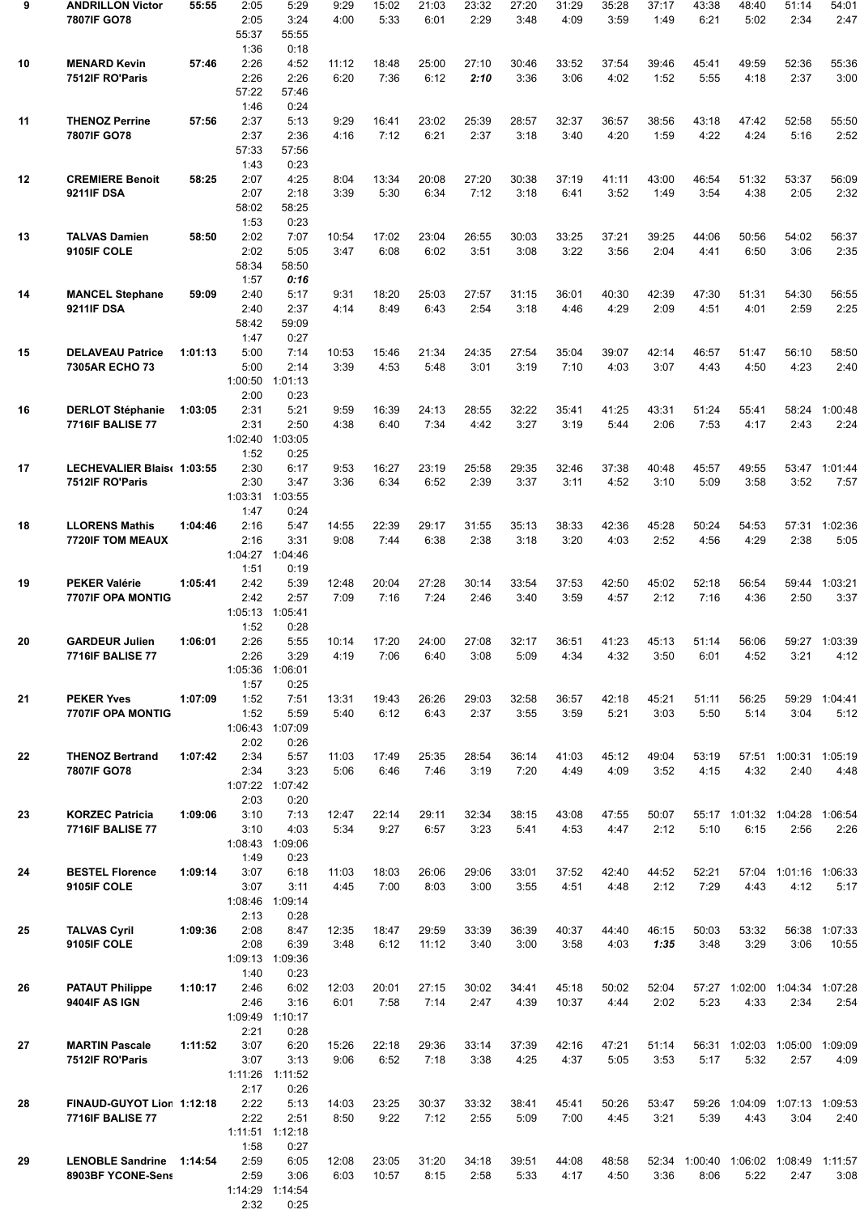| 9  | <b>ANDRILLON Victor</b><br>7807IF GO78               | 55:55   | 2:05<br>2:05<br>55:37<br>1:36   | 5:29<br>3:24<br>55:55<br>0:18   | 9:29<br>4:00  | 15:02<br>5:33  | 21:03<br>6:01  | 23:32<br>2:29 | 27:20<br>3:48 | 31:29<br>4:09  | 35:28<br>3:59 | 37:17<br>1:49 | 43:38<br>6:21 | 48:40<br>5:02                   | 51:14<br>2:34                         | 54:01<br>2:47           |
|----|------------------------------------------------------|---------|---------------------------------|---------------------------------|---------------|----------------|----------------|---------------|---------------|----------------|---------------|---------------|---------------|---------------------------------|---------------------------------------|-------------------------|
| 10 | <b>MENARD Kevin</b><br>7512IF RO'Paris               | 57:46   | 2:26<br>2:26<br>57:22<br>1:46   | 4:52<br>2:26<br>57:46<br>0:24   | 11:12<br>6:20 | 18:48<br>7:36  | 25:00<br>6:12  | 27:10<br>2:10 | 30:46<br>3:36 | 33:52<br>3:06  | 37:54<br>4:02 | 39:46<br>1:52 | 45:41<br>5:55 | 49:59<br>4:18                   | 52:36<br>2:37                         | 55:36<br>3:00           |
| 11 | <b>THENOZ Perrine</b><br>7807IF GO78                 | 57:56   | 2:37<br>2:37<br>57:33<br>1:43   | 5:13<br>2:36<br>57:56<br>0:23   | 9:29<br>4:16  | 16:41<br>7:12  | 23:02<br>6:21  | 25:39<br>2:37 | 28:57<br>3:18 | 32:37<br>3:40  | 36:57<br>4:20 | 38:56<br>1:59 | 43:18<br>4:22 | 47:42<br>4:24                   | 52:58<br>5:16                         | 55:50<br>2:52           |
| 12 | <b>CREMIERE Benoit</b><br><b>9211IF DSA</b>          | 58:25   | 2:07<br>2:07<br>58:02<br>1:53   | 4:25<br>2:18<br>58:25<br>0:23   | 8:04<br>3:39  | 13:34<br>5:30  | 20:08<br>6:34  | 27:20<br>7:12 | 30:38<br>3:18 | 37:19<br>6:41  | 41:11<br>3:52 | 43:00<br>1:49 | 46:54<br>3:54 | 51:32<br>4:38                   | 53:37<br>2:05                         | 56:09<br>2:32           |
| 13 | <b>TALVAS Damien</b><br>9105IF COLE                  | 58:50   | 2:02<br>2:02<br>58:34<br>1:57   | 7:07<br>5:05<br>58:50<br>0:16   | 10:54<br>3:47 | 17:02<br>6:08  | 23:04<br>6:02  | 26:55<br>3:51 | 30:03<br>3:08 | 33:25<br>3:22  | 37:21<br>3:56 | 39:25<br>2:04 | 44:06<br>4:41 | 50:56<br>6:50                   | 54:02<br>3:06                         | 56:37<br>2:35           |
| 14 | <b>MANCEL Stephane</b><br><b>9211IF DSA</b>          | 59:09   | 2:40<br>2:40<br>58:42<br>1:47   | 5:17<br>2:37<br>59:09<br>0:27   | 9:31<br>4:14  | 18:20<br>8:49  | 25:03<br>6:43  | 27:57<br>2:54 | 31:15<br>3:18 | 36:01<br>4:46  | 40:30<br>4:29 | 42:39<br>2:09 | 47:30<br>4:51 | 51:31<br>4:01                   | 54:30<br>2:59                         | 56:55<br>2:25           |
| 15 | <b>DELAVEAU Patrice</b><br>7305AR ECHO 73            | 1:01:13 | 5:00<br>5:00<br>1:00:50<br>2:00 | 7:14<br>2:14<br>1:01:13<br>0:23 | 10:53<br>3:39 | 15:46<br>4:53  | 21:34<br>5:48  | 24:35<br>3:01 | 27:54<br>3:19 | 35:04<br>7:10  | 39:07<br>4:03 | 42:14<br>3:07 | 46:57<br>4:43 | 51:47<br>4:50                   | 56:10<br>4:23                         | 58:50<br>2:40           |
| 16 | <b>DERLOT Stéphanie</b><br><b>7716IF BALISE 77</b>   | 1:03:05 | 2:31<br>2:31<br>1:02:40<br>1:52 | 5:21<br>2:50<br>1:03:05<br>0:25 | 9:59<br>4:38  | 16:39<br>6:40  | 24:13<br>7:34  | 28:55<br>4:42 | 32:22<br>3:27 | 35:41<br>3:19  | 41:25<br>5:44 | 43:31<br>2:06 | 51:24<br>7:53 | 55:41<br>4:17                   | 58:24<br>2:43                         | 1:00:48<br>2:24         |
| 17 | LECHEVALIER Blais( 1:03:55<br>7512IF RO'Paris        |         | 2:30<br>2:30<br>1:03:31<br>1:47 | 6:17<br>3:47<br>1:03:55<br>0:24 | 9:53<br>3:36  | 16:27<br>6:34  | 23:19<br>6:52  | 25:58<br>2:39 | 29:35<br>3:37 | 32:46<br>3:11  | 37:38<br>4:52 | 40:48<br>3:10 | 45:57<br>5:09 | 49:55<br>3:58                   | 53:47<br>3:52                         | 1:01:44<br>7:57         |
| 18 | <b>LLORENS Mathis</b><br><b>7720IF TOM MEAUX</b>     | 1:04:46 | 2:16<br>2:16<br>1:04:27<br>1:51 | 5:47<br>3:31<br>1:04:46<br>0:19 | 14:55<br>9:08 | 22:39<br>7:44  | 29:17<br>6:38  | 31:55<br>2:38 | 35:13<br>3:18 | 38:33<br>3:20  | 42:36<br>4:03 | 45:28<br>2:52 | 50:24<br>4:56 | 54:53<br>4:29                   | 57:31<br>2:38                         | 1:02:36<br>5:05         |
| 19 | <b>PEKER Valérie</b><br><b>7707IF OPA MONTIG</b>     | 1:05:41 | 2:42<br>2:42<br>1:05:13<br>1:52 | 5:39<br>2:57<br>1:05:41<br>0:28 | 12:48<br>7:09 | 20:04<br>7:16  | 27:28<br>7:24  | 30:14<br>2:46 | 33:54<br>3:40 | 37:53<br>3:59  | 42:50<br>4:57 | 45:02<br>2:12 | 52:18<br>7:16 | 56:54<br>4:36                   | 59:44<br>2:50                         | 1:03:21<br>3:37         |
| 20 | <b>GARDEUR Julien</b><br><b>7716IF BALISE 77</b>     | 1:06:01 | 2:26<br>2:26<br>1:05:36<br>1:57 | 5:55<br>3:29<br>1:06:01<br>0:25 | 10:14<br>4:19 | 17:20<br>7:06  | 24:00<br>6:40  | 27:08<br>3:08 | 32:17<br>5:09 | 36:51<br>4:34  | 41:23<br>4:32 | 45:13<br>3:50 | 51:14<br>6:01 | 56:06<br>4:52                   | 3:21                                  | 59:27 1:03:39<br>4:12   |
| 21 | <b>PEKER Yves</b><br>7707IF OPA MONTIG               | 1:07:09 | 1:52<br>1:52<br>1:06:43<br>2:02 | 7:51<br>5:59<br>1:07:09<br>0:26 | 13:31<br>5:40 | 19:43<br>6:12  | 26:26<br>6:43  | 29:03<br>2:37 | 32:58<br>3:55 | 36:57<br>3:59  | 42:18<br>5:21 | 45:21<br>3:03 | 51:11<br>5:50 | 56:25<br>5:14                   | 59:29<br>3:04                         | 1:04:41<br>5:12         |
| 22 | <b>THENOZ Bertrand</b><br>7807IF GO78                | 1:07:42 | 2:34<br>2:34<br>1:07:22<br>2:03 | 5:57<br>3:23<br>1:07:42<br>0:20 | 11:03<br>5:06 | 17:49<br>6:46  | 25:35<br>7:46  | 28:54<br>3:19 | 36:14<br>7:20 | 41:03<br>4:49  | 45:12<br>4:09 | 49:04<br>3:52 | 53:19<br>4:15 | 4:32                            | 57:51 1:00:31 1:05:19<br>2:40         | 4:48                    |
| 23 | <b>KORZEC Patricia</b><br><b>7716IF BALISE 77</b>    | 1:09:06 | 3:10<br>3:10<br>1:08:43<br>1:49 | 7:13<br>4:03<br>1:09:06<br>0:23 | 12:47<br>5:34 | 22:14<br>9:27  | 29:11<br>6:57  | 32:34<br>3:23 | 38:15<br>5:41 | 43:08<br>4:53  | 47:55<br>4:47 | 50:07<br>2:12 | 5:10          | 55:17 1:01:32 1:04:28<br>6:15   | 2:56                                  | 1:06:54<br>2:26         |
| 24 | <b>BESTEL Florence</b><br>9105IF COLE                | 1:09:14 | 3:07<br>3:07<br>1:08:46<br>2:13 | 6:18<br>3:11<br>1:09:14<br>0:28 | 11:03<br>4:45 | 18:03<br>7:00  | 26:06<br>8:03  | 29:06<br>3:00 | 33:01<br>3:55 | 37:52<br>4:51  | 42:40<br>4:48 | 44:52<br>2:12 | 52:21<br>7:29 | 4:43                            | 57:04 1:01:16<br>4:12                 | 1:06:33<br>5:17         |
| 25 | <b>TALVAS Cyril</b><br>9105IF COLE                   | 1:09:36 | 2:08<br>2:08<br>1:09:13<br>1:40 | 8:47<br>6:39<br>1:09:36<br>0:23 | 12:35<br>3:48 | 18:47<br>6:12  | 29:59<br>11:12 | 33:39<br>3:40 | 36:39<br>3:00 | 40:37<br>3:58  | 44:40<br>4:03 | 46:15<br>1:35 | 50:03<br>3:48 | 53:32<br>3:29                   | 56:38<br>3:06                         | 1:07:33<br>10:55        |
| 26 | <b>PATAUT Philippe</b><br>9404IF AS IGN              | 1:10:17 | 2:46<br>2:46<br>1:09:49<br>2:21 | 6:02<br>3:16<br>1:10:17<br>0:28 | 12:03<br>6:01 | 20:01<br>7:58  | 27:15<br>7:14  | 30:02<br>2:47 | 34:41<br>4:39 | 45:18<br>10:37 | 50:02<br>4:44 | 52:04<br>2:02 | 5:23          | 4:33                            | 57:27 1:02:00 1:04:34 1:07:28<br>2:34 | 2:54                    |
| 27 | <b>MARTIN Pascale</b><br>7512IF RO'Paris             | 1:11:52 | 3:07<br>3:07<br>1:11:26<br>2:17 | 6:20<br>3:13<br>1:11:52<br>0:26 | 15:26<br>9:06 | 22:18<br>6:52  | 29:36<br>7:18  | 33:14<br>3:38 | 37:39<br>4:25 | 42:16<br>4:37  | 47:21<br>5:05 | 51:14<br>3:53 | 5:17          | 56:31 1:02:03<br>5:32           | 1:05:00<br>2:57                       | 1:09:09<br>4:09         |
| 28 | FINAUD-GUYOT Lion 1:12:18<br><b>7716IF BALISE 77</b> |         | 2:22<br>2:22<br>1:11:51<br>1:58 | 5:13<br>2:51<br>1:12:18<br>0:27 | 14:03<br>8:50 | 23:25<br>9:22  | 30:37<br>7:12  | 33:32<br>2:55 | 38:41<br>5:09 | 45:41<br>7:00  | 50:26<br>4:45 | 53:47<br>3:21 | 59:26<br>5:39 | 1:04:09<br>4:43                 | 3:04                                  | 1:07:13 1:09:53<br>2:40 |
| 29 | <b>LENOBLE Sandrine</b><br>8903BF YCONE-Sens         | 1:14:54 | 2:59<br>2:59<br>1:14:29<br>2:32 | 6:05<br>3:06<br>1:14:54<br>0:25 | 12:08<br>6:03 | 23:05<br>10:57 | 31:20<br>8:15  | 34:18<br>2:58 | 39:51<br>5:33 | 44:08<br>4:17  | 48:58<br>4:50 | 52:34<br>3:36 | 8:06          | 1:00:40 1:06:02 1:08:49<br>5:22 | 2:47                                  | 1:11:57<br>3:08         |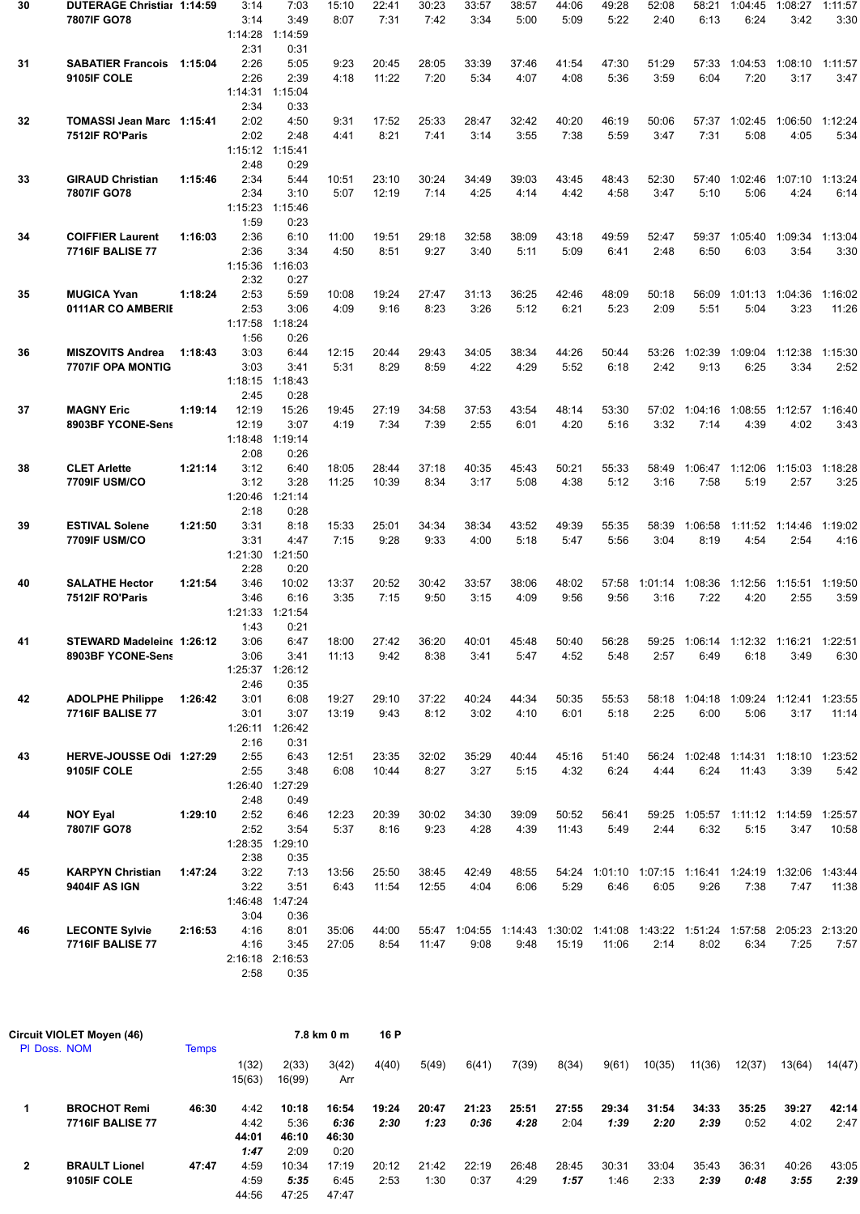| 30 | DUTERAGE Christial 1:14:59                         |         | 3:14            | 7:03                    | 15:10          | 22:41          | 30:23          | 33:57         | 38:57         | 44:06         | 49:28         | 52:08         | 58:21           | 1:04:45                                                                       | 1:08:27         | 1:11:57          |
|----|----------------------------------------------------|---------|-----------------|-------------------------|----------------|----------------|----------------|---------------|---------------|---------------|---------------|---------------|-----------------|-------------------------------------------------------------------------------|-----------------|------------------|
|    | 7807IF GO78                                        |         | 3:14            | 3:49                    | 8:07           | 7:31           | 7:42           | 3:34          | 5:00          | 5:09          | 5:22          | 2:40          | 6:13            | 6:24                                                                          | 3:42            | 3:30             |
|    |                                                    |         | 1:14:28         | 1:14:59                 |                |                |                |               |               |               |               |               |                 |                                                                               |                 |                  |
| 31 | <b>SABATIER Francois 1:15:04</b>                   |         | 2:31<br>2:26    | 0:31<br>5:05            | 9:23           | 20:45          | 28:05          | 33:39         | 37:46         | 41:54         | 47:30         | 51:29         |                 | 57:33 1:04:53                                                                 | 1:08:10         | 1:11:57          |
|    | 9105IF COLE                                        |         | 2:26            | 2:39                    | 4:18           | 11:22          | 7:20           | 5:34          | 4:07          | 4:08          | 5:36          | 3:59          | 6:04            | 7:20                                                                          | 3:17            | 3:47             |
|    |                                                    |         | 1:14:31         | 1:15:04                 |                |                |                |               |               |               |               |               |                 |                                                                               |                 |                  |
|    |                                                    |         | 2:34            | 0:33                    |                |                |                |               |               |               |               |               |                 |                                                                               |                 |                  |
| 32 | TOMASSI Jean Marc 1:15:41<br>7512IF RO'Paris       |         | 2:02<br>2:02    | 4:50<br>2:48            | 9:31<br>4:41   | 17:52<br>8:21  | 25:33<br>7:41  | 28:47<br>3:14 | 32:42<br>3:55 | 40:20<br>7:38 | 46:19<br>5:59 | 50:06<br>3:47 | 57:37<br>7:31   | 1:02:45<br>5:08                                                               | 1:06:50<br>4:05 | 1:12:24<br>5:34  |
|    |                                                    |         | 1:15:12 1:15:41 |                         |                |                |                |               |               |               |               |               |                 |                                                                               |                 |                  |
|    |                                                    |         | 2:48            | 0:29                    |                |                |                |               |               |               |               |               |                 |                                                                               |                 |                  |
| 33 | <b>GIRAUD Christian</b>                            | 1:15:46 | 2:34            | 5:44                    | 10:51          | 23:10          | 30:24          | 34:49         | 39:03         | 43:45         | 48:43         | 52:30         | 57:40           | 1:02:46                                                                       | 1:07:10         | 1:13:24          |
|    | 7807IF GO78                                        |         | 2:34            | 3:10                    | 5:07           | 12:19          | 7:14           | 4:25          | 4:14          | 4:42          | 4:58          | 3:47          | 5:10            | 5:06                                                                          | 4:24            | 6:14             |
|    |                                                    |         | 1:15:23<br>1:59 | 1:15:46<br>0:23         |                |                |                |               |               |               |               |               |                 |                                                                               |                 |                  |
| 34 | <b>COIFFIER Laurent</b>                            | 1:16:03 | 2:36            | 6:10                    | 11:00          | 19:51          | 29:18          | 32:58         | 38:09         | 43:18         | 49:59         | 52:47         | 59:37           | 1:05:40                                                                       | 1:09:34         | 1:13:04          |
|    | <b>7716IF BALISE 77</b>                            |         | 2:36            | 3:34                    | 4:50           | 8:51           | 9:27           | 3:40          | 5:11          | 5:09          | 6:41          | 2:48          | 6:50            | 6:03                                                                          | 3:54            | 3:30             |
|    |                                                    |         | 1:15:36         | 1:16:03                 |                |                |                |               |               |               |               |               |                 |                                                                               |                 |                  |
|    |                                                    |         | 2:32            | 0:27                    |                |                |                |               |               |               |               |               |                 |                                                                               |                 |                  |
| 35 | <b>MUGICA Yvan</b><br>0111AR CO AMBERIE            | 1:18:24 | 2:53<br>2:53    | 5:59<br>3:06            | 10:08<br>4:09  | 19:24<br>9:16  | 27:47<br>8:23  | 31:13<br>3:26 | 36:25<br>5:12 | 42:46<br>6:21 | 48:09<br>5:23 | 50:18<br>2:09 | 56:09<br>5:51   | 1:01:13<br>5:04                                                               | 1:04:36<br>3:23 | 1:16:02<br>11:26 |
|    |                                                    |         | 1:17:58         | 1:18:24                 |                |                |                |               |               |               |               |               |                 |                                                                               |                 |                  |
|    |                                                    |         | 1:56            | 0:26                    |                |                |                |               |               |               |               |               |                 |                                                                               |                 |                  |
| 36 | <b>MISZOVITS Andrea</b>                            | 1:18:43 | 3:03            | 6:44                    | 12:15          | 20:44          | 29:43          | 34:05         | 38:34         | 44:26         | 50:44         | 53:26         | 1:02:39         | 1:09:04 1:12:38                                                               |                 | 1:15:30          |
|    | <b>7707IF OPA MONTIG</b>                           |         | 3:03            | 3:41<br>1:18:43         | 5:31           | 8:29           | 8:59           | 4:22          | 4:29          | 5:52          | 6:18          | 2:42          | 9:13            | 6:25                                                                          | 3:34            | 2:52             |
|    |                                                    |         | 1:18:15<br>2:45 | 0:28                    |                |                |                |               |               |               |               |               |                 |                                                                               |                 |                  |
| 37 | <b>MAGNY Eric</b>                                  | 1:19:14 | 12:19           | 15:26                   | 19:45          | 27:19          | 34:58          | 37:53         | 43:54         | 48:14         | 53:30         |               | 57:02 1:04:16   | 1:08:55                                                                       | 1:12:57         | 1:16:40          |
|    | 8903BF YCONE-Sens                                  |         | 12:19           | 3:07                    | 4:19           | 7:34           | 7:39           | 2:55          | 6:01          | 4:20          | 5:16          | 3:32          | 7:14            | 4:39                                                                          | 4:02            | 3:43             |
|    |                                                    |         | 1:18:48         | 1:19:14                 |                |                |                |               |               |               |               |               |                 |                                                                               |                 |                  |
|    |                                                    |         | 2:08            | 0:26<br>6:40            |                |                |                |               |               |               |               |               |                 |                                                                               |                 |                  |
| 38 | <b>CLET Arlette</b><br><b>7709IF USM/CO</b>        | 1:21:14 | 3:12<br>3:12    | 3:28                    | 18:05<br>11:25 | 28:44<br>10:39 | 37:18<br>8:34  | 40:35<br>3:17 | 45:43<br>5:08 | 50:21<br>4:38 | 55:33<br>5:12 | 58:49<br>3:16 | 1:06:47<br>7:58 | 1:12:06<br>5:19                                                               | 1:15:03<br>2:57 | 1:18:28<br>3:25  |
|    |                                                    |         | 1:20:46         | 1:21:14                 |                |                |                |               |               |               |               |               |                 |                                                                               |                 |                  |
|    |                                                    |         | 2:18            | 0:28                    |                |                |                |               |               |               |               |               |                 |                                                                               |                 |                  |
| 39 | <b>ESTIVAL Solene</b>                              | 1:21:50 | 3:31            | 8:18                    | 15:33          | 25:01          | 34:34          | 38:34         | 43:52         | 49:39         | 55:35         | 58:39         | 1:06:58         | 1:11:52                                                                       | 1:14:46         | 1:19:02          |
|    | <b>7709IF USM/CO</b>                               |         | 3:31<br>1:21:30 | 4:47<br>1:21:50         | 7:15           | 9:28           | 9:33           | 4:00          | 5:18          | 5:47          | 5:56          | 3:04          | 8:19            | 4:54                                                                          | 2:54            | 4:16             |
|    |                                                    |         | 2:28            | 0:20                    |                |                |                |               |               |               |               |               |                 |                                                                               |                 |                  |
| 40 | <b>SALATHE Hector</b>                              | 1:21:54 | 3:46            | 10:02                   | 13:37          | 20:52          | 30:42          | 33:57         | 38:06         | 48:02         | 57:58         | 1:01:14       | 1:08:36         | 1:12:56                                                                       | 1:15:51         | 1:19:50          |
|    | 7512IF RO'Paris                                    |         | 3:46            | 6:16                    | 3:35           | 7:15           | 9:50           | 3:15          | 4:09          | 9:56          | 9:56          | 3:16          | 7:22            | 4:20                                                                          | 2:55            | 3:59             |
|    |                                                    |         | 1:21:33         | 1:21:54                 |                |                |                |               |               |               |               |               |                 |                                                                               |                 |                  |
| 41 | STEWARD Madeleine 1:26:12                          |         | 1:43<br>3:06    | 0:21<br>6:47            | 18:00          | 27:42          | 36:20          | 40:01         | 45:48         | 50:40         | 56:28         |               |                 | 59:25 1:06:14 1:12:32 1:16:21 1:22:51                                         |                 |                  |
|    | 8903BF YCONE-Sens                                  |         | 3:06            | 3:41                    | 11:13          | 9:42           | 8:38           | 3:41          | 5:47          | 4:52          | 5:48          | 2:57          | 6:49            | 6:18                                                                          | 3:49            | 6:30             |
|    |                                                    |         |                 | 1:25:37 1:26:12         |                |                |                |               |               |               |               |               |                 |                                                                               |                 |                  |
|    |                                                    |         | 2:46            | 0:35                    |                |                |                |               |               |               |               |               |                 |                                                                               |                 |                  |
| 42 | <b>ADOLPHE Philippe</b><br><b>7716IF BALISE 77</b> | 1:26:42 | 3:01<br>3:01    | 6:08<br>3:07            | 19:27          | 29:10<br>9:43  | 37:22<br>8:12  | 40:24<br>3:02 | 44:34<br>4:10 | 50:35<br>6:01 | 55:53<br>5:18 | 2:25          | 6:00            | 58:18 1:04:18 1:09:24 1:12:41 1:23:55<br>5:06                                 | 3:17            | 11:14            |
|    |                                                    |         |                 | 1:26:11 1:26:42         | 13:19          |                |                |               |               |               |               |               |                 |                                                                               |                 |                  |
|    |                                                    |         | 2:16            | 0:31                    |                |                |                |               |               |               |               |               |                 |                                                                               |                 |                  |
| 43 | HERVE-JOUSSE Odi 1:27:29                           |         | 2:55            | 6:43                    | 12:51          | 23:35          | 32:02          | 35:29         | 40:44         | 45:16         | 51:40         |               |                 | 56:24 1:02:48 1:14:31 1:18:10 1:23:52                                         |                 |                  |
|    | 9105IF COLE                                        |         | 2:55            | 3:48                    | 6:08           | 10:44          | 8:27           | 3:27          | 5:15          | 4:32          | 6:24          | 4:44          | 6:24            | 11:43                                                                         | 3:39            | 5:42             |
|    |                                                    |         | 1:26:40<br>2:48 | 1:27:29<br>0:49         |                |                |                |               |               |               |               |               |                 |                                                                               |                 |                  |
| 44 | <b>NOY Eyal</b>                                    | 1:29:10 | 2:52            | 6:46                    | 12:23          | 20:39          | 30:02          | 34:30         | 39:09         | 50:52         | 56:41         |               |                 | 59:25 1:05:57 1:11:12 1:14:59 1:25:57                                         |                 |                  |
|    | 7807IF GO78                                        |         | 2:52            | 3:54                    | 5:37           | 8:16           | 9:23           | 4:28          | 4:39          | 11:43         | 5:49          | 2:44          | 6:32            | 5:15                                                                          | 3:47            | 10:58            |
|    |                                                    |         | 1:28:35 1:29:10 |                         |                |                |                |               |               |               |               |               |                 |                                                                               |                 |                  |
|    |                                                    |         | 2:38            | 0:35                    |                |                |                |               |               |               |               |               |                 |                                                                               |                 |                  |
| 45 | <b>KARPYN Christian</b><br>9404IF AS IGN           | 1:47:24 | 3:22<br>3:22    | 7:13<br>3:51            | 13:56<br>6:43  | 25:50<br>11:54 | 38:45<br>12:55 | 42:49<br>4:04 | 48:55<br>6:06 | 5:29          | 6:46          | 6:05          | 9:26            | 54:24 1:01:10 1:07:15 1:16:41 1:24:19 1:32:06 1:43:44<br>7:38                 | 7:47            | 11:38            |
|    |                                                    |         | 1:46:48         | 1:47:24                 |                |                |                |               |               |               |               |               |                 |                                                                               |                 |                  |
|    |                                                    |         | 3:04            | 0:36                    |                |                |                |               |               |               |               |               |                 |                                                                               |                 |                  |
| 46 | <b>LECONTE Sylvie</b>                              | 2:16:53 | 4:16            | 8:01                    | 35:06          | 44:00          |                |               |               |               |               |               |                 | 55:47 1:04:55 1:14:43 1:30:02 1:41:08 1:43:22 1:51:24 1:57:58 2:05:23 2:13:20 |                 |                  |
|    | <b>7716IF BALISE 77</b>                            |         | 4:16            | 3:45                    | 27:05          | 8:54           | 11:47          | 9:08          | 9:48          | 15:19         | 11:06         | 2:14          | 8:02            | 6:34                                                                          | 7:25            | 7:57             |
|    |                                                    |         | 2:58            | 2:16:18 2:16:53<br>0:35 |                |                |                |               |               |               |               |               |                 |                                                                               |                 |                  |
|    |                                                    |         |                 |                         |                |                |                |               |               |               |               |               |                 |                                                                               |                 |                  |

|              | Circuit VIOLET Moyen (46) |              | 7.8 km 0 m |        |       | 16 P  |       |       |       |       |       |        |        |        |        |        |
|--------------|---------------------------|--------------|------------|--------|-------|-------|-------|-------|-------|-------|-------|--------|--------|--------|--------|--------|
| PI Doss, NOM |                           | <b>Temps</b> |            |        |       |       |       |       |       |       |       |        |        |        |        |        |
|              |                           |              | 1(32)      | 2(33)  | 3(42) | 4(40) | 5(49) | 6(41) | 7(39) | 8(34) | 9(61) | 10(35) | 11(36) | 12(37) | 13(64) | 14(47) |
|              |                           |              | 15(63)     | 16(99) | Arr   |       |       |       |       |       |       |        |        |        |        |        |
|              | <b>BROCHOT Remi</b>       | 46:30        | 4:42       | 10:18  | 16:54 | 19:24 | 20:47 | 21:23 | 25:51 | 27:55 | 29:34 | 31:54  | 34:33  | 35:25  | 39:27  | 42:14  |
|              | <b>7716IF BALISE 77</b>   |              | 4:42       | 5:36   | 6:36  | 2:30  | 1:23  | 0:36  | 4:28  | 2:04  | 1:39  | 2:20   | 2:39   | 0:52   | 4:02   | 2:47   |
|              |                           |              | 44:01      | 46:10  | 46:30 |       |       |       |       |       |       |        |        |        |        |        |
|              |                           |              | 1:47       | 2:09   | 0:20  |       |       |       |       |       |       |        |        |        |        |        |
| 2            | <b>BRAULT Lionel</b>      | 47:47        | 4:59       | 10:34  | 17:19 | 20:12 | 21:42 | 22:19 | 26:48 | 28:45 | 30:31 | 33:04  | 35:43  | 36:31  | 40:26  | 43:05  |
|              | 9105IF COLE               |              | 4:59       | 5:35   | 6:45  | 2:53  | 1:30  | 0:37  | 4:29  | 1:57  | 1:46  | 2:33   | 2:39   | 0:48   | 3:55   | 2:39   |
|              |                           |              | 44:56      | 47:25  | 47:47 |       |       |       |       |       |       |        |        |        |        |        |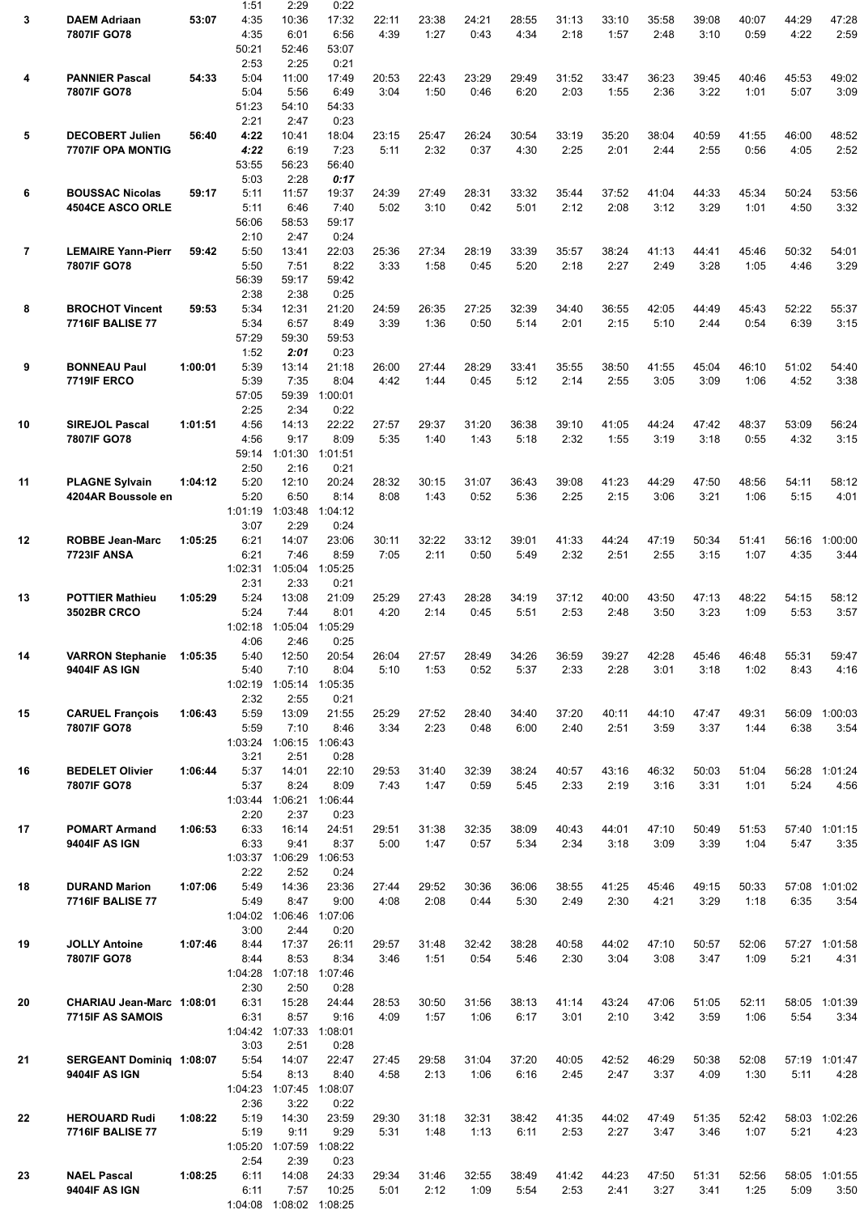|                |                           |         | 1:51    | 2:29    | 0:22    |       |       |       |       |       |       |       |       |       |       |               |
|----------------|---------------------------|---------|---------|---------|---------|-------|-------|-------|-------|-------|-------|-------|-------|-------|-------|---------------|
| 3              | <b>DAEM Adriaan</b>       | 53:07   | 4:35    | 10:36   | 17:32   | 22:11 | 23:38 | 24:21 | 28:55 | 31:13 | 33:10 | 35:58 | 39:08 | 40:07 | 44:29 | 47:28         |
|                | 7807IF GO78               |         | 4:35    | 6:01    | 6:56    | 4:39  | 1:27  | 0:43  | 4:34  | 2:18  | 1:57  | 2:48  | 3:10  | 0:59  | 4:22  | 2:59          |
|                |                           |         |         |         |         |       |       |       |       |       |       |       |       |       |       |               |
|                |                           |         | 50:21   | 52:46   | 53:07   |       |       |       |       |       |       |       |       |       |       |               |
|                |                           |         | 2:53    | 2:25    | 0:21    |       |       |       |       |       |       |       |       |       |       |               |
| 4              | <b>PANNIER Pascal</b>     | 54:33   | 5:04    | 11:00   | 17:49   | 20:53 | 22:43 | 23:29 | 29:49 | 31:52 | 33:47 | 36:23 | 39:45 | 40:46 | 45:53 | 49:02         |
|                | 7807IF GO78               |         | 5:04    | 5:56    | 6:49    | 3:04  | 1:50  | 0:46  | 6:20  | 2:03  | 1:55  | 2:36  | 3:22  | 1:01  | 5:07  | 3:09          |
|                |                           |         | 51:23   | 54:10   | 54:33   |       |       |       |       |       |       |       |       |       |       |               |
|                |                           |         | 2:21    | 2:47    | 0:23    |       |       |       |       |       |       |       |       |       |       |               |
|                |                           |         |         |         |         |       |       |       |       |       |       |       |       |       |       |               |
| 5              | <b>DECOBERT Julien</b>    | 56:40   | 4:22    | 10:41   | 18:04   | 23:15 | 25:47 | 26:24 | 30:54 | 33:19 | 35:20 | 38:04 | 40:59 | 41:55 | 46:00 | 48:52         |
|                | 7707IF OPA MONTIG         |         | 4:22    | 6:19    | 7:23    | 5:11  | 2:32  | 0:37  | 4:30  | 2:25  | 2:01  | 2:44  | 2:55  | 0:56  | 4:05  | 2:52          |
|                |                           |         | 53:55   | 56:23   | 56:40   |       |       |       |       |       |       |       |       |       |       |               |
|                |                           |         | 5:03    | 2:28    | 0:17    |       |       |       |       |       |       |       |       |       |       |               |
| 6              | <b>BOUSSAC Nicolas</b>    | 59:17   | 5:11    | 11:57   | 19:37   | 24:39 | 27:49 | 28:31 | 33:32 | 35:44 | 37:52 | 41:04 | 44:33 | 45:34 | 50:24 | 53:56         |
|                |                           |         |         |         |         |       |       |       | 5:01  | 2:12  | 2:08  | 3:12  |       |       |       |               |
|                | <b>4504CE ASCO ORLE</b>   |         | 5:11    | 6:46    | 7:40    | 5:02  | 3:10  | 0:42  |       |       |       |       | 3:29  | 1:01  | 4:50  | 3:32          |
|                |                           |         | 56:06   | 58:53   | 59:17   |       |       |       |       |       |       |       |       |       |       |               |
|                |                           |         | 2:10    | 2:47    | 0:24    |       |       |       |       |       |       |       |       |       |       |               |
| $\overline{7}$ | <b>LEMAIRE Yann-Pierr</b> | 59:42   | 5:50    | 13:41   | 22:03   | 25:36 | 27:34 | 28:19 | 33:39 | 35:57 | 38:24 | 41:13 | 44:41 | 45:46 | 50:32 | 54:01         |
|                | 7807IF GO78               |         | 5:50    | 7:51    | 8:22    | 3:33  | 1:58  | 0:45  | 5:20  | 2:18  | 2:27  | 2:49  | 3:28  | 1:05  | 4:46  | 3:29          |
|                |                           |         | 56:39   | 59:17   | 59:42   |       |       |       |       |       |       |       |       |       |       |               |
|                |                           |         |         |         |         |       |       |       |       |       |       |       |       |       |       |               |
|                |                           |         | 2:38    | 2:38    | 0:25    |       |       |       |       |       |       |       |       |       |       |               |
| 8              | <b>BROCHOT Vincent</b>    | 59:53   | 5:34    | 12:31   | 21:20   | 24:59 | 26:35 | 27:25 | 32:39 | 34:40 | 36:55 | 42:05 | 44:49 | 45:43 | 52:22 | 55:37         |
|                | <b>7716IF BALISE 77</b>   |         | 5:34    | 6:57    | 8:49    | 3:39  | 1:36  | 0:50  | 5:14  | 2:01  | 2:15  | 5:10  | 2:44  | 0:54  | 6:39  | 3:15          |
|                |                           |         | 57:29   | 59:30   | 59:53   |       |       |       |       |       |       |       |       |       |       |               |
|                |                           |         | 1:52    | 2:01    | 0:23    |       |       |       |       |       |       |       |       |       |       |               |
| 9              | <b>BONNEAU Paul</b>       | 1:00:01 | 5:39    | 13:14   | 21:18   | 26:00 | 27:44 | 28:29 | 33:41 | 35:55 | 38:50 | 41:55 | 45:04 | 46:10 | 51:02 | 54:40         |
|                | <b>7719IF ERCO</b>        |         |         |         |         |       |       |       |       |       |       |       |       |       |       | 3:38          |
|                |                           |         | 5:39    | 7:35    | 8:04    | 4:42  | 1:44  | 0:45  | 5:12  | 2:14  | 2:55  | 3:05  | 3:09  | 1:06  | 4:52  |               |
|                |                           |         | 57:05   | 59:39   | 1:00:01 |       |       |       |       |       |       |       |       |       |       |               |
|                |                           |         | 2:25    | 2:34    | 0:22    |       |       |       |       |       |       |       |       |       |       |               |
| 10             | <b>SIREJOL Pascal</b>     | 1:01:51 | 4:56    | 14:13   | 22:22   | 27:57 | 29:37 | 31:20 | 36:38 | 39:10 | 41:05 | 44:24 | 47:42 | 48:37 | 53:09 | 56:24         |
|                | 7807IF GO78               |         | 4:56    | 9:17    | 8:09    | 5:35  | 1:40  | 1:43  | 5:18  | 2:32  | 1:55  | 3:19  | 3:18  | 0:55  | 4:32  | 3:15          |
|                |                           |         | 59:14   | 1:01:30 | 1:01:51 |       |       |       |       |       |       |       |       |       |       |               |
|                |                           |         |         |         |         |       |       |       |       |       |       |       |       |       |       |               |
|                |                           |         | 2:50    | 2:16    | 0:21    |       |       |       |       |       |       |       |       |       |       |               |
| 11             | <b>PLAGNE Sylvain</b>     | 1:04:12 | 5:20    | 12:10   | 20:24   | 28:32 | 30:15 | 31:07 | 36:43 | 39:08 | 41:23 | 44:29 | 47:50 | 48:56 | 54:11 | 58:12         |
|                | 4204AR Boussole en        |         | 5:20    | 6:50    | 8:14    | 8:08  | 1:43  | 0:52  | 5:36  | 2:25  | 2:15  | 3:06  | 3:21  | 1:06  | 5:15  | 4:01          |
|                |                           |         | 1:01:19 | 1:03:48 | 1:04:12 |       |       |       |       |       |       |       |       |       |       |               |
|                |                           |         | 3:07    | 2:29    | 0:24    |       |       |       |       |       |       |       |       |       |       |               |
|                |                           |         |         |         |         |       |       |       |       |       |       |       |       |       |       |               |
| 12             | <b>ROBBE Jean-Marc</b>    | 1:05:25 | 6:21    | 14:07   | 23:06   | 30:11 | 32:22 | 33:12 | 39:01 | 41:33 | 44:24 | 47:19 | 50:34 | 51:41 | 56:16 | 1:00:00       |
|                | 7723IF ANSA               |         | 6:21    | 7:46    | 8:59    | 7:05  | 2:11  | 0:50  | 5:49  | 2:32  | 2:51  | 2:55  | 3:15  | 1:07  | 4:35  | 3:44          |
|                |                           |         | 1:02:31 | 1:05:04 | 1:05:25 |       |       |       |       |       |       |       |       |       |       |               |
|                |                           |         | 2:31    | 2:33    | 0:21    |       |       |       |       |       |       |       |       |       |       |               |
| 13             | <b>POTTIER Mathieu</b>    | 1:05:29 | 5:24    | 13:08   | 21:09   | 25:29 | 27:43 | 28:28 | 34:19 | 37:12 | 40:00 | 43:50 | 47:13 | 48:22 | 54:15 | 58:12         |
|                | <b>3502BR CRCO</b>        |         | 5:24    | 7:44    | 8:01    | 4:20  | 2:14  | 0:45  | 5:51  | 2:53  | 2:48  | 3:50  | 3:23  | 1:09  | 5:53  | 3:57          |
|                |                           |         |         |         |         |       |       |       |       |       |       |       |       |       |       |               |
|                |                           |         | 1:02:18 | 1:05:04 | 1:05:29 |       |       |       |       |       |       |       |       |       |       |               |
|                |                           |         | 4:06    | 2:46    | 0:25    |       |       |       |       |       |       |       |       |       |       |               |
| 14             | <b>VARRON Stephanie</b>   | 1:05:35 | 5:40    | 12:50   | 20:54   | 26:04 | 27:57 | 28:49 | 34:26 | 36:59 | 39:27 | 42:28 | 45:46 | 46:48 | 55:31 | 59:47         |
|                | 9404IF AS IGN             |         | 5:40    | 7:10    | 8:04    | 5:10  | 1:53  | 0:52  | 5:37  | 2:33  | 2:28  | 3:01  | 3:18  | 1:02  | 8:43  | 4:16          |
|                |                           |         | 1:02:19 | 1:05:14 | 1:05:35 |       |       |       |       |       |       |       |       |       |       |               |
|                |                           |         |         |         |         |       |       |       |       |       |       |       |       |       |       |               |
|                |                           |         | 2:32    | 2:55    | 0:21    |       |       |       |       |       |       |       |       |       |       |               |
| 15             | <b>CARUEL François</b>    | 1:06:43 | 5:59    | 13:09   | 21:55   | 25:29 | 27:52 | 28:40 | 34:40 | 37:20 | 40:11 | 44:10 | 47:47 | 49:31 | 56:09 | 1:00:03       |
|                | 7807IF GO78               |         | 5:59    | 7:10    | 8:46    | 3:34  | 2:23  | 0:48  | 6:00  | 2:40  | 2:51  | 3:59  | 3:37  | 1:44  | 6:38  | 3:54          |
|                |                           |         | 1:03:24 | 1:06:15 | 1:06:43 |       |       |       |       |       |       |       |       |       |       |               |
|                |                           |         | 3:21    | 2:51    | 0:28    |       |       |       |       |       |       |       |       |       |       |               |
|                |                           |         |         |         |         |       |       |       |       |       |       |       |       |       |       |               |
| 16             | <b>BEDELET Olivier</b>    | 1:06:44 | 5:37    | 14:01   | 22:10   | 29:53 | 31:40 | 32:39 | 38:24 | 40:57 | 43:16 | 46:32 | 50:03 | 51:04 | 56:28 | 1:01:24       |
|                | 7807IF GO78               |         | 5:37    | 8:24    | 8:09    | 7:43  | 1:47  | 0:59  | 5:45  | 2:33  | 2:19  | 3:16  | 3:31  | 1:01  | 5:24  | 4:56          |
|                |                           |         | 1:03:44 | 1:06:21 | 1:06:44 |       |       |       |       |       |       |       |       |       |       |               |
|                |                           |         | 2:20    | 2:37    | 0:23    |       |       |       |       |       |       |       |       |       |       |               |
| 17             | <b>POMART Armand</b>      | 1:06:53 | 6:33    | 16:14   | 24:51   | 29:51 | 31:38 | 32:35 | 38:09 | 40:43 | 44:01 | 47:10 | 50:49 | 51:53 | 57:40 | 1:01:15       |
|                | 9404IF AS IGN             |         | 6:33    | 9:41    | 8:37    | 5:00  | 1:47  | 0:57  | 5:34  | 2:34  | 3:18  | 3:09  | 3:39  | 1:04  | 5:47  | 3:35          |
|                |                           |         |         |         |         |       |       |       |       |       |       |       |       |       |       |               |
|                |                           |         | 1:03:37 | 1:06:29 | 1:06:53 |       |       |       |       |       |       |       |       |       |       |               |
|                |                           |         | 2:22    | 2:52    | 0:24    |       |       |       |       |       |       |       |       |       |       |               |
| 18             | <b>DURAND Marion</b>      | 1:07:06 | 5:49    | 14:36   | 23:36   | 27:44 | 29:52 | 30:36 | 36:06 | 38:55 | 41:25 | 45:46 | 49:15 | 50:33 | 57:08 | 1:01:02       |
|                | <b>7716IF BALISE 77</b>   |         | 5:49    | 8:47    | 9:00    | 4:08  | 2:08  | 0:44  | 5:30  | 2:49  | 2:30  | 4:21  | 3:29  | 1:18  | 6:35  | 3:54          |
|                |                           |         | 1:04:02 | 1:06:46 | 1:07:06 |       |       |       |       |       |       |       |       |       |       |               |
|                |                           |         | 3:00    | 2:44    | 0:20    |       |       |       |       |       |       |       |       |       |       |               |
|                |                           |         |         |         |         |       |       |       |       |       |       |       |       |       |       |               |
| 19             | <b>JOLLY Antoine</b>      | 1:07:46 | 8:44    | 17:37   | 26:11   | 29:57 | 31:48 | 32:42 | 38:28 | 40:58 | 44:02 | 47:10 | 50:57 | 52:06 |       | 57:27 1:01:58 |
|                | 7807IF GO78               |         | 8:44    | 8:53    | 8:34    | 3:46  | 1:51  | 0:54  | 5:46  | 2:30  | 3:04  | 3:08  | 3:47  | 1:09  | 5:21  | 4:31          |
|                |                           |         | 1:04:28 | 1:07:18 | 1:07:46 |       |       |       |       |       |       |       |       |       |       |               |
|                |                           |         | 2:30    | 2:50    | 0:28    |       |       |       |       |       |       |       |       |       |       |               |
| 20             | CHARIAU Jean-Marc 1:08:01 |         | 6:31    | 15:28   | 24:44   | 28:53 | 30:50 | 31:56 | 38:13 | 41:14 | 43:24 | 47:06 | 51:05 | 52:11 | 58:05 | 1:01:39       |
|                | <b>7715IF AS SAMOIS</b>   |         | 6:31    | 8:57    | 9:16    | 4:09  | 1:57  | 1:06  | 6:17  | 3:01  | 2:10  | 3:42  | 3:59  | 1:06  | 5:54  | 3:34          |
|                |                           |         |         |         |         |       |       |       |       |       |       |       |       |       |       |               |
|                |                           |         | 1:04:42 | 1:07:33 | 1:08:01 |       |       |       |       |       |       |       |       |       |       |               |
|                |                           |         | 3:03    | 2:51    | 0:28    |       |       |       |       |       |       |       |       |       |       |               |
| 21             | SERGEANT Dominiq 1:08:07  |         | 5:54    | 14:07   | 22:47   | 27:45 | 29:58 | 31:04 | 37:20 | 40:05 | 42:52 | 46:29 | 50:38 | 52:08 | 57:19 | 1:01:47       |
|                | 9404IF AS IGN             |         | 5:54    | 8:13    | 8:40    | 4:58  | 2:13  | 1:06  | 6:16  | 2:45  | 2:47  | 3:37  | 4:09  | 1:30  | 5:11  | 4:28          |
|                |                           |         | 1:04:23 | 1:07:45 | 1:08:07 |       |       |       |       |       |       |       |       |       |       |               |
|                |                           |         |         |         |         |       |       |       |       |       |       |       |       |       |       |               |
|                |                           |         | 2:36    | 3:22    | 0:22    |       |       |       |       |       |       |       |       |       |       |               |
| 22             | <b>HEROUARD Rudi</b>      | 1:08:22 | 5:19    | 14:30   | 23:59   | 29:30 | 31:18 | 32:31 | 38:42 | 41:35 | 44:02 | 47:49 | 51:35 | 52:42 | 58:03 | 1:02:26       |
|                | <b>7716IF BALISE 77</b>   |         | 5:19    | 9:11    | 9:29    | 5:31  | 1:48  | 1:13  | 6:11  | 2:53  | 2:27  | 3:47  | 3:46  | 1:07  | 5:21  | 4:23          |
|                |                           |         | 1:05:20 | 1:07:59 | 1:08:22 |       |       |       |       |       |       |       |       |       |       |               |
|                |                           |         | 2:54    | 2:39    | 0:23    |       |       |       |       |       |       |       |       |       |       |               |
|                |                           |         |         |         |         |       |       |       |       |       |       |       |       |       |       |               |
| 23             | <b>NAEL Pascal</b>        | 1:08:25 | 6:11    | 14:08   | 24:33   | 29:34 | 31:46 | 32:55 | 38:49 | 41:42 | 44:23 | 47:50 | 51:31 | 52:56 | 58:05 | 1:01:55       |
|                | 9404IF AS IGN             |         | 6:11    | 7:57    | 10:25   | 5:01  | 2:12  | 1:09  | 5:54  | 2:53  | 2:41  | 3:27  | 3:41  | 1:25  | 5:09  | 3:50          |
|                |                           |         | 1:04:08 | 1:08:02 | 1:08:25 |       |       |       |       |       |       |       |       |       |       |               |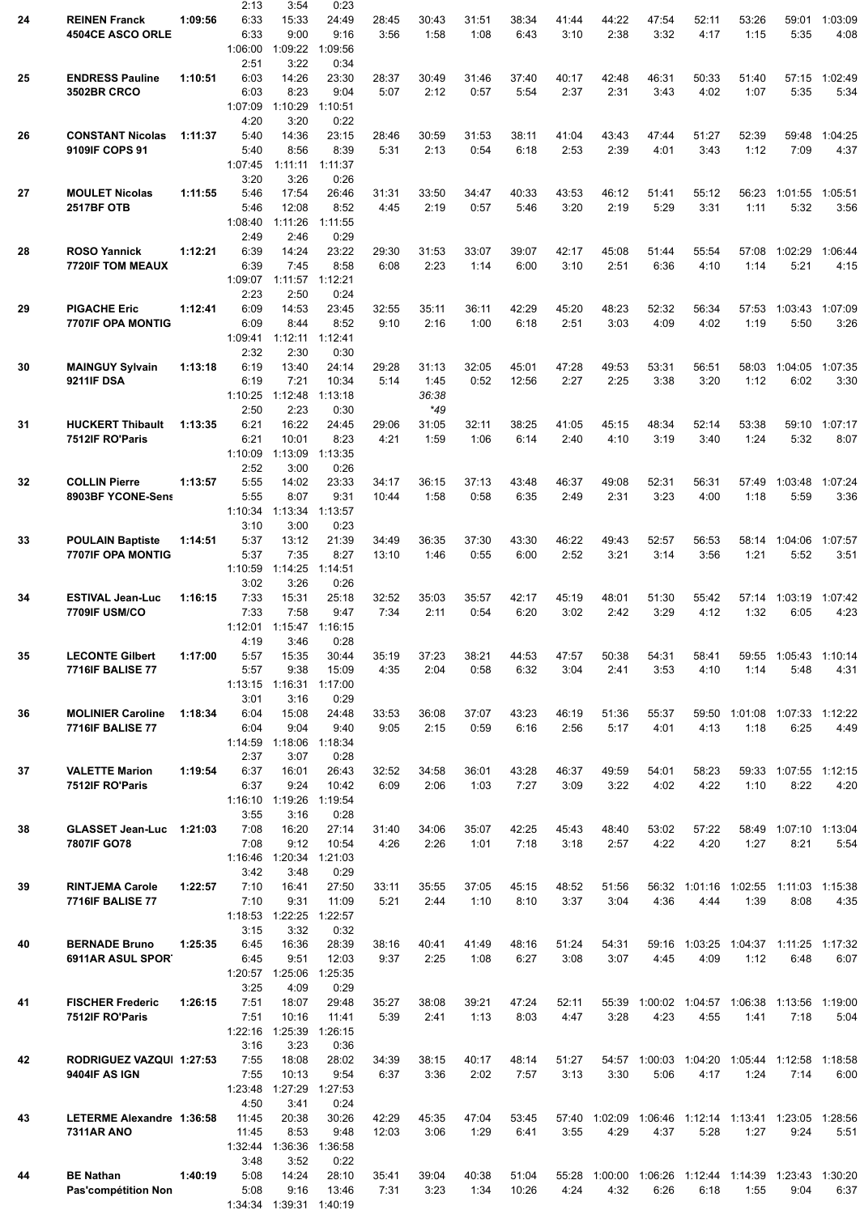|    |                           |         | 2:13    | 3:54    | 0:23    |       |       |       |       |       |       |                 |                       |                                                      |                       |         |
|----|---------------------------|---------|---------|---------|---------|-------|-------|-------|-------|-------|-------|-----------------|-----------------------|------------------------------------------------------|-----------------------|---------|
| 24 | <b>REINEN Franck</b>      | 1:09:56 | 6:33    | 15:33   | 24:49   | 28:45 | 30:43 | 31:51 | 38:34 | 41:44 | 44:22 | 47:54           | 52:11                 | 53:26                                                | 59:01                 | 1:03:09 |
|    | <b>4504CE ASCO ORLE</b>   |         | 6:33    | 9:00    | 9:16    | 3:56  | 1:58  | 1:08  | 6:43  | 3:10  | 2:38  | 3:32            | 4:17                  | 1:15                                                 | 5:35                  | 4:08    |
|    |                           |         | 1:06:00 | 1:09:22 | 1:09:56 |       |       |       |       |       |       |                 |                       |                                                      |                       |         |
|    |                           |         | 2:51    | 3:22    | 0:34    |       |       |       |       |       |       |                 |                       |                                                      |                       |         |
| 25 | <b>ENDRESS Pauline</b>    | 1:10:51 | 6:03    | 14:26   | 23:30   | 28:37 | 30:49 | 31:46 | 37:40 | 40:17 | 42:48 | 46:31           | 50:33                 | 51:40                                                | 57:15                 | 1:02:49 |
|    | <b>3502BR CRCO</b>        |         | 6:03    | 8:23    | 9:04    | 5:07  | 2:12  | 0:57  | 5:54  | 2:37  | 2:31  | 3:43            | 4:02                  | 1:07                                                 | 5:35                  | 5:34    |
|    |                           |         | 1:07:09 | 1:10:29 | 1:10:51 |       |       |       |       |       |       |                 |                       |                                                      |                       |         |
|    |                           |         | 4:20    | 3:20    | 0:22    |       |       |       |       |       |       |                 |                       |                                                      |                       |         |
| 26 | <b>CONSTANT Nicolas</b>   | 1:11:37 | 5:40    | 14:36   | 23:15   | 28:46 | 30:59 | 31:53 | 38:11 | 41:04 | 43:43 | 47:44           | 51:27                 | 52:39                                                | 59:48                 | 1:04:25 |
|    | 9109IF COPS 91            |         | 5:40    | 8:56    | 8:39    | 5:31  | 2:13  | 0:54  | 6:18  | 2:53  | 2:39  | 4:01            | 3:43                  | 1:12                                                 | 7:09                  | 4:37    |
|    |                           |         | 1:07:45 | 1:11:11 | 1:11:37 |       |       |       |       |       |       |                 |                       |                                                      |                       |         |
|    |                           |         | 3:20    | 3:26    | 0:26    |       |       |       |       |       |       |                 |                       |                                                      |                       |         |
| 27 | <b>MOULET Nicolas</b>     | 1:11:55 | 5:46    | 17:54   | 26:46   | 31:31 | 33:50 | 34:47 | 40:33 | 43:53 | 46:12 | 51:41           | 55:12                 | 56:23                                                | 1:01:55               | 1:05:51 |
|    | <b>2517BF OTB</b>         |         | 5:46    | 12:08   | 8:52    | 4:45  | 2:19  | 0:57  | 5:46  | 3:20  | 2:19  | 5:29            | 3:31                  | 1:11                                                 | 5:32                  | 3:56    |
|    |                           |         | 1:08:40 | 1:11:26 | 1:11:55 |       |       |       |       |       |       |                 |                       |                                                      |                       |         |
|    |                           |         | 2:49    | 2:46    | 0:29    |       |       |       |       |       |       |                 |                       |                                                      |                       |         |
| 28 | <b>ROSO Yannick</b>       | 1:12:21 | 6:39    | 14:24   | 23:22   | 29:30 | 31:53 | 33:07 | 39:07 | 42:17 | 45:08 | 51:44           | 55:54                 | 57:08                                                | 1:02:29               | 1:06:44 |
|    | <b>7720IF TOM MEAUX</b>   |         | 6:39    | 7:45    | 8:58    | 6:08  | 2:23  | 1:14  | 6:00  | 3:10  | 2:51  | 6:36            | 4:10                  | 1:14                                                 | 5:21                  | 4:15    |
|    |                           |         | 1:09:07 | 1:11:57 | 1:12:21 |       |       |       |       |       |       |                 |                       |                                                      |                       |         |
|    |                           |         | 2:23    | 2:50    | 0:24    |       |       |       |       |       |       |                 |                       |                                                      |                       |         |
| 29 | <b>PIGACHE Eric</b>       | 1:12:41 | 6:09    | 14:53   | 23:45   | 32:55 | 35:11 | 36:11 | 42:29 | 45:20 | 48:23 | 52:32           | 56:34                 | 57:53                                                | 1:03:43               | 1:07:09 |
|    | 7707IF OPA MONTIG         |         | 6:09    | 8:44    | 8:52    | 9:10  | 2:16  | 1:00  | 6:18  | 2:51  | 3:03  | 4:09            | 4:02                  | 1:19                                                 | 5:50                  | 3:26    |
|    |                           |         | 1:09:41 | 1:12:11 | 1:12:41 |       |       |       |       |       |       |                 |                       |                                                      |                       |         |
|    |                           |         | 2:32    | 2:30    | 0:30    |       |       |       |       |       |       |                 |                       |                                                      |                       |         |
| 30 | <b>MAINGUY Sylvain</b>    | 1:13:18 | 6:19    | 13:40   | 24:14   | 29:28 | 31:13 | 32:05 | 45:01 | 47:28 | 49:53 | 53:31           | 56:51                 | 58:03                                                | 1:04:05               | 1:07:35 |
|    | 9211IF DSA                |         | 6:19    | 7:21    | 10:34   | 5:14  | 1:45  | 0:52  | 12:56 | 2:27  | 2:25  | 3:38            | 3:20                  | 1:12                                                 | 6:02                  | 3:30    |
|    |                           |         | 1:10:25 | 1:12:48 | 1:13:18 |       | 36:38 |       |       |       |       |                 |                       |                                                      |                       |         |
|    |                           |         | 2:50    | 2:23    | 0:30    |       | *49   |       |       |       |       |                 |                       |                                                      |                       |         |
| 31 | <b>HUCKERT Thibault</b>   | 1:13:35 | 6:21    | 16:22   | 24:45   | 29:06 | 31:05 | 32:11 | 38:25 | 41:05 | 45:15 | 48:34           | 52:14                 | 53:38                                                | 59:10                 | 1:07:17 |
|    | 7512IF RO'Paris           |         | 6:21    | 10:01   | 8:23    | 4:21  | 1:59  | 1:06  | 6:14  | 2:40  | 4:10  | 3:19            | 3:40                  | 1:24                                                 | 5:32                  | 8:07    |
|    |                           |         | 1:10:09 | 1:13:09 | 1:13:35 |       |       |       |       |       |       |                 |                       |                                                      |                       |         |
|    |                           |         | 2:52    | 3:00    | 0:26    |       |       |       |       |       |       |                 |                       |                                                      |                       |         |
| 32 | <b>COLLIN Pierre</b>      | 1:13:57 | 5:55    | 14:02   | 23:33   | 34:17 | 36:15 | 37:13 | 43:48 | 46:37 | 49:08 | 52:31           | 56:31                 | 57:49                                                | 1:03:48               | 1:07:24 |
|    | 8903BF YCONE-Sens         |         | 5:55    | 8:07    | 9:31    | 10:44 | 1:58  | 0:58  | 6:35  | 2:49  | 2:31  | 3:23            | 4:00                  | 1:18                                                 | 5:59                  | 3:36    |
|    |                           |         | 1:10:34 | 1:13:34 | 1:13:57 |       |       |       |       |       |       |                 |                       |                                                      |                       |         |
|    |                           |         | 3:10    | 3:00    | 0:23    |       |       |       |       |       |       |                 |                       |                                                      |                       |         |
| 33 | <b>POULAIN Baptiste</b>   | 1:14:51 | 5:37    | 13:12   | 21:39   | 34:49 | 36:35 | 37:30 | 43:30 | 46:22 | 49:43 | 52:57           | 56:53                 | 58:14                                                | 1:04:06               | 1:07:57 |
|    | 7707IF OPA MONTIG         |         | 5:37    | 7:35    | 8:27    | 13:10 | 1:46  | 0:55  | 6:00  | 2:52  | 3:21  | 3:14            | 3:56                  | 1:21                                                 | 5:52                  | 3:51    |
|    |                           |         | 1:10:59 | 1:14:25 | 1:14:51 |       |       |       |       |       |       |                 |                       |                                                      |                       |         |
|    |                           |         | 3:02    | 3:26    | 0:26    |       |       |       |       |       |       |                 |                       |                                                      |                       |         |
| 34 | <b>ESTIVAL Jean-Luc</b>   | 1:16:15 | 7:33    | 15:31   | 25:18   | 32:52 | 35:03 | 35:57 | 42:17 | 45:19 | 48:01 | 51:30           | 55:42                 |                                                      | 57:14 1:03:19         | 1:07:42 |
|    | 7709IF USM/CO             |         | 7:33    | 7:58    | 9:47    | 7:34  | 2:11  | 0:54  | 6:20  | 3:02  | 2:42  | 3:29            | 4:12                  | 1:32                                                 | 6:05                  | 4:23    |
|    |                           |         | 1:12:01 | 1:15:47 | 1:16:15 |       |       |       |       |       |       |                 |                       |                                                      |                       |         |
|    |                           |         | 4:19    | 3:46    | 0:28    |       |       |       |       |       |       |                 |                       |                                                      |                       |         |
| 35 | <b>LECONTE Gilbert</b>    | 1:17:00 | 5:57    | 15:35   | 30:44   | 35:19 | 37:23 | 38:21 | 44:53 | 47:57 | 50:38 | 54:31           | 58:41                 | 59:55                                                | 1:05:43               | 1:10:14 |
|    | <b>7716IF BALISE 77</b>   |         | 5:57    | 9:38    | 15:09   | 4:35  | 2:04  | 0:58  | 6:32  | 3:04  | 2:41  | 3:53            | 4:10                  | 1:14                                                 | 5:48                  | 4:31    |
|    |                           |         | 1:13:15 | 1:16:31 | 1:17:00 |       |       |       |       |       |       |                 |                       |                                                      |                       |         |
|    |                           |         | 3:01    | 3:16    | 0:29    |       |       |       |       |       |       |                 |                       |                                                      |                       |         |
| 36 | <b>MOLINIER Caroline</b>  | 1:18:34 | 6:04    | 15:08   | 24:48   | 33:53 | 36:08 | 37:07 | 43:23 | 46:19 | 51:36 | 55:37           |                       | 59:50 1:01:08 1:07:33                                |                       | 1:12:22 |
|    | <b>7716IF BALISE 77</b>   |         | 6:04    | 9:04    | 9:40    | 9:05  | 2:15  | 0:59  | 6:16  | 2:56  | 5:17  | 4:01            | 4:13                  | 1:18                                                 | 6:25                  | 4:49    |
|    |                           |         | 1:14:59 | 1:18:06 | 1:18:34 |       |       |       |       |       |       |                 |                       |                                                      |                       |         |
|    |                           |         | 2:37    | 3:07    | 0:28    |       |       |       |       |       |       |                 |                       |                                                      |                       |         |
| 37 | <b>VALETTE Marion</b>     | 1:19:54 | 6:37    | 16:01   | 26:43   | 32:52 | 34:58 | 36:01 | 43:28 | 46:37 | 49:59 | 54:01           | 58:23                 |                                                      | 59:33 1:07:55 1:12:15 |         |
|    | 7512IF RO'Paris           |         | 6:37    | 9:24    | 10:42   | 6:09  | 2:06  | 1:03  | 7:27  | 3:09  | 3:22  | 4:02            | 4:22                  | 1:10                                                 | 8:22                  | 4:20    |
|    |                           |         | 1:16:10 | 1:19:26 | 1:19:54 |       |       |       |       |       |       |                 |                       |                                                      |                       |         |
|    |                           |         | 3:55    | 3:16    | 0:28    |       |       |       |       |       |       |                 |                       |                                                      |                       |         |
| 38 | <b>GLASSET Jean-Luc</b>   | 1:21:03 | 7:08    | 16:20   | 27:14   | 31:40 | 34:06 | 35:07 | 42:25 | 45:43 | 48:40 | 53:02           | 57:22                 | 58:49                                                | 1:07:10 1:13:04       |         |
|    | 7807IF GO78               |         | 7:08    | 9:12    | 10:54   | 4:26  | 2:26  | 1:01  | 7:18  | 3:18  | 2:57  | 4:22            | 4:20                  | 1:27                                                 | 8:21                  | 5:54    |
|    |                           |         | 1:16:46 | 1:20:34 | 1:21:03 |       |       |       |       |       |       |                 |                       |                                                      |                       |         |
|    |                           |         | 3:42    | 3:48    | 0:29    |       |       |       |       |       |       |                 |                       |                                                      |                       |         |
| 39 | <b>RINTJEMA Carole</b>    | 1:22:57 | 7:10    | 16:41   | 27:50   | 33:11 | 35:55 | 37:05 | 45:15 | 48:52 | 51:56 |                 |                       | 56:32 1:01:16 1:02:55 1:11:03 1:15:38                |                       |         |
|    | <b>7716IF BALISE 77</b>   |         | 7:10    | 9:31    | 11:09   | 5:21  | 2:44  | 1:10  | 8:10  | 3:37  | 3:04  | 4:36            | 4:44                  | 1:39                                                 | 8:08                  | 4:35    |
|    |                           |         | 1:18:53 | 1:22:25 | 1:22:57 |       |       |       |       |       |       |                 |                       |                                                      |                       |         |
|    |                           |         | 3:15    | 3:32    | 0:32    |       |       |       |       |       |       |                 |                       |                                                      |                       |         |
| 40 | <b>BERNADE Bruno</b>      | 1:25:35 | 6:45    | 16:36   | 28:39   | 38:16 | 40:41 | 41:49 | 48:16 | 51:24 | 54:31 |                 | 59:16 1:03:25 1:04:37 |                                                      | 1:11:25 1:17:32       |         |
|    | 6911AR ASUL SPORT         |         | 6:45    | 9:51    | 12:03   | 9:37  | 2:25  | 1:08  | 6:27  | 3:08  | 3:07  | 4:45            | 4:09                  | 1:12                                                 | 6:48                  | 6:07    |
|    |                           |         | 1:20:57 | 1:25:06 | 1:25:35 |       |       |       |       |       |       |                 |                       |                                                      |                       |         |
|    |                           |         | 3:25    | 4:09    | 0:29    |       |       |       |       |       |       |                 |                       |                                                      |                       |         |
| 41 | <b>FISCHER Frederic</b>   | 1:26:15 | 7:51    | 18:07   | 29:48   | 35:27 | 38:08 | 39:21 | 47:24 | 52:11 | 55:39 |                 | 1:00:02 1:04:57       |                                                      | 1:06:38 1:13:56       | 1:19:00 |
|    | 7512IF RO'Paris           |         | 7:51    | 10:16   | 11:41   | 5:39  | 2:41  | 1:13  | 8:03  | 4:47  | 3:28  | 4:23            | 4:55                  | 1:41                                                 | 7:18                  | 5:04    |
|    |                           |         | 1:22:16 | 1:25:39 | 1:26:15 |       |       |       |       |       |       |                 |                       |                                                      |                       |         |
|    |                           |         | 3:16    | 3:23    | 0:36    |       |       |       |       |       |       |                 |                       |                                                      |                       |         |
| 42 | RODRIGUEZ VAZQUI 1:27:53  |         | 7:55    | 18:08   | 28:02   | 34:39 | 38:15 | 40:17 | 48:14 | 51:27 |       |                 |                       | 54:57 1:00:03 1:04:20 1:05:44 1:12:58                |                       | 1:18:58 |
|    | 9404IF AS IGN             |         | 7:55    | 10:13   | 9:54    | 6:37  | 3:36  | 2:02  | 7:57  | 3:13  | 3:30  | 5:06            | 4:17                  | 1:24                                                 | 7:14                  | 6:00    |
|    |                           |         | 1:23:48 | 1:27:29 | 1:27:53 |       |       |       |       |       |       |                 |                       |                                                      |                       |         |
|    |                           |         | 4:50    | 3:41    | 0:24    |       |       |       |       |       |       |                 |                       |                                                      |                       |         |
| 43 | LETERME Alexandre 1:36:58 |         | 11:45   | 20:38   | 30:26   | 42:29 | 45:35 | 47:04 | 53:45 | 57:40 |       |                 |                       | 1:02:09  1:06:46  1:12:14  1:13:41  1:23:05  1:28:56 |                       |         |
|    | <b>7311AR ANO</b>         |         | 11:45   | 8:53    | 9:48    | 12:03 | 3:06  | 1:29  | 6:41  | 3:55  | 4:29  | 4:37            | 5:28                  | 1:27                                                 | 9:24                  | 5:51    |
|    |                           |         | 1:32:44 | 1:36:36 | 1:36:58 |       |       |       |       |       |       |                 |                       |                                                      |                       |         |
|    |                           |         | 3:48    | 3:52    | 0:22    |       |       |       |       |       |       |                 |                       |                                                      |                       |         |
| 44 | <b>BE Nathan</b>          | 1:40:19 | 5:08    | 14:24   | 28:10   | 35:41 | 39:04 | 40:38 | 51:04 | 55:28 |       | 1:00:00 1:06:26 | 1:12:44               |                                                      | 1:14:39 1:23:43       | 1:30:20 |
|    | Pas'compétition Non       |         | 5:08    | 9:16    | 13:46   | 7:31  | 3:23  | 1:34  | 10:26 | 4:24  | 4:32  | 6:26            | 6:18                  | 1:55                                                 | 9:04                  | 6:37    |
|    |                           |         | 1:34:34 | 1:39:31 | 1:40:19 |       |       |       |       |       |       |                 |                       |                                                      |                       |         |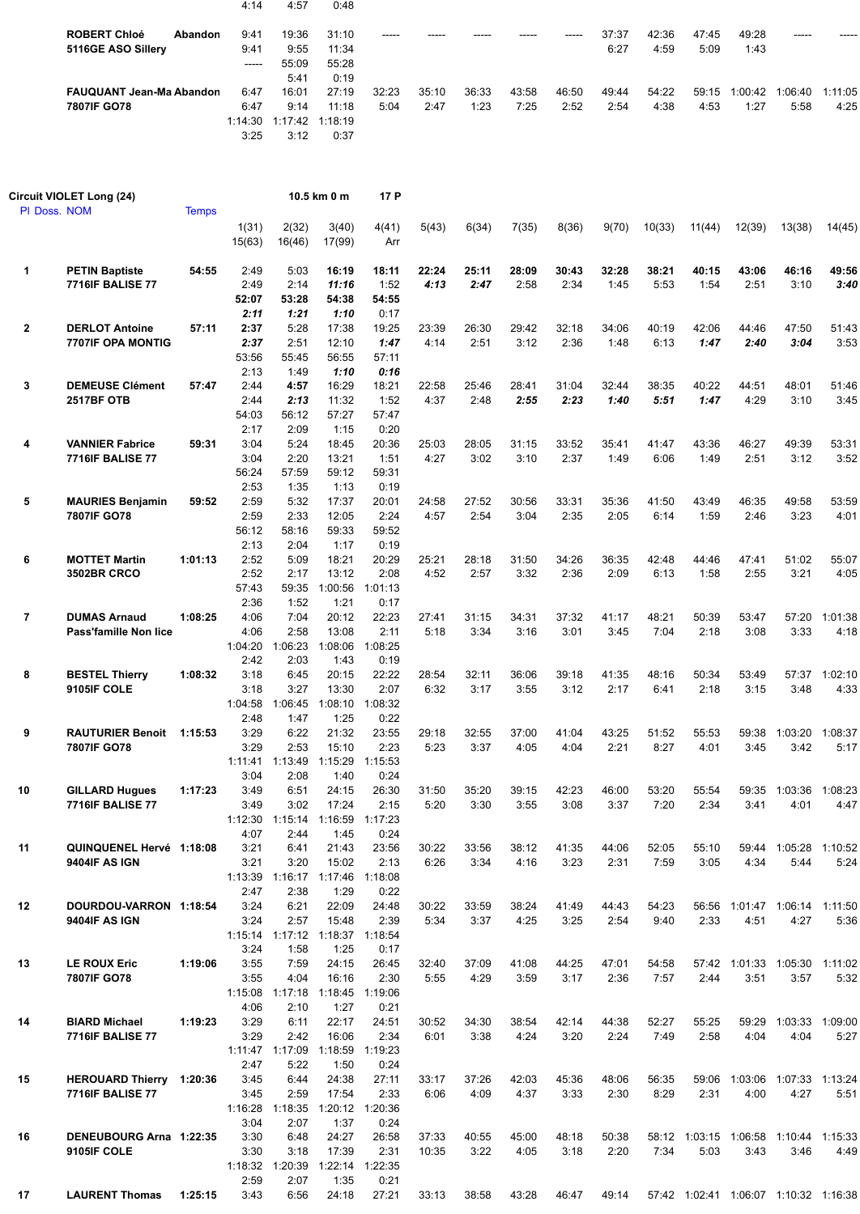|                          | 4:14            | 4:57            | 0:48  |       |       |       |       |       |       |       |       |         |         |         |
|--------------------------|-----------------|-----------------|-------|-------|-------|-------|-------|-------|-------|-------|-------|---------|---------|---------|
| <b>ROBERT Chloé</b>      | 9:41<br>Abandon | 19:36           | 31:10 | ----- |       |       |       | ----- | 37:37 | 42:36 | 47:45 | 49:28   | -----   |         |
| 5116GE ASO Sillery       | 9:41            | 9:55            | 11:34 |       |       |       |       |       | 6:27  | 4:59  | 5:09  | 1:43    |         |         |
|                          | -----           | 55:09           | 55:28 |       |       |       |       |       |       |       |       |         |         |         |
|                          |                 | 5:41            | 0:19  |       |       |       |       |       |       |       |       |         |         |         |
| FAUQUANT Jean-Ma Abandon | 6:47            | 16:01           | 27:19 | 32:23 | 35:10 | 36:33 | 43:58 | 46:50 | 49:44 | 54:22 | 59:15 | 1:00:42 | 1:06:40 | 1:11:05 |
| 7807IF GO78              | 6:47            | 9:14            | 11:18 | 5:04  | 2:47  | 1:23  | 7:25  | 2:52  | 2:54  | 4:38  | 4:53  | 1:27    | 5:58    | 4:25    |
|                          | 1:14:30         | 1:17:42 1:18:19 |       |       |       |       |       |       |       |       |       |         |         |         |
|                          | 3:25            | 3:12            | 0:37  |       |       |       |       |       |       |       |       |         |         |         |

|                | Circuit VIOLET Long (24)                            |              |                                       |                                                   | 10.5 km 0 m                                                  | 17 P                                     |                |               |               |               |               |               |               |               |                                               |                 |
|----------------|-----------------------------------------------------|--------------|---------------------------------------|---------------------------------------------------|--------------------------------------------------------------|------------------------------------------|----------------|---------------|---------------|---------------|---------------|---------------|---------------|---------------|-----------------------------------------------|-----------------|
|                | PI Doss. NOM                                        | <b>Temps</b> | 1(31)<br>15(63)                       | 2(32)<br>16(46)                                   | 3(40)<br>17(99)                                              | 4(41)<br>Arr                             | 5(43)          | 6(34)         | 7(35)         | 8(36)         | 9(70)         | 10(33)        | 11(44)        | 12(39)        | 13(38)                                        | 14(45)          |
| 1              | <b>PETIN Baptiste</b><br><b>7716IF BALISE 77</b>    | 54:55        | 2:49<br>2:49<br>52:07<br>2:11         | 5:03<br>2:14<br>53:28<br>1:21                     | 16:19<br>11:16<br>54:38<br>1:10                              | 18:11<br>1:52<br>54:55<br>0:17           | 22:24<br>4:13  | 25:11<br>2:47 | 28:09<br>2:58 | 30:43<br>2:34 | 32:28<br>1:45 | 38:21<br>5:53 | 40:15<br>1:54 | 43:06<br>2:51 | 46:16<br>3:10                                 | 49:56<br>3:40   |
| $\mathbf{2}$   | <b>DERLOT Antoine</b><br><b>7707IF OPA MONTIG</b>   | 57:11        | 2:37<br>2:37<br>53:56<br>2:13         | 5:28<br>2:51<br>55:45<br>1:49                     | 17:38<br>12:10<br>56:55<br>1:10                              | 19:25<br>1:47<br>57:11<br>0:16           | 23:39<br>4:14  | 26:30<br>2:51 | 29:42<br>3:12 | 32:18<br>2:36 | 34:06<br>1:48 | 40:19<br>6:13 | 42:06<br>1:47 | 44:46<br>2:40 | 47:50<br>3:04                                 | 51:43<br>3:53   |
| 3              | <b>DEMEUSE Clément</b><br><b>2517BF OTB</b>         | 57:47        | 2:44<br>2:44<br>54:03                 | 4:57<br>2:13<br>56:12                             | 16:29<br>11:32<br>57:27                                      | 18:21<br>1:52<br>57:47                   | 22:58<br>4:37  | 25:46<br>2:48 | 28:41<br>2:55 | 31:04<br>2:23 | 32:44<br>1:40 | 38:35<br>5:51 | 40:22<br>1:47 | 44:51<br>4:29 | 48:01<br>3:10                                 | 51:46<br>3:45   |
| 4              | <b>VANNIER Fabrice</b><br><b>7716IF BALISE 77</b>   | 59:31        | 2:17<br>3:04<br>3:04<br>56:24<br>2:53 | 2:09<br>5:24<br>2:20<br>57:59<br>1:35             | 1:15<br>18:45<br>13:21<br>59:12<br>1:13                      | 0:20<br>20:36<br>1:51<br>59:31<br>0:19   | 25:03<br>4:27  | 28:05<br>3:02 | 31:15<br>3:10 | 33:52<br>2:37 | 35:41<br>1:49 | 41:47<br>6:06 | 43:36<br>1:49 | 46:27<br>2:51 | 49:39<br>3:12                                 | 53:31<br>3:52   |
| 5              | <b>MAURIES Benjamin</b><br>7807IF GO78              | 59:52        | 2:59<br>2:59<br>56:12<br>2:13         | 5:32<br>2:33<br>58:16<br>2:04                     | 17:37<br>12:05<br>59:33<br>1:17                              | 20:01<br>2:24<br>59:52<br>0:19           | 24:58<br>4:57  | 27:52<br>2:54 | 30:56<br>3:04 | 33:31<br>2:35 | 35:36<br>2:05 | 41:50<br>6:14 | 43:49<br>1:59 | 46:35<br>2:46 | 49:58<br>3:23                                 | 53:59<br>4:01   |
| 6              | <b>MOTTET Martin</b><br><b>3502BR CRCO</b>          | 1:01:13      | 2:52<br>2:52<br>57:43<br>2:36         | 5:09<br>2:17<br>59:35<br>1:52                     | 18:21<br>13:12<br>1:00:56<br>1:21                            | 20:29<br>2:08<br>1:01:13<br>0:17         | 25:21<br>4:52  | 28:18<br>2:57 | 31:50<br>3:32 | 34:26<br>2:36 | 36:35<br>2:09 | 42:48<br>6:13 | 44:46<br>1:58 | 47:41<br>2:55 | 51:02<br>3:21                                 | 55:07<br>4:05   |
| $\overline{7}$ | <b>DUMAS Arnaud</b><br>Pass'famille Non lice        | 1:08:25      | 4:06<br>4:06<br>1:04:20<br>2:42       | 7:04<br>2:58<br>1:06:23<br>2:03                   | 20:12<br>13:08<br>1:08:06<br>1:43                            | 22:23<br>2:11<br>1:08:25<br>0:19         | 27:41<br>5:18  | 31:15<br>3:34 | 34:31<br>3:16 | 37:32<br>3:01 | 41:17<br>3:45 | 48:21<br>7:04 | 50:39<br>2:18 | 53:47<br>3:08 | 57:20<br>3:33                                 | 1:01:38<br>4:18 |
| 8              | <b>BESTEL Thierry</b><br>9105IF COLE                | 1:08:32      | 3:18<br>3:18<br>1:04:58<br>2:48       | 6:45<br>3:27<br>1:06:45<br>1:47                   | 20:15<br>13:30<br>1:08:10<br>1:25                            | 22:22<br>2:07<br>1:08:32<br>0:22         | 28:54<br>6:32  | 32:11<br>3:17 | 36:06<br>3:55 | 39:18<br>3:12 | 41:35<br>2:17 | 48:16<br>6:41 | 50:34<br>2:18 | 53:49<br>3:15 | 57:37<br>3:48                                 | 1:02:10<br>4:33 |
| 9              | <b>RAUTURIER Benoit</b><br>7807IF GO78              | 1:15:53      | 3:29<br>3:29<br>1:11:41<br>3:04       | 6:22<br>2:53<br>1:13:49<br>2:08                   | 21:32<br>15:10<br>1:15:29<br>1:40                            | 23:55<br>2:23<br>1:15:53<br>0:24         | 29:18<br>5:23  | 32:55<br>3:37 | 37:00<br>4:05 | 41:04<br>4:04 | 43:25<br>2:21 | 51:52<br>8:27 | 55:53<br>4:01 | 59:38<br>3:45 | 1:03:20<br>3:42                               | 1:08:37<br>5:17 |
| 10             | <b>GILLARD Hugues</b><br><b>7716IF BALISE 77</b>    | 1:17:23      | 3:49<br>3:49<br>1:12:30<br>4:07       | 6:51<br>3:02<br>1:15:14<br>2:44                   | 24:15<br>17:24<br>1:16:59<br>1:45                            | 26:30<br>2:15<br>1:17:23<br>0:24         | 31:50<br>5:20  | 35:20<br>3:30 | 39:15<br>3:55 | 42:23<br>3:08 | 46:00<br>3:37 | 53:20<br>7:20 | 55:54<br>2:34 | 59:35<br>3:41 | 1:03:36<br>4:01                               | 1:08:23<br>4:47 |
| 11             | QUINQUENEL Hervé 1:18:08<br>9404IF AS IGN           |              | 3:21<br>3:21<br>2:47                  | 6:41<br>3:20<br>1:13:39  1:16:17  1:17:46<br>2:38 | 21:43<br>15:02<br>1:29                                       | 23:56<br>2:13<br>1:18:08<br>0:22         | 30:22<br>6:26  | 33:56<br>3:34 | 38:12<br>4:16 | 41:35<br>3:23 | 44:06<br>2:31 | 52:05<br>7:59 | 55:10<br>3:05 | 4:34          | 59:44 1:05:28 1:10:52<br>5:44                 | 5:24            |
| 12             | DOURDOU-VARRON 1:18:54<br>9404IF AS IGN             |              | 3:24<br>3:24<br>3:24                  | 6:21<br>2:57<br>1:58                              | 22:09<br>15:48<br>1:15:14  1:17:12  1:18:37  1:18:54<br>1:25 | 24:48<br>2:39<br>0:17                    | 30:22<br>5:34  | 33:59<br>3:37 | 38:24<br>4:25 | 41:49<br>3:25 | 44:43<br>2:54 | 54:23<br>9:40 | 2:33          | 4:51          | 56:56 1:01:47 1:06:14 1:11:50<br>4:27         | 5:36            |
| 13             | LE ROUX Eric<br>7807IF GO78                         | 1:19:06      | 3:55<br>3:55<br>4:06                  | 7:59<br>4:04<br>1:15:08 1:17:18<br>2:10           | 24:15<br>16:16<br>1:27                                       | 26:45<br>2:30<br>1:18:45 1:19:06<br>0:21 | 32:40<br>5:55  | 37:09<br>4:29 | 41:08<br>3:59 | 44:25<br>3:17 | 47:01<br>2:36 | 54:58<br>7:57 | 2:44          | 3:51          | 57:42 1:01:33 1:05:30 1:11:02<br>3:57         | 5:32            |
| 14             | <b>BIARD Michael</b><br><b>7716IF BALISE 77</b>     | 1:19:23      | 3:29<br>3:29<br>2:47                  | 6:11<br>2:42<br>1:11:47 1:17:09<br>5:22           | 22:17<br>16:06<br>1:18:59<br>1:50                            | 24:51<br>2:34<br>1:19:23<br>0:24         | 30:52<br>6:01  | 34:30<br>3:38 | 38:54<br>4:24 | 42:14<br>3:20 | 44:38<br>2:24 | 52:27<br>7:49 | 55:25<br>2:58 | 4:04          | 59:29 1:03:33 1:09:00<br>4:04                 | 5:27            |
| 15             | HEROUARD Thierry 1:20:36<br><b>7716IF BALISE 77</b> |              | 3:45<br>3:45<br>3:04                  | 6:44<br>2:59<br>1:16:28 1:18:35<br>2:07           | 24:38<br>17:54<br>1:37                                       | 27:11<br>2:33<br>1:20:12 1:20:36<br>0:24 | 33:17<br>6:06  | 37:26<br>4:09 | 42:03<br>4:37 | 45:36<br>3:33 | 48:06<br>2:30 | 56:35<br>8:29 | 2:31          | 4:00          | 59:06 1:03:06 1:07:33 1:13:24<br>4:27         | 5:51            |
| 16             | DENEUBOURG Arna 1:22:35<br>9105IF COLE              |              | 3:30<br>3:30<br>2:59                  | 6:48<br>3:18<br>1:18:32 1:20:39<br>2:07           | 24:27<br>17:39<br>1:35                                       | 26:58<br>2:31<br>1:22:14 1:22:35<br>0:21 | 37:33<br>10:35 | 40:55<br>3:22 | 45:00<br>4:05 | 48:18<br>3:18 | 50:38<br>2:20 | 7:34          | 5:03          | 3:43          | 58:12 1:03:15 1:06:58 1:10:44 1:15:33<br>3:46 | 4:49            |
| 17             | <b>LAURENT Thomas</b>                               | 1:25:15      | 3:43                                  | 6:56                                              | 24:18                                                        | 27:21                                    | 33:13          | 38:58         | 43:28         | 46:47         | 49:14         |               |               |               | 57:42 1:02:41 1:06:07 1:10:32 1:16:38         |                 |